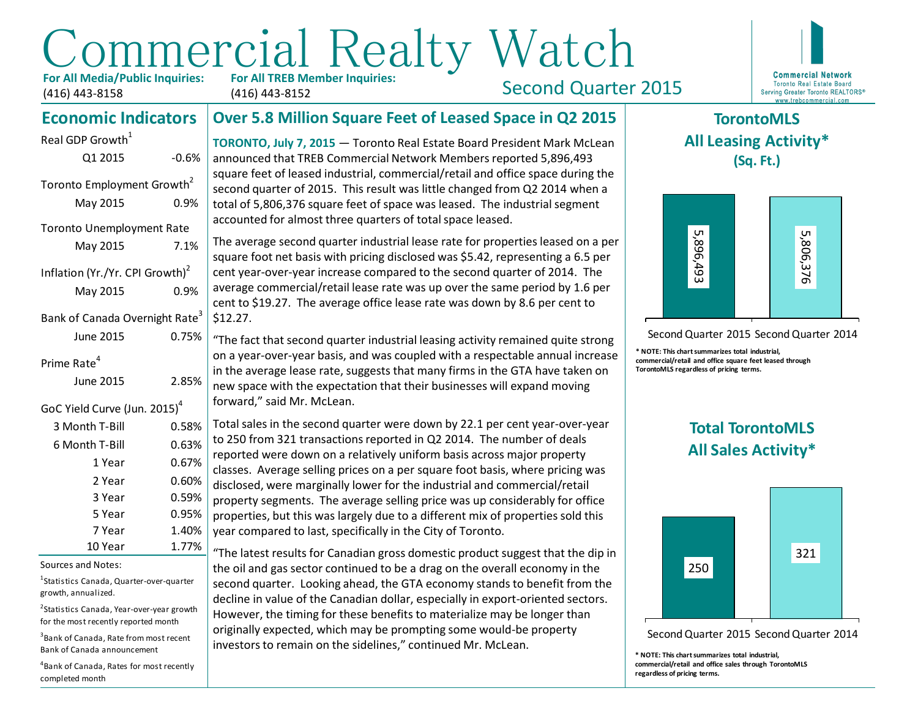# Commercial Realty Watch **For All TREB Member Inquiries:**

**For All Media/Public Inquiries:** (416) 443-8158

May 2015 7.1%

May 2015 0.9%

June 2015 0.75%

Inflation (Yr./Yr. CPI Growth) $<sup>2</sup>$ </sup>

Bank of Canada Overnight Rate<sup>3</sup>

GoC Yield Curve (Jun. 2015)<sup>4</sup>

Real GDP Growth $<sup>1</sup>$ </sup>

(416) 443-8152

Second Quarter 2015



#### **Over 5.8 Million Square Feet of Leased Space in Q2 2015 Economic Indicators**

**TORONTO, July 7, 2015** — Toronto Real Estate Board President Mark McLean announced that TREB Commercial Network Members reported 5,896,493 square feet of leased industrial, commercial/retail and office space during the second quarter of 2015. This result was little changed from Q2 2014 when a total of 5,806,376 square feet of space was leased. The industrial segment accounted for almost three quarters of total space leased. Q1 2015 -0.6% Toronto Employment Growth<sup>2</sup> May 2015 0.9% Toronto Unemployment Rate

> The average second quarter industrial lease rate for properties leased on a per square foot net basis with pricing disclosed was \$5.42, representing a 6.5 per cent year-over-year increase compared to the second quarter of 2014. The average commercial/retail lease rate was up over the same period by 1.6 per cent to \$19.27. The average office lease rate was down by 8.6 per cent to \$12.27.

"The fact that second quarter industrial leasing activity remained quite strong on a year-over-year basis, and was coupled with a respectable annual increase in the average lease rate, suggests that many firms in the GTA have taken on new space with the expectation that their businesses will expand moving forward," said Mr. McLean. June 2015 2.85%

Total sales in the second quarter were down by 22.1 per cent year-over-year to 250 from 321 transactions reported in Q2 2014. The number of deals reported were down on a relatively uniform basis across major property classes. Average selling prices on a per square foot basis, where pricing was disclosed, were marginally lower for the industrial and commercial/retail property segments. The average selling price was up considerably for office properties, but this was largely due to a different mix of properties sold this year compared to last, specifically in the City of Toronto.  $3$  Month T-Bill  $0.58\%$  $6$  Month T-Bill  $0.63\%$ 1 Year 0.67% 2 Year 0.60% 3 Year 0.59% 5 Year 0.95% 7 Year 1.40% Consider the set of the set of the set of the set of the set of the set of the set of the set of the set of the set of the set of the set of the set of the set of the set of the set of the set of the set of the set of the

"The latest results for Canadian gross domestic product suggest that the dip in the oil and gas sector continued to be a drag on the overall economy in the second quarter. Looking ahead, the GTA economy stands to benefit from the decline in value of the Canadian dollar, especially in export-oriented sectors. However, the timing for these benefits to materialize may be longer than originally expected, which may be prompting some would-be property investors to remain on the sidelines," continued Mr. McLean.

### **TorontoMLS All Leasing Activity\* (Sq. Ft.)**



Second Quarter 2015 Second Quarter 2014

**\* NOTE: This chart summarizes total industrial, commercial/retail and office square feet leased through TorontoMLS regardless of pricing terms.**

## **Total TorontoMLS All Sales Activity\***



Second Quarter 2015 Second Quarter 2014

**\* NOTE: This chart summarizes total industrial, commercial/retail and office sales through TorontoMLS regardless of pricing terms.**

#### Sources and Notes:

Prime Rate<sup>4</sup>

<sup>1</sup>Statistics Canada, Quarter-over-quarter growth, annualized.

10 Year 1.77%

<sup>2</sup>Statistics Canada, Year-over-year growth for the most recently reported month

3 Bank of Canada, Rate from most recent Bank of Canada announcement

4 Bank of Canada, Rates for most recently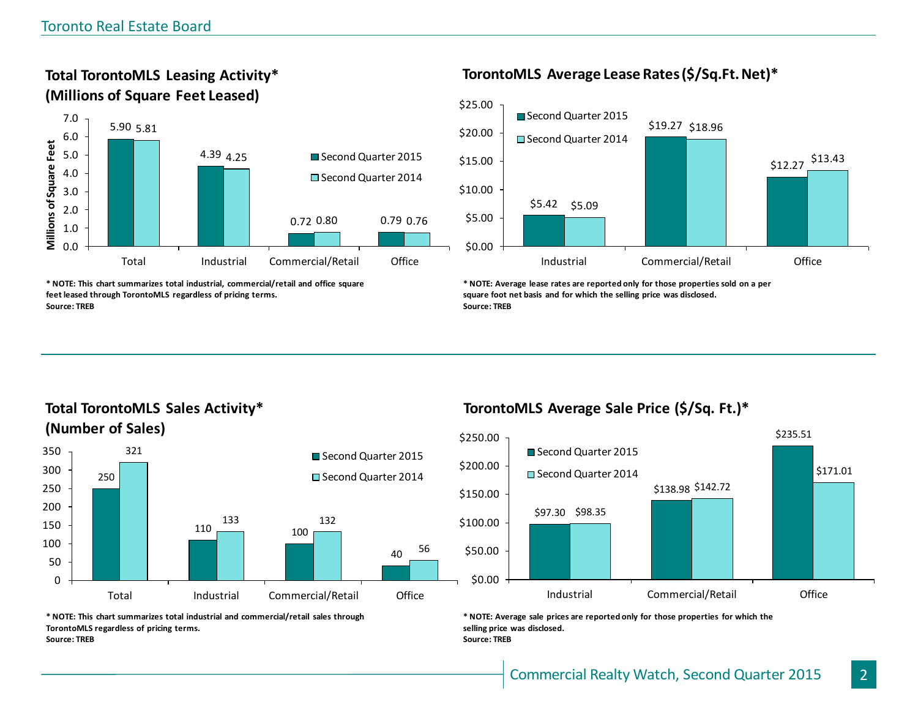**Total TorontoMLS Leasing Activity\* (Millions of Square Feet Leased)**



**\* NOTE: This chart summarizes total industrial, commercial/retail and office square feet leased through TorontoMLS regardless of pricing terms. Source: TREB**

#### **TorontoMLS Average Lease Rates (\$/Sq.Ft. Net)\***



**\* NOTE: Average lease rates are reported only for those properties sold on a per square foot net basis and for which the selling price was disclosed. Source: TREB**

### **Total TorontoMLS Sales Activity\* (Number of Sales)**



#### **TorontoMLS Average Sale Price (\$/Sq. Ft.)\***



**\* NOTE: Average sale prices are reported only for those properties for which the selling price was disclosed. Source: TREB**

**\* NOTE: This chart summarizes total industrial and commercial/retail sales through TorontoMLS regardless of pricing terms. Source: TREB**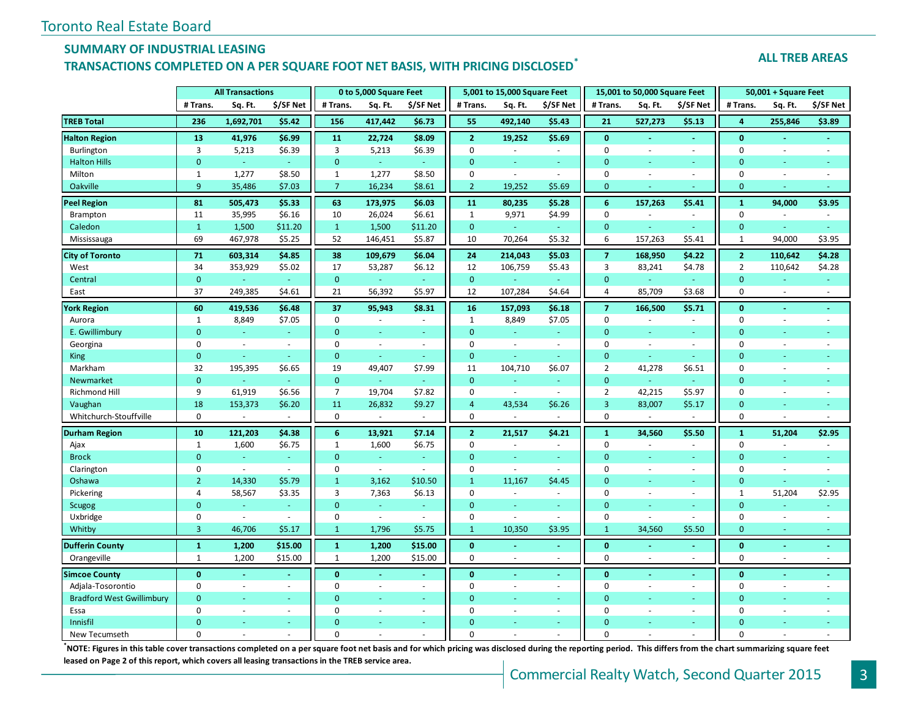#### **SUMMARY OF INDUSTRIAL LEASING**

#### **TRANSACTIONS COMPLETED ON A PER SQUARE FOOT NET BASIS, WITH PRICING DISCLOSED\***

#### **ALL TREB AREAS**

|                                  | <b>All Transactions</b> |           |           |                | 0 to 5,000 Square Feet   |                |                | 5,001 to 15,000 Square Feet |                | 15,001 to 50,000 Square Feet |                          |                | 50,001 + Square Feet |                          |                          |  |
|----------------------------------|-------------------------|-----------|-----------|----------------|--------------------------|----------------|----------------|-----------------------------|----------------|------------------------------|--------------------------|----------------|----------------------|--------------------------|--------------------------|--|
|                                  | # Trans.                | Sq. Ft.   | \$/SF Net | # Trans.       | Sq. Ft.                  | \$/SF Net      | # Trans.       | Sq. Ft.                     | \$/SF Net      | # Trans.                     | Sq. Ft.                  | \$/SF Net      | # Trans.             | Sq. Ft.                  | \$/SF Net                |  |
| <b>TREB Total</b>                | 236                     | 1,692,701 | \$5.42    | 156            | 417,442                  | \$6.73         | 55             | 492,140                     | \$5.43         | 21                           | 527,273                  | \$5.13         | 4                    | 255,846                  | \$3.89                   |  |
| <b>Halton Region</b>             | 13                      | 41,976    | \$6.99    | 11             | 22,724                   | \$8.09         | $\mathbf{2}$   | 19,252                      | \$5.69         | $\bf{0}$                     | $\sim$                   | $\sim$         | $\bf{0}$             |                          | ä,                       |  |
| Burlington                       | 3                       | 5,213     | \$6.39    | 3              | 5,213                    | \$6.39         | $\Omega$       | $\sim$                      | $\sim$         | $\mathbf 0$                  |                          | $\sim$         | $\mathbf 0$          | $\overline{\phantom{a}}$ |                          |  |
| <b>Halton Hills</b>              | $\mathbf{0}$            | G.        | G.        | $\mathbf{0}$   | ä,                       | $\sim$         | $\Omega$       | u.                          | u.             | $\overline{0}$               |                          | $\sim$         | $\mathbf{0}$         | $\sim$                   | ÷                        |  |
| Milton                           | $\mathbf{1}$            | 1,277     | \$8.50    | $\mathbf{1}$   | 1,277                    | \$8.50         | $\Omega$       | $\omega$                    | $\omega$       | $\mathbf 0$                  |                          | $\sim$         | $\mathbf 0$          | $\sim$                   | ÷,                       |  |
| Oakville                         | 9                       | 35,486    | \$7.03    | $\overline{7}$ | 16,234                   | \$8.61         | $\overline{2}$ | 19,252                      | \$5.69         | $\mathbf{0}$                 |                          |                | $\mathbf{0}$         | $\sim$                   |                          |  |
| <b>Peel Region</b>               | 81                      | 505,473   | \$5.33    | 63             | 173,975                  | \$6.03\$       | 11             | 80,235                      | \$5.28         | $6\phantom{1}$               | 157,263                  | \$5.41         | $\mathbf{1}$         | 94,000                   | \$3.95                   |  |
| Brampton                         | 11                      | 35,995    | \$6.16    | 10             | 26,024                   | \$6.61         | $\mathbf{1}$   | 9,971                       | \$4.99         | $\mathbf 0$                  |                          | $\omega$       | $\mathbf 0$          |                          | $\bar{a}$                |  |
| Caledon                          | $\mathbf{1}$            | 1,500     | \$11.20   | $\mathbf{1}$   | 1,500                    | \$11.20        | $\mathbf{0}$   | $\omega_{\rm c}$            | $\omega$       | $\overline{0}$               |                          | ÷.             | $\mathbf{0}$         |                          | ÷                        |  |
| Mississauga                      | 69                      | 467,978   | \$5.25    | 52             | 146,451                  | \$5.87         | 10             | 70,264                      | \$5.32         | 6                            | 157,263                  | \$5.41         | $\mathbf{1}$         | 94,000                   | \$3.95                   |  |
| <b>City of Toronto</b>           | 71                      | 603,314   | \$4.85    | 38             | 109,679                  | \$6.04         | 24             | 214,043                     | \$5.03         | $\overline{7}$               | 168,950                  | \$4.22         | $\overline{2}$       | 110,642                  | \$4.28                   |  |
| West                             | 34                      | 353,929   | \$5.02    | 17             | 53,287                   | \$6.12         | 12             | 106,759                     | \$5.43         | 3                            | 83,241                   | \$4.78         | $\overline{2}$       | 110,642                  | \$4.28                   |  |
| Central                          | $\mathbf{0}$            |           | $\omega$  | $\mathbf 0$    | ÷                        | $\sim$         | $\mathbf{0}$   | $\omega$                    | $\omega$       | $\overline{0}$               |                          | $\sim$         | $\mathbf{0}$         |                          | ÷                        |  |
| East                             | 37                      | 249,385   | \$4.61    | 21             | 56,392                   | \$5.97         | 12             | 107,284                     | \$4.64         | 4                            | 85,709                   | \$3.68         | $\mathbf 0$          | $\sim$                   | $\sim$                   |  |
| <b>York Region</b>               | 60                      | 419,536   | \$6.48    | 37             | 95,943                   | \$8.31         | 16             | 157,093                     | \$6.18         | $\overline{7}$               | 166,500                  | \$5.71         | $\bf{0}$             | $\sim$                   | $\blacksquare$           |  |
| Aurora                           | $\mathbf{1}$            | 8,849     | \$7.05    | $\mathbf 0$    | $\sim$                   | $\sim$         | $\mathbf{1}$   | 8,849                       | \$7.05         | $\mathbf 0$                  | $\overline{\phantom{a}}$ | $\sim$         | $\mathbf 0$          | $\sim$                   | $\bar{a}$                |  |
| E. Gwillimbury                   | $\mathbf{0}$            |           |           | $\mathbf{0}$   | ÷,                       | ÷              | $\Omega$       | u,                          | ÷              | $\overline{0}$               |                          | ä,             | $\overline{0}$       |                          |                          |  |
| Georgina                         | 0                       | $\sim$    | $\sim$    | 0              | $\sim$                   | $\omega$       | $\mathbf 0$    | $\omega$                    | $\sim$         | 0                            | $\sim$                   | $\blacksquare$ | 0                    | $\sim$                   | $\bar{a}$                |  |
| King                             | $\mathbf{0}$            | $\omega$  | ÷.        | $\mathbf 0$    | $\omega$                 | $\omega$       | $\mathbf{0}$   | ÷.                          | ÷.             | $\mathbf{0}$                 | ÷                        | $\omega$       | $\mathbf{0}$         |                          | ä,                       |  |
| Markham                          | 32                      | 195,395   | \$6.65    | 19             | 49,407                   | \$7.99         | 11             | 104,710                     | \$6.07         | $\overline{2}$               | 41,278                   | \$6.51         | 0                    | $\sim$                   | ä,                       |  |
| Newmarket                        | $\mathbf{0}$            |           | $\sim$    | $\mathbf 0$    | ÷                        | ÷              | $\Omega$       | ÷                           | ÷              | $\mathbf{0}$                 | a.                       | ÷              | $\Omega$             |                          |                          |  |
| <b>Richmond Hill</b>             | 9                       | 61,919    | \$6.56    | $\overline{7}$ | 19,704                   | \$7.82         | $\mathbf 0$    | $\omega$                    | $\omega$       | $\overline{2}$               | 42,215                   | \$5.97         | $\mathbf 0$          | $\sim$                   |                          |  |
| Vaughan                          | 18                      | 153,373   | \$6.20    | 11             | 26,832                   | \$9.27         | $\overline{4}$ | 43,534                      | \$6.26         | $\overline{3}$               | 83,007                   | \$5.17         | $\mathbf{0}$         | <b>Co</b>                | Ξ                        |  |
| Whitchurch-Stouffville           | $\mathbf 0$             |           |           | 0              |                          |                | $\mathbf 0$    |                             |                | $\mathbf 0$                  |                          |                | $\mathbf 0$          | $\sim$                   |                          |  |
| <b>Durham Region</b>             | 10                      | 121,203   | \$4.38    | $6\phantom{1}$ | 13,921                   | \$7.14         | $\overline{2}$ | 21,517                      | \$4.21         | $\mathbf{1}$                 | 34,560                   | \$5.50         | $\mathbf{1}$         | 51,204                   | \$2.95                   |  |
| Ajax                             | $\mathbf{1}$            | 1,600     | \$6.75    | $\mathbf{1}$   | 1,600                    | \$6.75         | $\mathbf 0$    | ä,                          | $\omega$       | $\mathbf 0$                  |                          | ÷.             | $\mathbf 0$          |                          |                          |  |
| <b>Brock</b>                     | $\mathbf{0}$            | $\omega$  | $\omega$  | $\mathbf{0}$   | $\Box$                   | $\omega$       | $\mathbf{0}$   | ä,                          | ÷.             | $\overline{0}$               |                          | ÷.             | $\mathbf{0}$         |                          | Ξ                        |  |
| Clarington                       | $\mathbf 0$             | $\sim$    | $\sim$    | $\mathbf 0$    | $\sim$                   | $\omega$       | $\mathbf 0$    | $\sim$                      | $\omega$       | $\mathbf 0$                  | ÷.                       | $\sim$         | $\mathbf 0$          | $\sim$                   | $\overline{\phantom{a}}$ |  |
| Oshawa                           | $\overline{2}$          | 14,330    | \$5.79    | $\mathbf{1}$   | 3,162                    | \$10.50        | $\mathbf{1}$   | 11,167                      | \$4.45         | $\overline{0}$               |                          |                | $\mathbf{0}$         |                          |                          |  |
| Pickering                        | 4                       | 58,567    | \$3.35    | 3              | 7,363                    | \$6.13         | $\mathbf 0$    | $\blacksquare$              | $\blacksquare$ | $\pmb{0}$                    | $\overline{a}$           | $\blacksquare$ | $\mathbf{1}$         | 51,204                   | \$2.95                   |  |
| Scugog                           | $\mathbf{0}$            |           | ÷.        | $\mathbf 0$    | ÷,                       |                | $\mathbf{0}$   | a.                          | ÷              | $\mathbf{0}$                 |                          | $\omega$       | $\mathbf{0}$         |                          | ä,                       |  |
| Uxbridge                         | $\mathbf 0$             | $\sim$    | $\sim$    | $\mathbf 0$    | $\omega$                 | $\sim$         | $\mathbf 0$    | $\omega$                    | $\omega$       | $\mathbf 0$                  | $\overline{\phantom{a}}$ | ÷.             | $\pmb{0}$            | $\overline{\phantom{a}}$ | $\sim$                   |  |
| Whitby                           | $\overline{3}$          | 46,706    | \$5.17    | $\mathbf{1}$   | 1,796                    | \$5.75         | $\mathbf{1}$   | 10,350                      | \$3.95         | $\mathbf{1}$                 | 34,560                   | \$5.50         | $\mathbf{0}$         | $\omega$                 | $\omega$                 |  |
| <b>Dufferin County</b>           | $\mathbf{1}$            | 1,200     | \$15.00   | 1              | 1,200                    | \$15.00        | $\mathbf{0}$   | ÷.                          | $\omega$       | $\bf{0}$                     |                          | ÷.             | $\bf{0}$             | $\sim$                   | $\blacksquare$           |  |
| Orangeville                      | $\mathbf{1}$            | 1,200     | \$15.00   | $\mathbf{1}$   | 1,200                    | \$15.00        | $\Omega$       | ÷.                          | ÷.             | $\pmb{0}$                    | $\sim$                   | $\sim$         | $\mathbf 0$          | $\sim$                   | ÷.                       |  |
| <b>Simcoe County</b>             | $\mathbf{0}$            |           |           | $\mathbf{0}$   | $\blacksquare$           | $\omega$       | $\mathbf{0}$   |                             |                | $\mathbf{0}$                 |                          | $\blacksquare$ | $\mathbf{0}$         |                          |                          |  |
| Adjala-Tosorontio                | $\mathbf 0$             | $\sim$    |           | $\mathbf 0$    | $\omega$                 | $\sim$         | $\mathbf 0$    | ä,                          | $\omega$       | $\pmb{0}$                    |                          | $\sim$         | 0                    | $\sim$                   |                          |  |
| <b>Bradford West Gwillimbury</b> | $\mathbf{0}$            |           |           | $\Omega$       | Ξ                        | $\blacksquare$ | $\mathbf{0}$   |                             | $\omega$       | $\overline{0}$               |                          | $\equiv$       | $\mathbf{0}$         |                          |                          |  |
| Essa                             | $\Omega$                | $\sim$    | $\sim$    | $\Omega$       | $\overline{\phantom{a}}$ | $\sim$         | $\Omega$       | ÷.                          | ÷.             | $\pmb{0}$                    | $\sim$                   | ÷.             | 0                    | $\sim$                   |                          |  |
| Innisfil                         | $\Omega$                |           |           | $\Omega$       |                          |                | $\Omega$       |                             |                | $\Omega$                     |                          |                | $\Omega$             |                          |                          |  |
| New Tecumseth                    | $\Omega$                |           |           | $\Omega$       |                          |                | $\Omega$       |                             |                | $\Omega$                     |                          |                | $\Omega$             |                          |                          |  |

**\***<br>NOTE: Figures in this table cover transactions completed on a per square foot net basis and for which pricing was disclosed during the reporting period. This differs from the chart summarizing square feet **leased on Page 2 of this report, which covers all leasing transactions in the TREB service area.**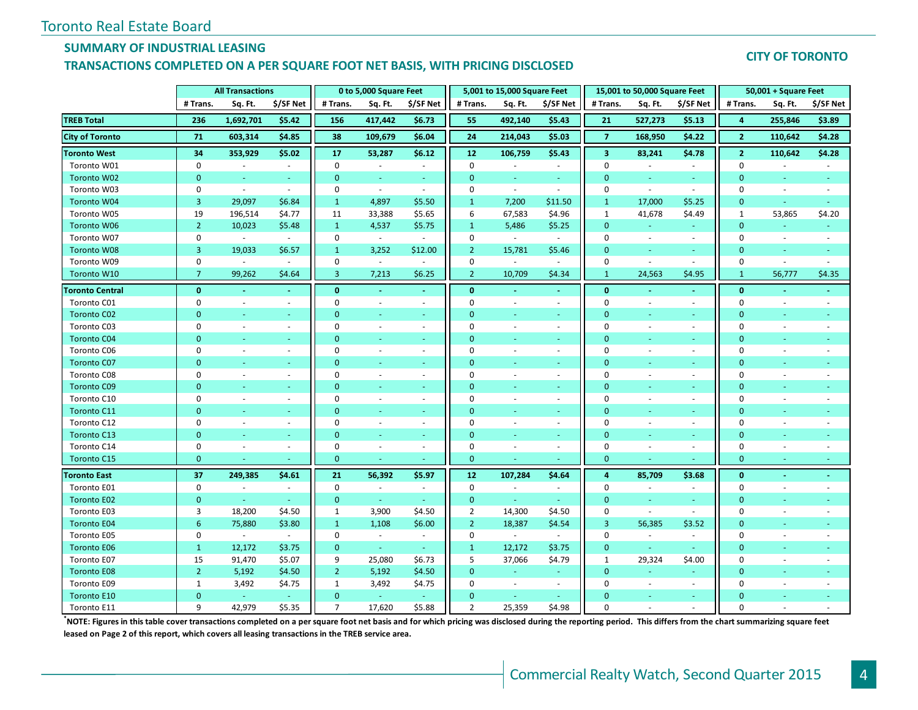### **SUMMARY OF INDUSTRIAL LEASING**

#### **TRANSACTIONS COMPLETED ON A PER SQUARE FOOT NET BASIS, WITH PRICING DISCLOSED**

#### **CITY OF TORONTO**

|                        | <b>All Transactions</b> |                          |                          |                | 0 to 5,000 Square Feet      |                          | 5,001 to 15,000 Square Feet<br>15,001 to 50,000 Square Feet |                |                          |                         | 50,001 + Square Feet        |                          |                |                          |                          |
|------------------------|-------------------------|--------------------------|--------------------------|----------------|-----------------------------|--------------------------|-------------------------------------------------------------|----------------|--------------------------|-------------------------|-----------------------------|--------------------------|----------------|--------------------------|--------------------------|
|                        | # Trans.                | Sq. Ft.                  | \$/SF Net                | # Trans.       | Sq. Ft.                     | \$/SF Net                | # Trans.                                                    | Sq. Ft.        | \$/SF Net                | # Trans.                | Sq. Ft.                     | \$/SF Net                | # Trans.       | Sq. Ft.                  | \$/SF Net                |
| <b>TREB Total</b>      | 236                     | 1,692,701                | \$5.42                   | 156            | 417,442                     | \$6.73                   | 55                                                          | 492,140        | \$5.43                   | 21                      | 527,273                     | \$5.13                   | 4              | 255,846                  | \$3.89                   |
| <b>City of Toronto</b> | 71                      | 603,314                  | \$4.85                   | 38             | 109,679                     | \$6.04                   | 24                                                          | 214,043        | \$5.03                   | $\overline{7}$          | 168,950                     | \$4.22                   | $\overline{2}$ | 110,642                  | \$4.28                   |
| <b>Toronto West</b>    | 34                      | 353,929                  | \$5.02\$                 | 17             | 53,287                      | \$6.12                   | 12                                                          | 106,759        | \$5.43                   | $\overline{\mathbf{3}}$ | 83,241                      | \$4.78                   | $\overline{2}$ | 110,642                  | \$4.28                   |
| Toronto W01            | $\mathbf 0$             | $\sim$                   | $\sim$                   | $\mathbf 0$    |                             | $\sim$                   | $\mathbf 0$                                                 |                | $\sim$                   | $\mathbf 0$             |                             | $\sim$                   | $\mathbf 0$    |                          |                          |
| Toronto W02            | $\mathbf{0}$            | ÷                        | $\sim$                   | $\mathbf{0}$   | ÷.                          | $\sim$                   | $\mathbf{0}$                                                | $\sim$         | $\omega$                 | $\mathbf{0}$            | ÷.                          | $\omega$                 | $\mathbf{0}$   |                          | u                        |
| Toronto W03            | $\mathbf 0$             | $\omega$                 | $\omega$                 | 0              | $\mathcal{L}_{\mathcal{A}}$ | $\omega$                 | $\mathbf 0$                                                 | $\sim$         | $\sim$                   | $\mathbf 0$             | $\mathcal{L}_{\mathcal{A}}$ | $\sim$                   | $\mathbf 0$    | $\overline{\phantom{a}}$ | $\sim$                   |
| Toronto W04            | 3                       | 29,097                   | \$6.84                   | $\mathbf{1}$   | 4,897                       | \$5.50                   | $\mathbf{1}$                                                | 7,200          | \$11.50                  | $\mathbf{1}$            | 17,000                      | \$5.25                   | $\mathbf{0}$   | $\omega$                 | G.                       |
| Toronto W05            | 19                      | 196,514                  | \$4.77                   | 11             | 33,388                      | \$5.65                   | 6                                                           | 67,583         | \$4.96                   | $\mathbf{1}$            | 41,678                      | \$4.49                   | $\mathbf{1}$   | 53,865                   | \$4.20                   |
| <b>Toronto W06</b>     | $\overline{2}$          | 10,023                   | \$5.48                   | $\mathbf{1}$   | 4,537                       | \$5.75                   | $\mathbf{1}$                                                | 5,486          | \$5.25                   | $\mathbf{0}$            | $\omega$                    | $\sim$                   | $\mathbf{0}$   | $\omega$                 | $\equiv$                 |
| Toronto W07            | 0                       | $\sim$                   | $\sim$                   | 0              | $\mathcal{L}_{\mathcal{A}}$ | $\sim$                   | $\mathbf 0$                                                 | $\sim$         | $\sim$                   | $\mathbf 0$             | $\sim$                      | $\sim$                   | 0              | $\sim$                   | $\sim$                   |
| <b>Toronto W08</b>     | $\overline{3}$          | 19,033                   | \$6.57                   | $\mathbf{1}$   | 3,252                       | \$12.00                  | $\overline{2}$                                              | 15,781         | \$5.46                   | $\mathbf{0}$            | $\sim$                      | $\sim$                   | $\Omega$       | $\sim$                   | ÷.                       |
| Toronto W09            | 0                       | $\sim$                   | $\blacksquare$           | 0              | $\blacksquare$              |                          | $\mathbf 0$                                                 | $\sim$         | $\overline{\phantom{a}}$ | $\boldsymbol{0}$        | $\overline{\phantom{a}}$    | $\sim$                   | $\mathbf 0$    | $\overline{\phantom{a}}$ | $\overline{\phantom{a}}$ |
| Toronto W10            | $\overline{7}$          | 99,262                   | \$4.64                   | 3              | 7,213                       | \$6.25                   | $\overline{2}$                                              | 10,709         | \$4.34                   | $\mathbf{1}$            | 24,563                      | \$4.95                   | $\mathbf{1}$   | 56,777                   | \$4.35                   |
| <b>Toronto Central</b> | $\mathbf{0}$            | $\omega$                 | $\omega$                 | $\bf{0}$       | $\omega$                    | $\omega_{\rm c}$         | $\mathbf{0}$                                                | $\omega$       | $\omega$                 | $\mathbf{0}$            | $\blacksquare$              | $\blacksquare$           | $\bf{0}$       | $\blacksquare$           | ä,                       |
| Toronto C01            | $\mathbf 0$             | $\sim$                   | $\omega$                 | 0              | $\blacksquare$              | $\blacksquare$           | $\mathbf 0$                                                 | $\sim$         | $\omega$                 | $\mathbf 0$             | $\sim$                      | $\bar{a}$                | 0              | $\overline{\phantom{a}}$ | $\bar{\phantom{a}}$      |
| <b>Toronto C02</b>     | $\overline{0}$          | $\omega$                 | $\omega$                 | $\mathbf{0}$   | $\omega$                    | $\omega$                 | $\mathbf{0}$                                                | $\sim$         | $\omega$                 | $\mathbf{0}$            |                             | $\sim$                   | $\Omega$       | $\omega$                 | Ξ                        |
| Toronto C03            | $\mathbf 0$             | $\omega$                 | $\omega$                 | $\pmb{0}$      | $\sim$                      | $\blacksquare$           | $\mathbf 0$                                                 | $\sim$         | $\sim$                   | 0                       | $\sim$                      | $\sim$                   | $\Omega$       | $\sim$                   | ä,                       |
| <b>Toronto C04</b>     | $\Omega$                | ÷                        | ÷.                       | $\mathbf{0}$   | ÷.                          | ÷                        | $\mathbf{0}$                                                | ÷              | $\omega_{\rm c}$         | $\mathbf{0}$            | $\sim$                      | $\sim$                   | $\Omega$       | $\sim$                   | ÷                        |
| Toronto C06            | $\Omega$                | $\overline{\phantom{a}}$ | ÷.                       | 0              | $\sim$                      | $\sim$                   | $\Omega$                                                    | $\sim$         | $\blacksquare$           | 0                       | $\sim$                      | $\sim$                   | 0              | $\overline{\phantom{a}}$ |                          |
| <b>Toronto C07</b>     | $\Omega$                |                          |                          | $\overline{0}$ |                             |                          | $\Omega$                                                    |                | u,                       | $\Omega$                |                             | ٠                        | $\Omega$       |                          |                          |
| Toronto C08            | $\mathbf 0$             | $\overline{\phantom{a}}$ | $\overline{\phantom{a}}$ | $\mathbf 0$    | $\sim$                      | $\overline{\phantom{a}}$ | $\mathbf 0$                                                 | $\sim$         | $\omega$                 | $\mathbf 0$             | $\overline{\phantom{a}}$    | $\blacksquare$           | $\mathbf 0$    | $\overline{\phantom{a}}$ | ä,                       |
| <b>Toronto C09</b>     | $\Omega$                | $\sim$                   | ÷                        | $\mathbf{0}$   | ÷.                          | ÷                        | $\Omega$                                                    | ÷              | ÷                        | $\mathbf{0}$            |                             | ÷                        | $\overline{0}$ | ÷                        |                          |
| Toronto C10            | 0                       | $\overline{\phantom{a}}$ | $\sim$                   | 0              | $\sim$                      | $\sim$                   | $\Omega$                                                    | $\sim$         | $\omega$                 | $\mathbf 0$             |                             | $\omega$                 | $\Omega$       | $\sim$                   |                          |
| Toronto C11            | $\Omega$                | ÷                        | ÷.                       | $\mathbf 0$    | ÷.                          | $\sim$                   | $\mathbf{0}$                                                | ÷.             | a.                       | $\mathbf{0}$            | $\sim$                      | $\sim$                   | $\overline{0}$ | ÷                        |                          |
| Toronto C12            | 0                       | $\overline{\phantom{a}}$ | ÷.                       | 0              | $\overline{\phantom{a}}$    | $\overline{\phantom{a}}$ | 0                                                           | $\sim$         | $\sim$                   | 0                       | $\sim$                      | $\sim$                   | 0              | $\sim$                   |                          |
| Toronto C13            | $\overline{0}$          | ÷.                       | $\omega$                 | $\mathbf 0$    | $\omega$                    | $\blacksquare$           | $\mathbf{0}$                                                | $\omega$       | $\omega$                 | $\mathbf{0}$            |                             | ÷                        | $\overline{0}$ | $\omega$                 | Ξ                        |
| Toronto C14            | $\Omega$                | $\sim$                   | $\sim$                   | $\mathbf 0$    | $\sim$                      | $\sim$                   | $\mathbf 0$                                                 | $\sim$         | $\sim$                   | $\mathbf 0$             | $\sim$                      | $\sim$                   | $\mathbf 0$    | $\sim$                   | ÷                        |
| <b>Toronto C15</b>     | $\mathbf{0}$            | ÷                        | ÷                        | $\mathbf{0}$   | $\omega$                    | ÷                        | $\mathbf{0}$                                                | ÷.             | ÷.                       | $\mathbf{0}$            |                             | u                        | $\mathbf{0}$   | ÷                        |                          |
| <b>Toronto East</b>    | 37                      | 249,385                  | \$4.61                   | 21             | 56,392                      | \$5.97                   | 12                                                          | 107,284        | \$4.64                   | $\overline{4}$          | 85,709                      | \$3.68                   | $\mathbf{0}$   | $\omega$                 | $\blacksquare$           |
| Toronto E01            | 0                       | $\sim$                   | $\overline{\phantom{a}}$ | 0              | $\sim$                      | $\sim$                   | $\mathbf 0$                                                 | $\blacksquare$ | $\blacksquare$           | 0                       | $\overline{\phantom{a}}$    | $\sim$                   | 0              | $\sim$                   | ÷.                       |
| <b>Toronto E02</b>     | $\mathbf{0}$            | ÷.                       | $\omega$                 | $\mathbf 0$    | $\omega$                    | $\omega$                 | $\mathbf{0}$                                                | $\sim$ .       | $\omega$                 | $\mathbf{0}$            | ÷.                          | $\blacksquare$           | $\mathbf 0$    | $\omega$                 |                          |
| Toronto E03            | 3                       | 18,200                   | \$4.50                   | $\mathbf{1}$   | 3,900                       | \$4.50                   | $\overline{2}$                                              | 14,300         | \$4.50                   | $\mathbf 0$             | $\sim$                      | $\sim$                   | 0              | $\sim$                   |                          |
| <b>Toronto E04</b>     | 6                       | 75,880                   | \$3.80                   | $\mathbf{1}$   | 1,108                       | \$6.00                   | $\overline{2}$                                              | 18,387         | \$4.54                   | $\overline{3}$          | 56,385                      | \$3.52                   | 0              | $\omega$                 | ÷,                       |
| Toronto E05            | 0                       | $\sim$                   | $\omega$                 | $\mathbf 0$    | $\sim$                      | $\sim$                   | 0                                                           | $\sim$         | $\sim$                   | $\mathbf 0$             | $\sim$                      | $\sim$                   | 0              | $\sim$                   | $\sim$                   |
| <b>Toronto E06</b>     | $\mathbf{1}$            | 12,172                   | \$3.75                   | $\mathbf{0}$   | $\omega$                    | $\omega$                 | $\mathbf{1}$                                                | 12,172         | \$3.75                   | $\mathbf{0}$            | G.                          | ÷                        | $\Omega$       | $\sim$                   |                          |
| Toronto E07            | 15                      | 91,470                   | \$5.07                   | 9              | 25,080                      | \$6.73                   | 5                                                           | 37,066         | \$4.79                   | $\mathbf{1}$            | 29,324                      | \$4.00                   | $\mathbf 0$    | $\overline{\phantom{a}}$ |                          |
| <b>Toronto E08</b>     | 2 <sup>1</sup>          | 5,192                    | \$4.50                   | $\overline{2}$ | 5,192                       | \$4.50                   | $\mathbf{0}$                                                | a.             | $\sim$                   | $\mathbf{0}$            |                             | $\overline{\phantom{a}}$ | $\mathbf{0}$   |                          |                          |
| Toronto E09            | 1                       | 3,492                    | \$4.75                   | $\mathbf{1}$   | 3,492                       | \$4.75                   | $\mathbf 0$                                                 | $\sim$         | $\omega$                 | $\mathbf 0$             | $\sim$                      | $\sim$                   | $\Omega$       |                          |                          |
| <b>Toronto E10</b>     | $\overline{0}$          | $\omega_{\rm c}$         | $\omega$                 | $\mathbf{0}$   | $\omega$                    | $\omega$                 | $\mathbf{0}$                                                | $\sim$         | $\sim$                   | $\Omega$                |                             | $\sim$                   | $\Omega$       |                          |                          |
| Toronto E11            | 9                       | 42,979                   | \$5.35                   | $\overline{7}$ | 17,620                      | \$5.88                   | 2                                                           | 25,359         | \$4.98                   | $\Omega$                |                             |                          | $\Omega$       |                          |                          |

**\*NOTE: Figures in this table cover transactions completed on a per square foot net basis and for which pricing was disclosed during the reporting period. This differs from the chart summarizing square feet leased on Page 2 of this report, which covers all leasing transactions in the TREB service area.**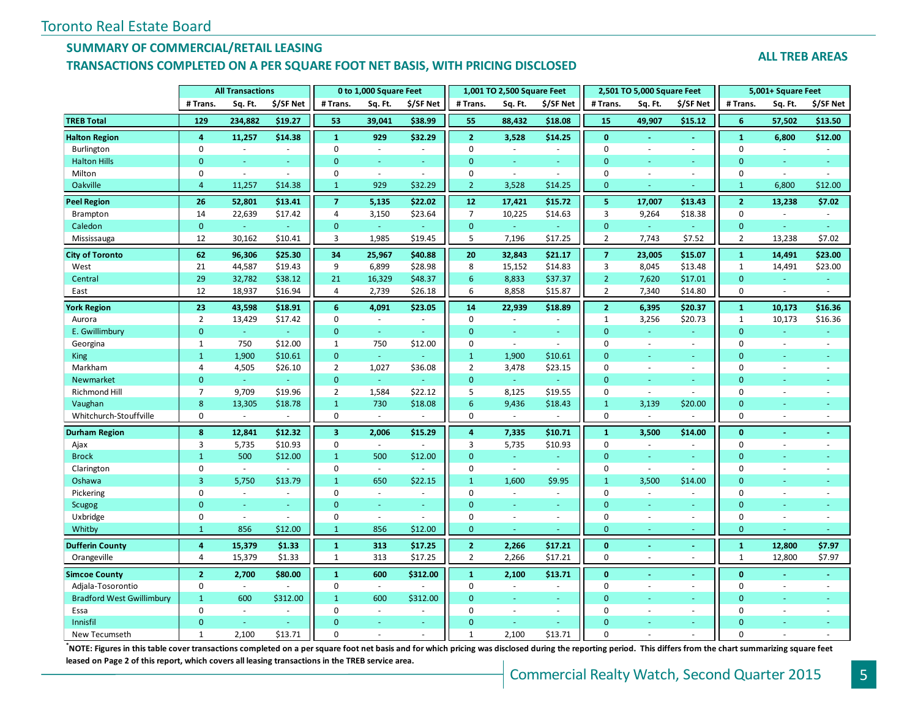### **SUMMARY OF COMMERCIAL/RETAIL LEASING**

#### **TRANSACTIONS COMPLETED ON A PER SQUARE FOOT NET BASIS, WITH PRICING DISCLOSED**

#### **ALL TREB AREAS**

|                                  | <b>All Transactions</b> |                             |           |                         | 0 to 1,000 Square Feet |                          |                         | 1,001 TO 2,500 Square Feet |                  | 2,501 TO 5,000 Square Feet |                          |                          | 5,001+ Square Feet |                          |                |
|----------------------------------|-------------------------|-----------------------------|-----------|-------------------------|------------------------|--------------------------|-------------------------|----------------------------|------------------|----------------------------|--------------------------|--------------------------|--------------------|--------------------------|----------------|
|                                  | # Trans.                | Sq. Ft.                     | \$/SF Net | # Trans.                | Sq. Ft.                | \$/SF Net                | # Trans.                | Sq. Ft.                    | \$/SF Net        | # Trans.                   | Sq. Ft.                  | \$/SF Net                | # Trans.           | Sq. Ft.                  | \$/SF Net      |
| <b>TREB Total</b>                | 129                     | 234,882                     | \$19.27   | 53                      | 39,041                 | \$38.99                  | 55                      | 88,432                     | \$18.08          | 15                         | 49,907                   | \$15.12                  | 6                  | 57,502                   | \$13.50        |
| <b>Halton Region</b>             | 4                       | 11,257                      | \$14.38   | $\mathbf{1}$            | 929                    | \$32.29                  | $\overline{2}$          | 3,528                      | \$14.25          | $\mathbf{0}$               | $\blacksquare$           | $\blacksquare$           | $\mathbf{1}$       | 6,800                    | \$12.00        |
| Burlington                       | $\pmb{0}$               | $\sim$                      | $\sim$    | $\Omega$                | $\sim$                 | $\sim$                   | $\Omega$                | $\sim$                     | $\sim$           | $\mathbf 0$                | $\sim$                   | $\overline{\phantom{a}}$ | $\pmb{0}$          | $\sim$                   | $\overline{a}$ |
| <b>Halton Hills</b>              | $\Omega$                | ÷                           |           | $\Omega$                | u.                     | ÷                        | $\Omega$                | ÷                          | u.               | $\Omega$                   | ÷                        | $\sim$                   | $\mathbf{0}$       | ÷                        |                |
| Milton                           | $\mathbf 0$             | ÷,                          | $\sim$    | $\mathbf 0$             | $\blacksquare$         | $\sim$                   | $\mathbf 0$             | $\blacksquare$             | $\sim$           | $\mathbf 0$                | ÷,                       | $\sim$                   | $\mathbf 0$        | $\omega$                 | ÷,             |
| Oakville                         | $\overline{4}$          | 11,257                      | \$14.38   | $\mathbf{1}$            | 929                    | \$32.29                  | $\overline{2}$          | 3,528                      | \$14.25          | $\mathbf{0}$               |                          |                          | $\mathbf{1}$       | 6,800                    | \$12.00        |
| <b>Peel Region</b>               | 26                      | 52,801                      | \$13.41   | $\overline{7}$          | 5,135                  | \$22.02                  | 12                      | 17,421                     | \$15.72          | 5 <sub>1</sub>             | 17,007                   | \$13.43                  | $\overline{2}$     | 13,238                   | \$7.02         |
| Brampton                         | 14                      | 22,639                      | \$17.42   | $\overline{4}$          | 3,150                  | \$23.64                  | $\overline{7}$          | 10,225                     | \$14.63          | $\overline{3}$             | 9,264                    | \$18.38                  | $\mathbf 0$        |                          |                |
| Caledon                          | $\mathbf{0}$            | $\omega$                    |           | $\mathbf{0}$            | $\omega$               |                          | $\mathbf{0}$            | $\omega$                   |                  | $\mathbf{0}$               | $\omega$                 | $\omega$                 | $\mathbf{0}$       | $\sim$                   | $\equiv$       |
| Mississauga                      | 12                      | 30,162                      | \$10.41   | 3                       | 1,985                  | \$19.45                  | 5                       | 7,196                      | \$17.25          | $\overline{2}$             | 7,743                    | \$7.52                   | $\overline{2}$     | 13,238                   | \$7.02         |
| <b>City of Toronto</b>           | 62                      | 96,306                      | \$25.30   | 34                      | 25,967                 | \$40.88                  | 20                      | 32,843                     | \$21.17          | $\overline{7}$             | 23,005                   | \$15.07                  | $\mathbf{1}$       | 14,491                   | \$23.00        |
| West                             | 21                      | 44,587                      | \$19.43   | 9                       | 6,899                  | \$28.98                  | 8                       | 15,152                     | \$14.83          | 3                          | 8,045                    | \$13.48                  | $\mathbf{1}$       | 14,491                   | \$23.00        |
| Central                          | 29                      | 32,782                      | \$38.12   | 21                      | 16,329                 | \$48.37                  | 6                       | 8,833                      | \$37.37          | $\overline{2}$             | 7,620                    | \$17.01                  | $\mathbf{0}$       | $\omega$                 | $\equiv$       |
| East                             | 12                      | 18,937                      | \$16.94   | $\overline{4}$          | 2,739                  | \$26.18                  | 6                       | 8,858                      | \$15.87          | $\overline{2}$             | 7,340                    | \$14.80                  | $\mathbf 0$        | $\sim$                   | $\blacksquare$ |
| <b>York Region</b>               | 23                      | 43,598                      | \$18.91   | 6                       | 4,091                  | \$23.05                  | 14                      | 22,939                     | \$18.89          | $\overline{2}$             | 6,395                    | \$20.37                  | $\mathbf{1}$       | 10,173                   | \$16.36        |
| Aurora                           | $\overline{2}$          | 13,429                      | \$17.42   | $\mathbf 0$             | ÷.                     | $\overline{a}$           | $\mathsf 0$             | $\blacksquare$             | $\sim$           | $\mathbf{1}$               | 3,256                    | \$20.73                  | $\mathbf{1}$       | 10,173                   | \$16.36        |
| E. Gwillimbury                   | $\mathbf{0}$            | $\omega$                    |           | $\overline{0}$          | ÷                      |                          | $\overline{0}$          | ÷.                         | $\sim$           | $\mathbf{0}$               | ÷                        | ÷                        | $\mathbf{0}$       |                          |                |
| Georgina                         | $\mathbf{1}$            | 750                         | \$12.00   | $\mathbf{1}$            | 750                    | \$12.00                  | $\mathbf 0$             | $\omega$                   | $\sim$           | $\mathbf 0$                | $\sim$                   | ÷.                       | $\mathbf 0$        | $\sim$                   | ä,             |
| <b>King</b>                      | $\mathbf{1}$            | 1,900                       | \$10.61   | $\mathbf{0}$            | G.                     | ÷                        | $\mathbf{1}$            | 1,900                      | \$10.61          | $\mathbf{0}$               | ÷                        | ÷.                       | $\Omega$           | ÷                        | ÷.             |
| Markham                          | 4                       | 4,505                       | \$26.10   | $\overline{2}$          | 1,027                  | \$36.08                  | $\overline{2}$          | 3,478                      | \$23.15          | $\mathbf 0$                | $\bar{a}$                | $\sim$                   | $\mathbf 0$        | $\overline{\phantom{a}}$ | ÷,             |
| Newmarket                        | $\overline{0}$          | $\omega$                    |           | $\mathbf{0}$            | ÷.                     |                          | $\mathbf{0}$            | $\omega$                   | $\sim$           | $\mathbf{0}$               | ÷                        | ÷                        | $\mathbf{0}$       | ÷.                       |                |
| <b>Richmond Hill</b>             | $\overline{7}$          | 9,709                       | \$19.96   | $\overline{2}$          | 1,584                  | \$22.12                  | 5                       | 8,125                      | \$19.55          | $\mathbf 0$                | $\overline{\phantom{a}}$ | $\sim$                   | $\mathbf 0$        | $\omega$                 | ä,             |
| Vaughan                          | 8                       | 13,305                      | \$18.78   | $\mathbf{1}$            | 730                    | \$18.08                  | 6                       | 9,436                      | \$18.43          | $\mathbf{1}$               | 3,139                    | \$20.00                  | $\mathbf{0}$       |                          | u,             |
| Whitchurch-Stouffville           | $\pmb{0}$               | $\blacksquare$              |           | $\pmb{0}$               |                        |                          | $\boldsymbol{0}$        |                            |                  | $\mathbf 0$                | $\sim$                   |                          | $\mathbf 0$        | $\sim$                   | ä,             |
| Durham Region                    | 8                       | 12,841                      | \$12.32   | $\overline{\mathbf{3}}$ | 2,006                  | \$15.29                  | $\overline{\mathbf{4}}$ | 7,335                      | \$10.71          | $\mathbf{1}$               | 3,500                    | \$14.00                  | $\mathbf{0}$       |                          |                |
| Ajax                             | 3                       | 5,735                       | \$10.93   | 0                       | $\omega$               | $\sim$                   | 3                       | 5,735                      | \$10.93          | $\mathbf 0$                | $\bar{a}$                | $\bar{a}$                | $\mathbf 0$        | $\sim$                   |                |
| <b>Brock</b>                     | $\mathbf{1}$            | 500                         | \$12.00   | $\mathbf{1}$            | 500                    | \$12.00                  | $\mathbf{0}$            | $\omega_{\rm c}$           | $\omega_{\rm c}$ | $\mathbf{0}$               | $\equiv$                 | $\sim$                   | $\mathbf{0}$       |                          | Ξ              |
| Clarington                       | 0                       | $\mathcal{L}_{\mathcal{A}}$ | $\sim$    | $\mathbf 0$             | $\sim$                 | $\sim$                   | $\mathbf 0$             | $\sim$                     | $\sim$           | $\mathbf 0$                | $\sim$                   | $\sim$                   | $\mathbf 0$        | $\sim$                   | ä,             |
| Oshawa                           | $\overline{3}$          | 5,750                       | \$13.79   | $\mathbf{1}$            | 650                    | \$22.15                  | $\mathbf{1}$            | 1,600                      | \$9.95           | $\mathbf{1}$               | 3,500                    | \$14.00                  | $\mathbf{0}$       |                          |                |
| Pickering                        | $\mathbf 0$             | $\omega$                    | $\omega$  | $\mathbf 0$             | $\omega$               | $\sim$                   | $\mathbf 0$             | ÷.                         | $\omega$         | $\mathbf 0$                | $\omega$                 | $\sim$                   | $\mathbf 0$        | $\sim$                   |                |
| Scugog                           | $\Omega$                | u.                          |           | $\mathbf{0}$            | u,                     | ÷                        | $\overline{0}$          | ÷                          | ÷.               | $\mathbf{0}$               | ÷                        | ÷                        | $\mathbf{0}$       | ÷                        | u,             |
| Uxbridge                         | $\pmb{0}$               | $\omega$                    | ÷.        | $\mathbf 0$             | $\omega$               | $\sim$                   | $\mathbf 0$             | $\sim$                     | $\sim$           | $\mathbf 0$                | $\bar{a}$                | $\sim$                   | $\mathbf 0$        | $\omega$                 | ÷,             |
| Whitby                           | $\mathbf{1}$            | 856                         | \$12.00   | $\mathbf{1}$            | 856                    | \$12.00                  | $\mathbf{0}$            |                            |                  | $\mathbf{0}$               | ÷,                       | ÷                        | $\mathbf{0}$       |                          | u              |
| <b>Dufferin County</b>           | 4                       | 15,379                      | \$1.33    | $\mathbf{1}$            | 313                    | \$17.25                  | $\overline{2}$          | 2,266                      | \$17.21          | $\bf{0}$                   | $\blacksquare$           | $\blacksquare$           | $\mathbf{1}$       | 12,800                   | \$7.97         |
| Orangeville                      | $\overline{4}$          | 15,379                      | \$1.33    | $\mathbf{1}$            | 313                    | \$17.25                  | $\overline{2}$          | 2,266                      | \$17.21          | $\mathbf{0}$               | $\sim$                   | $\sim$                   | $\mathbf{1}$       | 12,800                   | \$7.97         |
| <b>Simcoe County</b>             | $\mathbf{2}$            | 2,700                       | \$80.00   | $\mathbf{1}$            | 600                    | \$312.00                 | $\mathbf{1}$            | 2,100                      | \$13.71          | $\mathbf{0}$               |                          | ä,                       | $\mathbf{0}$       |                          |                |
| Adjala-Tosorontio                | $\pmb{0}$               | $\sim$                      |           | 0                       | $\omega$               |                          | $\mathbf 0$             |                            | $\sim$           | $\mathbf 0$                | $\sim$                   | $\sim$                   | $\mathbf 0$        | $\overline{\phantom{a}}$ | ÷,             |
| <b>Bradford West Gwillimbury</b> | $\mathbf{1}$            | 600                         | \$312.00  | $\mathbf{1}$            | 600                    | \$312.00                 | $\mathbf{0}$            | ÷.                         | $\omega_{\rm c}$ | $\mathbf{0}$               | $\sim$                   | ÷                        | $\mathbf{0}$       |                          | ÷.             |
| Essa                             | $\Omega$                | $\mathbf{r}$                |           | $\Omega$                | $\sim$                 | $\overline{\phantom{a}}$ | $\mathbf 0$             | ä,                         | $\sim$           | $\mathbf 0$                | ÷,                       | $\sim$                   | $\Omega$           | $\sim$                   |                |
| Innisfil                         | $\Omega$                |                             |           | $\Omega$                |                        |                          | $\Omega$                |                            |                  | $\Omega$                   |                          | ٠                        | $\Omega$           |                          |                |
| New Tecumseth                    | $\mathbf{1}$            | 2,100                       | \$13.71   | $\Omega$                |                        | $\sim$                   | $\mathbf{1}$            | 2.100                      | \$13.71          | $\Omega$                   |                          |                          | $\Omega$           |                          |                |

**\***<br>**NOTE: Figures in this table cover transactions completed on a per square foot net basis and for which pricing was disclosed during the reporting period. This differs from the chart summarizing square feet <b>incipally leased on Page 2 of this report, which covers all leasing transactions in the TREB service area.**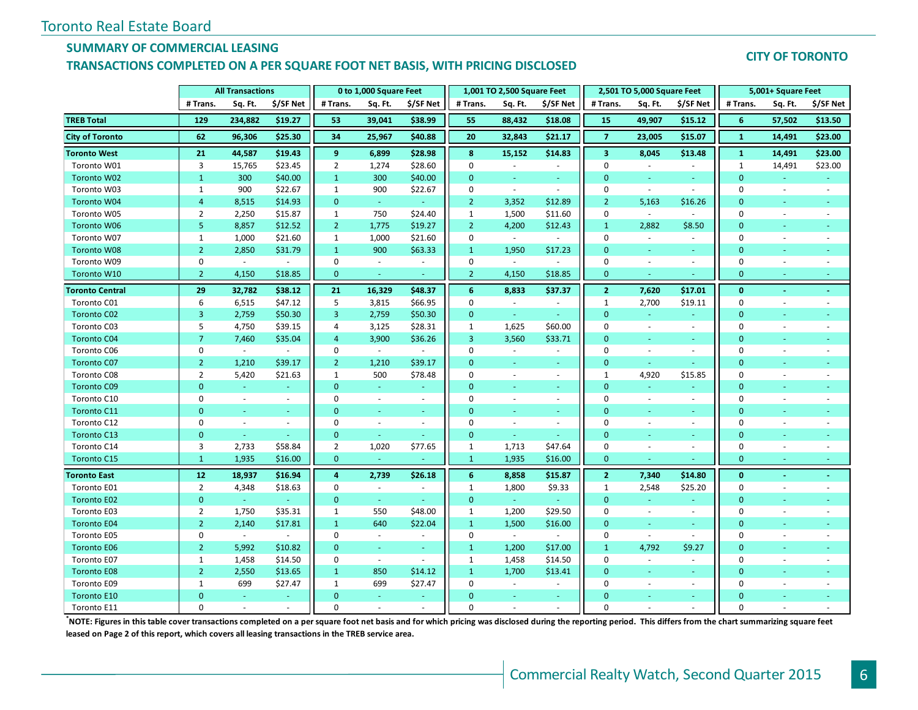#### **SUMMARY OF COMMERCIAL LEASING**

#### **TRANSACTIONS COMPLETED ON A PER SQUARE FOOT NET BASIS, WITH PRICING DISCLOSED**

#### **CITY OF TORONTO**

|                        | <b>All Transactions</b> |               |           |                | 0 to 1,000 Square Feet   |           | 1,001 TO 2,500 Square Feet<br>2,501 TO 5,000 Square Feet |                          |           |                         | 5,001+ Square Feet          |                          |              |                |                          |
|------------------------|-------------------------|---------------|-----------|----------------|--------------------------|-----------|----------------------------------------------------------|--------------------------|-----------|-------------------------|-----------------------------|--------------------------|--------------|----------------|--------------------------|
|                        | # Trans.                | Sq. Ft.       | \$/SF Net | # Trans.       | Sq. Ft.                  | \$/SF Net | # Trans.                                                 | Sq. Ft.                  | \$/SF Net | # Trans.                | Sq. Ft.                     | \$/SF Net                | # Trans.     | Sq. Ft.        | \$/SF Net                |
| <b>TREB Total</b>      | 129                     | 234,882       | \$19.27   | 53             | 39,041                   | \$38.99   | 55                                                       | 88,432                   | \$18.08   | 15                      | 49,907                      | \$15.12                  | 6            | 57,502         | \$13.50                  |
| <b>City of Toronto</b> | 62                      | 96,306        | \$25.30   | 34             | 25,967                   | \$40.88   | 20                                                       | 32,843                   | \$21.17   | $\overline{7}$          | 23,005                      | \$15.07                  | $\mathbf{1}$ | 14,491         | \$23.00                  |
| <b>Toronto West</b>    | 21                      | 44,587        | \$19.43   | 9              | 6,899                    | \$28.98   | 8                                                        | 15,152                   | \$14.83   | $\overline{\mathbf{3}}$ | 8,045                       | \$13.48                  | $\mathbf{1}$ | 14,491         | \$23.00                  |
| Toronto W01            | 3                       | 15,765        | \$23.45   | $\overline{2}$ | 1,274                    | \$28.60   | $\mathbf 0$                                              | $\overline{\phantom{a}}$ | $\sim$    | $\mathbf 0$             | $\sim$                      | $\overline{\phantom{a}}$ | 1            | 14,491         | \$23.00                  |
| Toronto W02            | $\mathbf{1}$            | 300           | \$40.00   | $\mathbf{1}$   | 300                      | \$40.00   | $\Omega$                                                 | $\sim$                   | $\omega$  | $\Omega$                | ÷                           | u,                       | $\mathbf{0}$ |                |                          |
| Toronto W03            | 1                       | 900           | \$22.67   | 1              | 900                      | \$22.67   | $\mathbf 0$                                              | $\sim$                   | $\sim$    | $\mathbf 0$             | $\overline{\phantom{a}}$    | $\sim$                   | $\mathbf 0$  | $\blacksquare$ | $\overline{\phantom{a}}$ |
| Toronto W04            | $\overline{4}$          | 8,515         | \$14.93   | $\mathbf{0}$   | $\omega$                 | ra.       | $\overline{2}$                                           | 3,352                    | \$12.89   | $\overline{2}$          | 5,163                       | \$16.26                  | $\mathbf{0}$ | ÷              |                          |
| Toronto W05            | $\overline{2}$          | 2,250         | \$15.87   | $\mathbf{1}$   | 750                      | \$24.40   | $\mathbf{1}$                                             | 1,500                    | \$11.60   | $\mathbf 0$             | $\mathcal{L}_{\mathcal{A}}$ | $\mathcal{L}$            | $\mathbf 0$  | $\sim$         |                          |
| Toronto W06            | 5                       | 8,857         | \$12.52   | $\overline{2}$ | 1,775                    | \$19.27   | $\overline{2}$                                           | 4,200                    | \$12.43   | $\mathbf{1}$            | 2,882                       | \$8.50                   | $\mathbf{0}$ | $\sim$         |                          |
| Toronto W07            | 1                       | 1,000         | \$21.60   | 1              | 1,000                    | \$21.60   | $\mathbf 0$                                              | $\sim$                   | $\sim$    | $\mathbf 0$             | $\sim$                      | ÷.                       | $\mathbf 0$  |                |                          |
| <b>Toronto W08</b>     | $\overline{2}$          | 2,850         | \$31.79   | $\mathbf{1}$   | 900                      | \$63.33   | $\mathbf{1}$                                             | 1,950                    | \$17.23   | $\mathbf{0}$            | $\equiv$                    | $\overline{\phantom{a}}$ | $\mathbf{0}$ |                |                          |
| Toronto W09            | $\pmb{0}$               | $\mathcal{L}$ | $\sim$    | $\mathbf 0$    | ÷.                       | $\sim$    | $\mathbf 0$                                              | $\sim$                   | $\sim$    | $\mathbf 0$             | $\sim$                      | $\sim$                   | $\mathbf 0$  | $\sim$         | ÷                        |
| Toronto W10            | $\overline{2}$          | 4,150         | \$18.85   | $\mathbf{0}$   | $\sim$                   | $\sim$    | $\overline{2}$                                           | 4,150                    | \$18.85   | $\mathbf{0}$            | ÷                           | ÷                        | $\mathbf{0}$ | $\sim$         |                          |
| <b>Toronto Central</b> | 29                      | 32,782        | \$38.12   | 21             | 16,329                   | \$48.37   | 6                                                        | 8,833                    | \$37.37   | $\overline{2}$          | 7,620                       | \$17.01                  | $\mathbf{0}$ | $\sim$         | $\blacksquare$           |
| Toronto C01            | 6                       | 6,515         | \$47.12   | 5              | 3,815                    | \$66.95   | $\mathbf 0$                                              | $\sim$                   | $\sim$    | $\mathbf{1}$            | 2,700                       | \$19.11                  | $\mathbf 0$  | $\sim$         | ä,                       |
| Toronto C02            | 3                       | 2,759         | \$50.30   | 3              | 2,759                    | \$50.30   | $\mathbf{0}$                                             | $\omega$                 | $\sim$    | $\mathbf{0}$            | $\sim$                      | $\sim$                   | $\mathbf{0}$ | $\sim$         |                          |
| Toronto C03            | 5                       | 4,750         | \$39.15   | $\overline{4}$ | 3,125                    | \$28.31   | $\mathbf{1}$                                             | 1,625                    | \$60.00   | $\mathbf 0$             | $\mathcal{L}_{\mathcal{A}}$ | $\sim$                   | $\mathbf 0$  | $\omega$       |                          |
| <b>Toronto C04</b>     | $\overline{7}$          | 7,460         | \$35.04   | $\overline{4}$ | 3,900                    | \$36.26   | $\overline{3}$                                           | 3,560                    | \$33.71   | $\mathbf{0}$            | $\omega$                    | $\sim$                   | $\mathbf{0}$ |                | Ξ                        |
| Toronto C06            | 0                       | $\sim$        | $\sim$    | 0              | $\sim$                   | $\sim$    | $\mathbf 0$                                              | $\overline{\phantom{a}}$ | $\sim$    | $\mathbf 0$             | $\sim$                      | ÷.                       | 0            | $\sim$         |                          |
| Toronto C07            | $\overline{2}$          | 1.210         | \$39.17   | $\overline{2}$ | 1,210                    | \$39.17   | $\Omega$                                                 | $\sim$                   | $\omega$  | $\Omega$                | ÷                           | ÷                        | $\Omega$     |                |                          |
| Toronto C08            | $\overline{2}$          | 5,420         | \$21.63   | 1              | 500                      | \$78.48   | $\Omega$                                                 | $\overline{\phantom{a}}$ | $\sim$    | $\mathbf{1}$            | 4,920                       | \$15.85                  | $\mathbf 0$  | $\blacksquare$ |                          |
| <b>Toronto C09</b>     | $\overline{0}$          | $\sim$        |           | $\mathbf{0}$   | ÷                        | $\sim$    | $\mathbf{0}$                                             | ÷.                       |           | $\mathbf{0}$            | ÷.                          | $\blacksquare$           | $\mathbf{0}$ | ÷.             |                          |
| Toronto C10            | $\Omega$                | $\sim$        | $\sim$    | $\mathbf 0$    | $\omega$                 | $\sim$    | $\mathbf 0$                                              |                          | $\sim$    | $\mathbf 0$             | $\bar{a}$                   | $\overline{\phantom{a}}$ | $\Omega$     |                |                          |
| Toronto C11            | $\overline{0}$          | ÷             | $\sim$    | $\Omega$       | ÷                        | $\sim$    | $\overline{0}$                                           | ٠                        | ÷         | $\mathbf{0}$            | ٠                           | ٠                        | $\Omega$     | $\sim$         |                          |
| Toronto C12            | $\mathbf 0$             | $\sim$        | $\sim$    | 0              | $\sim$                   | $\sim$    | $\mathbf 0$                                              | ä,                       | $\sim$    | $\mathbf 0$             | $\sim$                      | $\sim$                   | $\mathbf 0$  | ÷.             |                          |
| Toronto C13            | $\mathbf{0}$            | $\sim$        | ÷         | $\mathbf{0}$   | $\blacksquare$           |           | $\mathbf{0}$                                             | $\omega$                 | ÷.        | $\mathbf{0}$            | $\equiv$                    | $\overline{\phantom{a}}$ | $\mathbf{0}$ |                |                          |
| Toronto C14            | 3                       | 2,733         | \$58.84   | $\overline{2}$ | 1,020                    | \$77.65   | $\mathbf{1}$                                             | 1,713                    | \$47.64   | $\mathbf 0$             | $\bar{a}$                   | $\overline{\phantom{a}}$ | $\mathbf 0$  | $\blacksquare$ | ÷,                       |
| Toronto C15            | $\mathbf{1}$            | 1,935         | \$16.00   | $\mathbf{0}$   | $\sim$                   |           | $\mathbf{1}$                                             | 1,935                    | \$16.00   | $\mathbf{0}$            | ÷                           | ÷                        | $\mathbf{0}$ | $\sim$         |                          |
| <b>Toronto East</b>    | 12                      | 18,937        | \$16.94   | 4              | 2,739                    | \$26.18   | 6                                                        | 8,858                    | \$15.87   | $\overline{2}$          | 7,340                       | \$14.80                  | $\mathbf{0}$ |                | ä,                       |
| Toronto E01            | $\overline{2}$          | 4,348         | \$18.63   | $\mathbf 0$    | $\overline{\phantom{a}}$ | $\sim$    | $\mathbf{1}$                                             | 1,800                    | \$9.33    | $\mathbf{1}$            | 2,548                       | \$25.20                  | $\mathbf 0$  | $\sim$         | $\bar{a}$                |
| Toronto E02            | $\mathbf{0}$            | $\omega$      |           | $\mathbf{0}$   | $\omega$                 | ra.       | $\mathbf{0}$                                             | $\omega_{\rm c}$         | G.        | $\mathbf{0}$            | $\omega$                    | ÷.                       | $\mathbf{0}$ | ÷              |                          |
| Toronto E03            | $\overline{2}$          | 1,750         | \$35.31   | $\mathbf{1}$   | 550                      | \$48.00   | $\mathbf{1}$                                             | 1,200                    | \$29.50   | $\mathbf 0$             | $\mathcal{L}_{\mathcal{A}}$ | $\sim$                   | $\mathbf 0$  | $\omega$       |                          |
| <b>Toronto E04</b>     | $\overline{2}$          | 2,140         | \$17.81   | $\mathbf{1}$   | 640                      | \$22.04   | $\mathbf{1}$                                             | 1,500                    | \$16.00   | $\mathbf{0}$            | $\omega$                    | $\sim$                   | $\mathbf{0}$ |                | Ξ                        |
| Toronto E05            | $\mathbf 0$             | $\sim$        | $\sim$    | $\mathbf 0$    | ÷.                       | $\sim$    | 0                                                        | $\sim$                   | $\sim$    | $\mathbf 0$             | $\omega$                    | $\overline{\phantom{a}}$ | 0            | $\sim$         | ÷,                       |
| <b>Toronto E06</b>     | $\overline{2}$          | 5,992         | \$10.82   | $\mathbf{0}$   | ÷.                       | $\sim$    | $\mathbf{1}$                                             | 1,200                    | \$17.00   | $\mathbf{1}$            | 4,792                       | \$9.27                   | $\mathbf{0}$ | $\sim$         |                          |
| Toronto E07            | 1                       | 1,458         | \$14.50   | $\mathbf 0$    | $\blacksquare$           | $\sim$    | $\mathbf{1}$                                             | 1,458                    | \$14.50   | $\mathbf 0$             | $\overline{\phantom{a}}$    | $\overline{\phantom{a}}$ | $\mathbf 0$  | $\blacksquare$ | ä,                       |
| <b>Toronto E08</b>     | $\overline{2}$          | 2,550         | \$13.65   | $\mathbf{1}$   | 850                      | \$14.12   | $\mathbf{1}$                                             | 1,700                    | \$13.41   | $\mathbf{0}$            | ÷,                          | Ξ                        | $\mathbf{0}$ |                |                          |
| Toronto E09            | $\mathbf{1}$            | 699           | \$27.47   | 1              | 699                      | \$27.47   | $\mathbf 0$                                              | $\mathbf{r}$             | $\sim$    | $\mathbf 0$             | $\sim$                      | $\overline{\phantom{a}}$ | $\mathbf 0$  |                |                          |
| Toronto E10            | $\Omega$                | ÷.            | $\sim$    | $\Omega$       | ÷                        | $\sim$    | $\Omega$                                                 |                          | $\sim$    | $\Omega$                |                             | $\sim$                   | $\Omega$     |                |                          |
| Toronto E11            | $\Omega$                |               |           | $\Omega$       |                          |           | $\Omega$                                                 |                          |           | $\Omega$                |                             |                          | $\Omega$     |                |                          |

**\*NOTE: Figures in this table cover transactions completed on a per square foot net basis and for which pricing was disclosed during the reporting period. This differs from the chart summarizing square feet leased on Page 2 of this report, which covers all leasing transactions in the TREB service area.**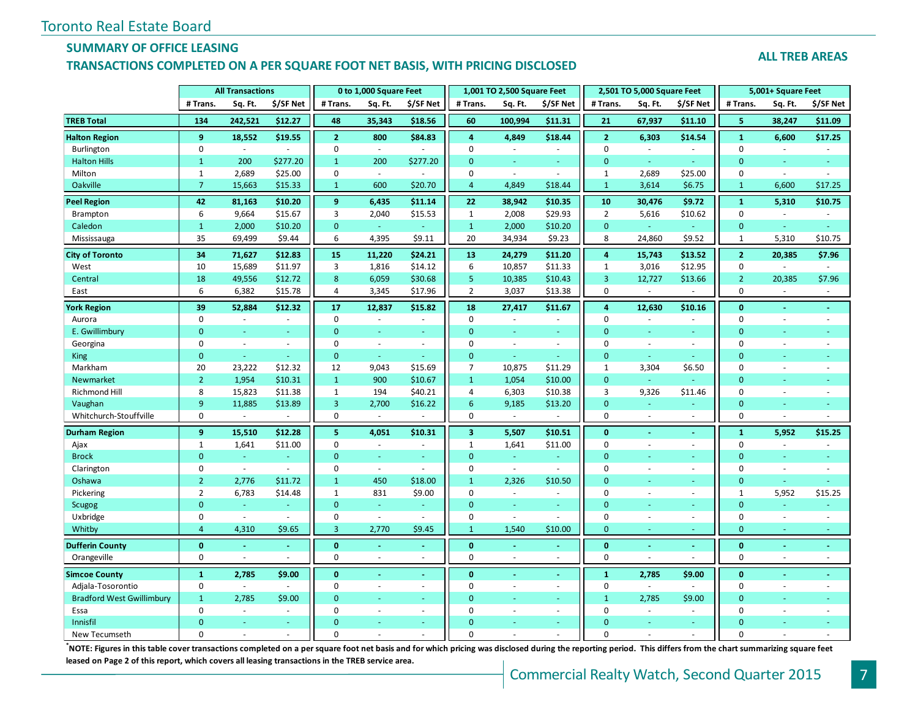### **SUMMARY OF OFFICE LEASING**

#### **TRANSACTIONS COMPLETED ON A PER SQUARE FOOT NET BASIS, WITH PRICING DISCLOSED**

#### **ALL TREB AREAS**

|                                  | <b>All Transactions</b> |                             |                          |                | 0 to 1,000 Square Feet   |                          | 1,001 TO 2,500 Square Feet<br>2,501 TO 5,000 Square Feet |                          |                          |                         | 5,001+ Square Feet       |                          |                |                |                     |
|----------------------------------|-------------------------|-----------------------------|--------------------------|----------------|--------------------------|--------------------------|----------------------------------------------------------|--------------------------|--------------------------|-------------------------|--------------------------|--------------------------|----------------|----------------|---------------------|
|                                  | # Trans.                | Sq. Ft.                     | \$/SF Net                | # Trans.       | Sq. Ft.                  | \$/SF Net                | # Trans.                                                 | Sq. Ft.                  | \$/SF Net                | # Trans.                | Sq. Ft.                  | \$/SF Net                | # Trans.       | Sq. Ft.        | \$/SF Net           |
| <b>TREB Total</b>                | 134                     | 242,521                     | \$12.27                  | 48             | 35,343                   | \$18.56                  | 60                                                       | 100,994                  | \$11.31                  | 21                      | 67,937                   | \$11.10                  | 5              | 38,247         | \$11.09             |
| <b>Halton Region</b>             | 9                       | 18,552                      | \$19.55                  | 2 <sup>1</sup> | 800                      | \$84.83                  | $\overline{a}$                                           | 4,849                    | \$18.44                  | $\overline{2}$          | 6,303                    | \$14.54                  | $\mathbf{1}$   | 6,600          | \$17.25             |
| Burlington                       | $\pmb{0}$               | $\sim$                      |                          | $\mathbf 0$    | $\sim$                   |                          | $\mathbf 0$                                              | $\overline{\phantom{a}}$ | $\sim$                   | $\mathbf 0$             | $\overline{\phantom{a}}$ | $\sim$                   | $\mathbf 0$    | $\omega$       | ÷,                  |
| <b>Halton Hills</b>              | $\mathbf{1}$            | 200                         | \$277.20                 | $\mathbf{1}$   | 200                      | \$277.20                 | $\mathbf{0}$                                             | ÷.                       | ÷.                       | $\mathbf{0}$            | Ξ                        | $\omega$                 | $\mathbf{0}$   | $\omega$       | Ξ                   |
| Milton                           | $\mathbf{1}$            | 2,689                       | \$25.00                  | $\mathbf 0$    | $\sim$                   | $\sim$                   | $\mathbf 0$                                              | $\blacksquare$           | $\sim$                   | $\mathbf{1}$            | 2,689                    | \$25.00                  | $\pmb{0}$      | $\omega$       | ÷.                  |
| Oakville                         | $\overline{7}$          | 15,663                      | \$15.33                  | $\mathbf{1}$   | 600                      | \$20.70                  | $\overline{4}$                                           | 4,849                    | \$18.44                  | $\mathbf{1}$            | 3,614                    | \$6.75                   | $\mathbf{1}$   | 6,600          | \$17.25             |
| <b>Peel Region</b>               | 42                      | 81,163                      | \$10.20                  | 9              | 6,435                    | \$11.14                  | 22                                                       | 38,942                   | \$10.35                  | 10                      | 30,476                   | \$9.72                   | $\mathbf{1}$   | 5,310          | \$10.75             |
| Brampton                         | 6                       | 9,664                       | \$15.67                  | 3              | 2,040                    | \$15.53                  | $\mathbf{1}$                                             | 2,008                    | \$29.93                  | $\overline{2}$          | 5,616                    | \$10.62                  | $\mathbf 0$    | $\omega$       |                     |
| Caledon                          | $\mathbf{1}$            | 2,000                       | \$10.20                  | $\mathbf{0}$   | $\omega$                 | $\sim$                   | $\mathbf{1}$                                             | 2,000                    | \$10.20                  | $\mathbf{0}$            | $\omega$                 | $\omega$                 | $\mathbf{0}$   | $\sim$         | ä,                  |
| Mississauga                      | 35                      | 69,499                      | \$9.44                   | 6              | 4,395                    | \$9.11                   | 20                                                       | 34,934                   | \$9.23                   | 8                       | 24,860                   | \$9.52                   | $\mathbf{1}$   | 5,310          | \$10.75             |
| <b>City of Toronto</b>           | 34                      | 71,627                      | \$12.83                  | 15             | 11,220                   | \$24.21                  | 13                                                       | 24,279                   | \$11.20                  | $\overline{\mathbf{4}}$ | 15,743                   | \$13.52                  | $\overline{2}$ | 20,385         | \$7.96              |
| West                             | 10                      | 15,689                      | \$11.97                  | 3              | 1,816                    | \$14.12                  | 6                                                        | 10,857                   | \$11.33                  | $\mathbf{1}$            | 3,016                    | \$12.95                  | $\mathbf 0$    | $\sim$         | $\sim$              |
| Central                          | 18                      | 49,556                      | \$12.72                  | 8              | 6,059                    | \$30.68                  | 5                                                        | 10,385                   | \$10.43                  | $\overline{3}$          | 12,727                   | \$13.66                  | $\overline{2}$ | 20,385         | \$7.96              |
| East                             | 6                       | 6,382                       | \$15.78                  | 4              | 3,345                    | \$17.96                  | $\overline{2}$                                           | 3,037                    | \$13.38                  | $\mathbf 0$             | $\sim$                   | $\overline{\phantom{a}}$ | $\mathbf 0$    | $\sim$         | $\sim$              |
| <b>York Region</b>               | 39                      | 52,884                      | \$12.32                  | 17             | 12,837                   | \$15.82                  | 18                                                       | 27,417                   | \$11.67                  | $\overline{a}$          | 12,630                   | \$10.16                  | $\bf{0}$       | $\blacksquare$ | ä,                  |
| Aurora                           | $\mathbf 0$             | ÷.                          | $\sim$                   | $\mathbf 0$    | ÷.                       | $\sim$                   | $\mathsf 0$                                              | $\sim$                   | $\sim$                   | $\mathbf 0$             | $\overline{a}$           | $\sim$                   | $\mathbf 0$    | $\sim$         | ÷                   |
| E. Gwillimbury                   | $\mathbf{0}$            |                             |                          | $\overline{0}$ |                          |                          | $\overline{0}$                                           |                          |                          | $\mathbf{0}$            |                          |                          | $\mathbf{0}$   |                |                     |
| Georgina                         | $\mathbf 0$             | ÷.                          | $\omega$                 | $\mathbf 0$    | $\omega$                 | $\omega$                 | $\mathbf 0$                                              | ä,                       | $\sim$                   | $\mathbf 0$             | ÷.                       | $\sim$                   | $\mathbf 0$    | $\sim$         | ä,                  |
| King                             | $\overline{0}$          | ÷.                          | ÷                        | $\mathbf{0}$   | $\omega$                 | ÷.                       | $\overline{0}$                                           | ÷.                       | $\omega$ .               | $\mathbf{0}$            | u,                       | ÷.                       | $\Omega$       |                |                     |
| Markham                          | 20                      | 23,222                      | \$12.32                  | 12             | 9,043                    | \$15.69                  | $\overline{7}$                                           | 10,875                   | \$11.29                  | $\mathbf{1}$            | 3,304                    | \$6.50                   | $\mathbf 0$    | $\sim$         |                     |
| Newmarket                        | $\overline{2}$          | 1,954                       | \$10.31                  | $\mathbf{1}$   | 900                      | \$10.67                  | $\mathbf{1}$                                             | 1,054                    | \$10.00                  | $\mathbf{0}$            | ÷                        |                          | $\mathbf{0}$   |                |                     |
| <b>Richmond Hill</b>             | 8                       | 15,823                      | \$11.38                  | $\mathbf{1}$   | 194                      | \$40.21                  | $\overline{4}$                                           | 6,303                    | \$10.38                  | $\overline{3}$          | 9,326                    | \$11.46                  | $\mathbf 0$    | $\sim$         |                     |
| Vaughan                          | 9                       | 11,885                      | \$13.89                  | 3              | 2,700                    | \$16.22                  | 6                                                        | 9,185                    | \$13.20                  | $\mathbf{0}$            | $\omega$                 | $\omega$                 | $\mathbf{0}$   | $\sim$         | $\equiv$            |
| Whitchurch-Stouffville           | $\pmb{0}$               | $\sim$                      |                          | $\mathbf 0$    | ä,                       |                          | $\mathsf 0$                                              |                          |                          | $\mathbf 0$             | $\sim$                   | $\sim$                   | $\mathbf 0$    | $\sim$         |                     |
| <b>Durham Region</b>             | 9                       | 15,510                      | \$12.28                  | 5              | 4,051                    | \$10.31                  | $\overline{\mathbf{3}}$                                  | 5,507                    | \$10.51                  | $\mathbf{0}$            |                          | ÷.                       | $\mathbf{1}$   | 5,952          | \$15.25             |
| Ajax                             | $\mathbf{1}$            | 1,641                       | \$11.00                  | $\mathbf 0$    | $\overline{\phantom{a}}$ |                          | $\mathbf{1}$                                             | 1,641                    | \$11.00                  | $\mathbf 0$             | ÷,                       | $\bar{a}$                | $\mathbf 0$    |                |                     |
| <b>Brock</b>                     | $\overline{0}$          | ÷.                          | $\omega$                 | $\mathbf{0}$   | $\equiv$                 | $\omega$                 | $\mathbf{0}$                                             | ÷.                       | $\omega_{\rm c}$         | $\mathbf{0}$            |                          | ä,                       | $\mathbf{0}$   |                |                     |
| Clarington                       | $\mathbf 0$             | $\omega$                    | $\sim$                   | $\mathbf 0$    | $\omega$                 | $\sim$                   | $\mathbf 0$                                              | $\omega$                 | $\sim$                   | $\mathbf 0$             | ÷,                       | $\sim$                   | $\mathbf 0$    | $\sim$         | ÷,                  |
| Oshawa                           | $\overline{2}$          | 2,776                       | \$11.72                  | $\mathbf{1}$   | 450                      | \$18.00                  | $\mathbf{1}$                                             | 2,326                    | \$10.50                  | $\mathbf{0}$            |                          |                          | $\mathbf{0}$   |                |                     |
| Pickering                        | $\overline{2}$          | 6,783                       | \$14.48                  | 1              | 831                      | \$9.00                   | $\mathbf 0$                                              | $\overline{\phantom{a}}$ | $\omega$                 | $\mathbf 0$             | $\sim$                   | $\sim$                   | $\mathbf{1}$   | 5,952          | \$15.25             |
| Scugog                           | $\overline{0}$          | ÷.                          |                          | $\mathbf{0}$   | ä,                       |                          | $\mathbf{0}$                                             | ÷.                       | $\omega$                 | $\mathbf{0}$            | ÷                        | $\omega$                 | $\overline{0}$ |                |                     |
| Uxbridge                         | 0                       | $\blacksquare$              | $\sim$                   | $\mathbf 0$    | $\blacksquare$           | $\overline{\phantom{a}}$ | $\mathbf 0$                                              | $\overline{\phantom{a}}$ | $\sim$                   | $\mathbf 0$             | $\overline{\phantom{a}}$ | $\sim$                   | $\pmb{0}$      | $\blacksquare$ | ÷,                  |
| Whitby                           | $\overline{4}$          | 4,310                       | \$9.65                   | 3              | 2,770                    | \$9.45                   | $\mathbf{1}$                                             | 1,540                    | \$10.00                  | $\mathbf{0}$            | ÷                        | ÷                        | $\mathbf{0}$   | ÷              | ٠                   |
| <b>Dufferin County</b>           | $\mathbf{0}$            | $\blacksquare$              | $\sim$                   | $\mathbf{0}$   | $\blacksquare$           | $\omega$                 | $\mathbf{0}$                                             | ÷.                       | ÷.                       | $\mathbf{0}$            | $\blacksquare$           | $\omega$                 | $\mathbf{0}$   | $\omega$       | $\blacksquare$      |
| Orangeville                      | $\mathbf 0$             | $\sim$                      |                          | $\mathbf 0$    | ä,                       | $\sim$                   | $\mathbf 0$                                              | ä,                       | $\overline{\phantom{a}}$ | $\mathbf{0}$            | $\sim$                   | ä,                       | $\mathbf 0$    | $\sim$         | $\bar{\phantom{a}}$ |
| <b>Simcoe County</b>             | 1                       | 2,785                       | \$9.00                   | $\bf{0}$       |                          | $\omega$                 | $\mathbf{0}$                                             |                          |                          | $\mathbf{1}$            | 2,785                    | \$9.00                   | $\mathbf{0}$   |                |                     |
| Adjala-Tosorontio                | 0                       | $\mathcal{L}_{\mathcal{A}}$ | $\sim$                   | $\mathbf 0$    | ä,                       | $\sim$                   | $\mathbf 0$                                              | ÷                        | $\sim$                   | $\mathbf 0$             | $\sim$                   | $\sim$                   | $\mathbf 0$    | $\sim$         | ä,                  |
| <b>Bradford West Gwillimbury</b> | $\mathbf{1}$            | 2,785                       | \$9.00                   | $\mathbf{0}$   | ٠                        | $\omega$                 | $\overline{0}$                                           |                          | a.                       | $\mathbf{1}$            | 2,785                    | \$9.00                   | $\mathbf{0}$   |                | ÷.                  |
| Essa                             | $\Omega$                | ÷.                          | $\overline{\phantom{a}}$ | $\Omega$       | ä,                       | $\sim$                   | $\mathbf 0$                                              |                          | $\sim$                   | $\mathbf 0$             | $\sim$                   | ÷.                       | $\Omega$       | $\sim$         |                     |
| Innisfil                         | $\Omega$                |                             |                          | $\Omega$       |                          | ÷                        | $\Omega$                                                 |                          |                          | $\Omega$                |                          | u,                       | $\Omega$       |                |                     |
| New Tecumseth                    | $\Omega$                |                             |                          | $\Omega$       |                          |                          | $\Omega$                                                 |                          |                          | $\Omega$                |                          | $\sim$                   | $\Omega$       |                |                     |

**\***<br>**NOTE: Figures in this table cover transactions completed on a per square foot net basis and for which pricing was disclosed during the reporting period. This differs from the chart summarizing square feet <b>incipally leased on Page 2 of this report, which covers all leasing transactions in the TREB service area.**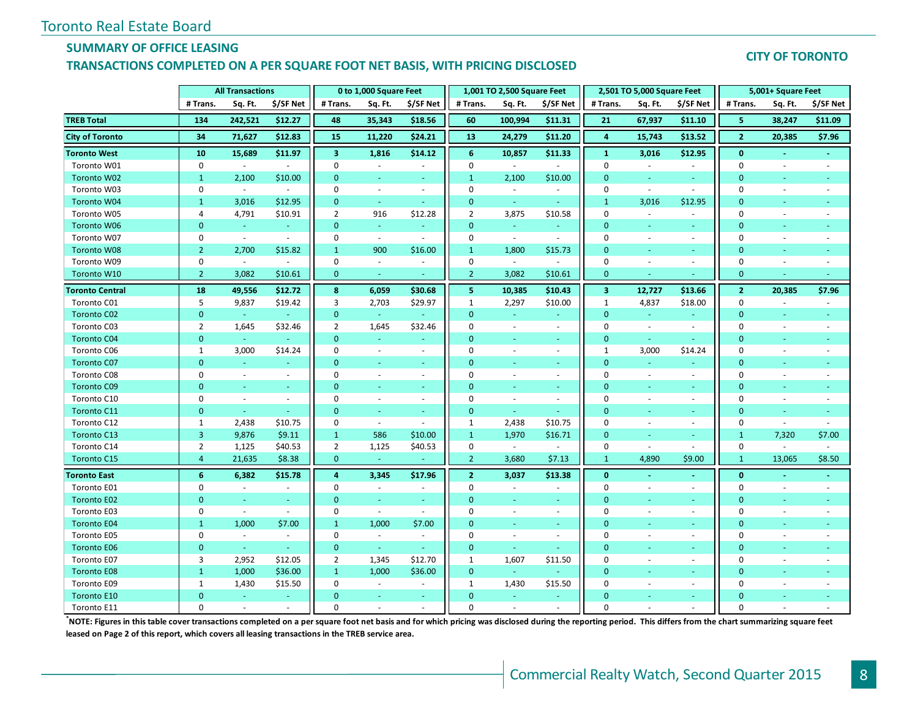#### **SUMMARY OF OFFICE LEASING**

#### **TRANSACTIONS COMPLETED ON A PER SQUARE FOOT NET BASIS, WITH PRICING DISCLOSED**

#### **CITY OF TORONTO**

|                        | <b>All Transactions</b> |                             |                          |                         | 0 to 1,000 Square Feet   |                          |                | 1,001 TO 2,500 Square Feet |                  |                         | 2,501 TO 5,000 Square Feet  |                             | 5,001+ Square Feet |                          |                          |
|------------------------|-------------------------|-----------------------------|--------------------------|-------------------------|--------------------------|--------------------------|----------------|----------------------------|------------------|-------------------------|-----------------------------|-----------------------------|--------------------|--------------------------|--------------------------|
|                        | # Trans.                | Sq. Ft.                     | \$/SF Net                | # Trans.                | Sq. Ft.                  | \$/SF Net                | # Trans.       | Sq. Ft.                    | \$/SF Net        | # Trans.                | Sq. Ft.                     | \$/SF Net                   | # Trans.           | Sq. Ft.                  | \$/SF Net                |
| <b>TREB Total</b>      | 134                     | 242,521                     | \$12.27                  | 48                      | 35,343                   | \$18.56                  | 60             | 100,994                    | \$11.31          | 21                      | 67,937                      | \$11.10                     | 5                  | 38,247                   | \$11.09                  |
| <b>City of Toronto</b> | 34                      | 71,627                      | \$12.83                  | 15                      | 11,220                   | \$24.21                  | 13             | 24,279                     | \$11.20          | $\overline{4}$          | 15,743                      | \$13.52                     | $\overline{2}$     | 20,385                   | \$7.96                   |
| <b>Toronto West</b>    | 10                      | 15,689                      | \$11.97                  | $\overline{\mathbf{3}}$ | 1,816                    | \$14.12                  | 6              | 10,857                     | \$11.33          | $\mathbf{1}$            | 3,016                       | \$12.95                     | $\mathbf{0}$       |                          |                          |
| Toronto W01            | $\mathbf 0$             | $\sim$                      | $\sim$                   | $\mathbf 0$             |                          |                          | $\pmb{0}$      |                            |                  | $\mathbf 0$             | $\sim$                      | ÷.                          | $\mathbf 0$        | $\sim$                   |                          |
| Toronto W02            | $\mathbf{1}$            | 2,100                       | \$10.00                  | $\mathbf{0}$            |                          | ٠                        | $\mathbf{1}$   | 2,100                      | \$10.00          | $\mathbf{0}$            | ÷                           | ÷                           | $\overline{0}$     |                          |                          |
| Toronto W03            | $\mathbf 0$             | $\mathcal{L}$               | $\omega$                 | $\mathbf 0$             | $\overline{\phantom{a}}$ | $\overline{\phantom{a}}$ | $\mathbf 0$    | $\overline{\phantom{a}}$   | $\sim$           | $\mathbf 0$             | $\overline{\phantom{a}}$    | $\mathcal{L}_{\mathcal{A}}$ | $\mathbf 0$        | $\blacksquare$           | ÷,                       |
| <b>Toronto W04</b>     | $\mathbf{1}$            | 3,016                       | \$12.95                  | $\mathbf{0}$            | $\omega$                 | $\omega$                 | $\mathbf{0}$   | $\omega_{\rm c}$           | $\sim$           | $\mathbf{1}$            | 3,016                       | \$12.95                     | $\mathbf{0}$       | ÷                        |                          |
| Toronto W05            | 4                       | 4,791                       | \$10.91                  | $\overline{2}$          | 916                      | \$12.28                  | $\overline{2}$ | 3,875                      | \$10.58          | $\mathbf 0$             | $\mathcal{L}_{\mathcal{A}}$ | $\sim$                      | $\mathbf 0$        | $\omega$                 |                          |
| Toronto W06            | $\mathbf{0}$            | $\omega$                    | $\sim$                   | $\mathbf{0}$            | $\omega$                 | $\sim$                   | $\mathbf{0}$   | $\omega_{\rm c}$           | $\sim$           | $\mathbf{0}$            | $\equiv$                    | $\omega$                    | $\mathbf{0}$       |                          |                          |
| Toronto W07            | 0                       | $\sim$                      | $\sim$                   | 0                       | $\omega$                 | $\overline{\phantom{a}}$ | $\mathbf 0$    | $\omega$                   | $\sim$           | $\mathbf 0$             | ÷,                          | $\overline{\phantom{a}}$    | $\mathbf 0$        | $\overline{\phantom{a}}$ | $\overline{\phantom{a}}$ |
| <b>Toronto W08</b>     | $\overline{2}$          | 2,700                       | \$15.82                  | $\mathbf{1}$            | 900                      | \$16.00                  | $\mathbf{1}$   | 1,800                      | \$15.73          | $\mathbf{0}$            | ÷                           | $\sim$                      | $\Omega$           | ٠                        | ÷                        |
| Toronto W09            | 0                       | $\sim$                      | $\overline{\phantom{a}}$ | $\Omega$                | $\overline{\phantom{a}}$ | $\sim$                   | $\mathbf 0$    | $\sim$                     | $\sim$           | $\mathbf 0$             | $\overline{\phantom{a}}$    | $\overline{\phantom{a}}$    | $\mathbf 0$        | $\blacksquare$           | ÷,                       |
| Toronto W10            | $\overline{2}$          | 3,082                       | \$10.61                  | $\mathbf{0}$            | ÷.                       |                          | $\overline{2}$ | 3,082                      | \$10.61          | $\mathbf{0}$            |                             |                             | $\mathbf{0}$       |                          |                          |
| <b>Toronto Central</b> | 18                      | 49,556                      | \$12.72                  | 8                       | 6,059                    | \$30.68                  | 5              | 10,385                     | \$10.43          | $\overline{\mathbf{3}}$ | 12,727                      | \$13.66                     | $\overline{2}$     | 20,385                   | \$7.96                   |
| Toronto C01            | 5                       | 9,837                       | \$19.42                  | 3                       | 2,703                    | \$29.97                  | $\mathbf{1}$   | 2,297                      | \$10.00          | $\mathbf{1}$            | 4,837                       | \$18.00                     | $\pmb{0}$          | $\omega$                 | $\overline{\phantom{a}}$ |
| Toronto C02            | $\mathbf{0}$            | $\sim$                      | $\omega$                 | $\mathbf{0}$            | $\omega$                 |                          | $\mathbf{0}$   | ÷.                         | $\sim$           | $\mathbf{0}$            | ÷.                          | $\blacksquare$              | $\mathbf{0}$       | $\sim$                   |                          |
| Toronto C03            | $\overline{2}$          | 1,645                       | \$32.46                  | $\overline{2}$          | 1,645                    | \$32.46                  | $\mathbf{0}$   | $\sim$                     | $\sim$           | $\mathbf 0$             | $\mathcal{L}_{\mathcal{A}}$ | $\overline{\phantom{a}}$    | $\mathbf 0$        | $\omega$                 | ä,                       |
| <b>Toronto C04</b>     | $\overline{0}$          | $\omega$ .                  |                          | $\mathbf{0}$            | u,                       |                          | $\Omega$       | ÷                          | $\omega_{\rm c}$ | $\mathbf{0}$            | ÷.                          | $\sim$                      | $\Omega$           | $\sim$                   |                          |
| Toronto C06            | 1                       | 3,000                       | \$14.24                  | $\mathbf 0$             | $\overline{\phantom{a}}$ | $\sim$                   | $\mathbf 0$    | $\overline{\phantom{a}}$   | $\sim$           | $\mathbf{1}$            | 3,000                       | \$14.24                     | $\mathbf 0$        | $\blacksquare$           |                          |
| Toronto C07            | $\Omega$                | ä,                          |                          | $\Omega$                |                          |                          | $\Omega$       |                            |                  | $\Omega$                |                             |                             | $\mathbf{0}$       |                          |                          |
| Toronto C08            | $\mathbf 0$             | $\overline{\phantom{a}}$    | $\sim$                   | $\mathbf 0$             | $\overline{\phantom{a}}$ | $\sim$                   | $\mathbf 0$    | $\overline{\phantom{a}}$   | $\sim$           | $\mathbf 0$             | $\sim$                      | $\overline{\phantom{a}}$    | $\mathbf 0$        | $\overline{\phantom{a}}$ | $\sim$                   |
| <b>Toronto C09</b>     | $\overline{0}$          | ÷.                          | ÷.                       | $\Omega$                | ÷                        | $\sim$                   | $\mathbf{0}$   | ÷.                         | ÷                | $\mathbf{0}$            | ÷                           | ÷.                          | $\mathbf{0}$       | $\sim$                   |                          |
| Toronto C10            | $\Omega$                | $\sim$                      | $\sim$                   | $\Omega$                | ä,                       | $\sim$                   | $\Omega$       | $\overline{\phantom{a}}$   | $\sim$           | $\mathbf 0$             | $\overline{\phantom{a}}$    | $\sim$                      | $\Omega$           | $\sim$                   |                          |
| Toronto C11            | $\mathbf{0}$            | $\omega$                    | ÷.                       | $\mathbf{0}$            | $\Box$                   | $\sim$                   | $\mathbf{0}$   | ÷                          | $\sim$           | $\mathbf{0}$            | ÷                           | ÷.                          | $\mathbf{0}$       | $\sim$                   | u                        |
| Toronto C12            | 1                       | 2,438                       | \$10.75                  | 0                       | $\sim$                   | $\sim$                   | 1              | 2,438                      | \$10.75          | $\mathbf 0$             | $\overline{\phantom{a}}$    | ÷.                          | $\mathbf 0$        | $\sim$                   | ä,                       |
| Toronto C13            | 3                       | 9,876                       | \$9.11                   | $\mathbf{1}$            | 586                      | \$10.00                  | $\mathbf 1$    | 1,970                      | \$16.71          | $\mathbf{0}$            | $\equiv$                    | $\sim$                      | $\mathbf{1}$       | 7,320                    | \$7.00                   |
| Toronto C14            | $\overline{2}$          | 1,125                       | \$40.53                  | $\overline{2}$          | 1,125                    | \$40.53                  | $\mathbf 0$    | $\sim$                     | $\sim$           | $\mathbf 0$             | $\sim$                      | ÷.                          | $\mathbf 0$        | $\sim$                   | $\overline{a}$           |
| Toronto C15            | $\overline{4}$          | 21,635                      | \$8.38                   | $\mathbf{0}$            | $\omega$                 |                          | $\overline{2}$ | 3,680                      | \$7.13           | $\mathbf{1}$            | 4,890                       | \$9.00                      | $\mathbf{1}$       | 13,065                   | \$8.50                   |
| <b>Toronto East</b>    | 6                       | 6,382                       | \$15.78                  | $\overline{4}$          | 3,345                    | \$17.96                  | $\overline{2}$ | 3,037                      | \$13.38          | $\mathbf{0}$            | $\Delta$                    | $\omega$                    | $\mathbf{0}$       | $\omega$                 | ÷.                       |
| Toronto E01            | 0                       | $\sim$                      | $\blacksquare$           | $\mathbf 0$             | $\overline{\phantom{a}}$ | $\overline{\phantom{a}}$ | $\mathbf 0$    | $\overline{\phantom{a}}$   | $\sim$           | $\mathbf 0$             | $\overline{\phantom{a}}$    | $\sim$                      | 0                  | $\blacksquare$           | $\overline{\phantom{a}}$ |
| Toronto E02            | $\mathbf{0}$            | $\omega$                    | ÷.                       | $\mathbf{0}$            | ÷.                       | $\sim$                   | $\mathbf{0}$   | ÷                          | $\sim$           | $\mathbf{0}$            | ÷                           | $\omega$                    | $\overline{0}$     | $\omega$                 |                          |
| Toronto E03            | 0                       | $\sim$                      | $\sim$                   | $\Omega$                | $\omega$                 | $\sim$                   | $\Omega$       | $\overline{\phantom{a}}$   | $\sim$           | $\mathbf 0$             | $\bar{a}$                   | $\overline{\phantom{a}}$    | $\Omega$           | $\blacksquare$           |                          |
| <b>Toronto E04</b>     | $\mathbf{1}$            | 1,000                       | \$7.00                   | $\mathbf{1}$            | 1,000                    | \$7.00                   | $\mathbf{0}$   | $\blacksquare$             | $\sim$           | $\mathbf{0}$            | $\equiv$                    | $\blacksquare$              | $\mathbf{0}$       | $\sim$                   | $\equiv$                 |
| Toronto E05            | $\mathbf 0$             | $\mathcal{L}_{\mathcal{A}}$ | $\sim$                   | $\mathbf 0$             | ÷.                       | $\sim$                   | $\mathbf 0$    | $\sim$                     | $\sim$           | $\mathbf 0$             | $\bar{a}$                   | ÷.                          | 0                  | $\sim$                   | $\overline{a}$           |
| <b>Toronto E06</b>     | $\mathbf{0}$            | $\omega$                    | $\sim$                   | $\mathbf 0$             | $\omega$                 | $\sim$                   | $\mathbf{0}$   | ÷.                         | $\omega$         | $\mathbf{0}$            | ÷                           | ÷.                          | $\overline{0}$     | ÷                        |                          |
| Toronto E07            | 3                       | 2,952                       | \$12.05                  | $\overline{2}$          | 1,345                    | \$12.70                  | $\mathbf{1}$   | 1,607                      | \$11.50          | $\mathbf 0$             | $\overline{\phantom{a}}$    | ÷.                          | $\mathbf 0$        | $\blacksquare$           | ä,                       |
| <b>Toronto E08</b>     | $\mathbf{1}$            | 1,000                       | \$36.00                  | $\mathbf{1}$            | 1,000                    | \$36.00                  | $\mathbf{0}$   | ÷.                         |                  | $\mathbf{0}$            |                             | ٠                           | $\mathbf{0}$       |                          |                          |
| Toronto E09            | $\mathbf{1}$            | 1,430                       | \$15.50                  | $\mathbf 0$             | $\sim$                   |                          | $\mathbf{1}$   | 1,430                      | \$15.50          | $\mathbf 0$             | $\sim$                      | $\overline{\phantom{a}}$    | $\Omega$           |                          |                          |
| <b>Toronto E10</b>     | $\mathbf{0}$            | $\omega$                    | $\sim$                   | $\Omega$                | $\blacksquare$           | $\sim$                   | $\Omega$       | ٠                          | $\sim$           | $\mathbf{0}$            |                             | $\sim$                      | $\mathbf{0}$       |                          |                          |
| Toronto E11            | $\Omega$                |                             |                          | $\Omega$                |                          |                          | $\Omega$       |                            |                  | $\Omega$                |                             |                             | $\Omega$           |                          |                          |

**\*NOTE: Figures in this table cover transactions completed on a per square foot net basis and for which pricing was disclosed during the reporting period. This differs from the chart summarizing square feet leased on Page 2 of this report, which covers all leasing transactions in the TREB service area.**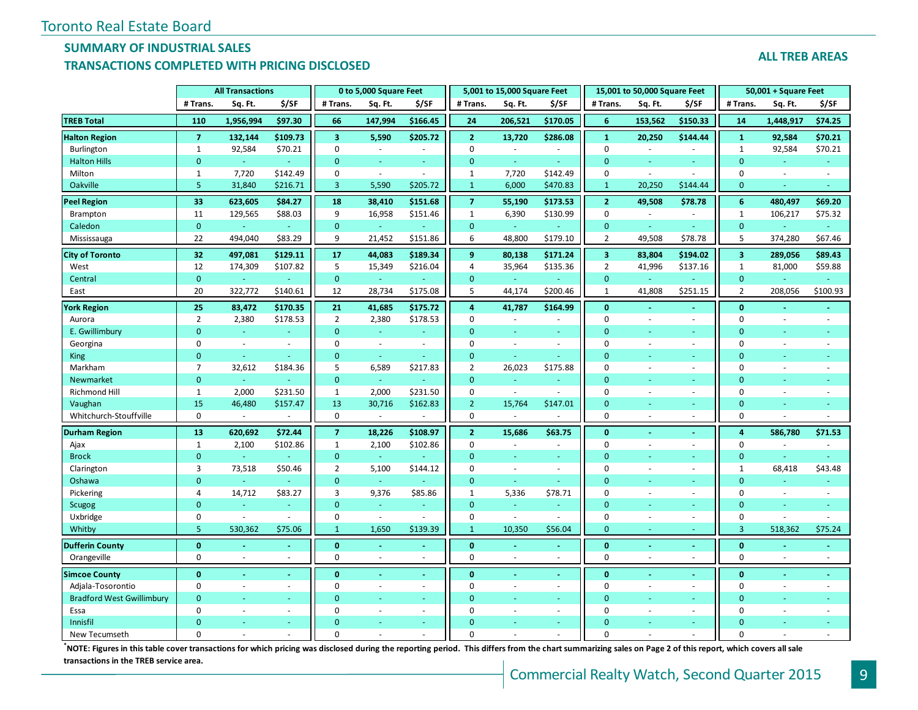### **SUMMARY OF INDUSTRIAL SALES**

#### **TRANSACTIONS COMPLETED WITH PRICING DISCLOSED**

|                                  | <b>All Transactions</b> |           |          |                         | 0 to 5,000 Square Feet |                |                | 5,001 to 15,000 Square Feet |                          | 15,001 to 50,000 Square Feet |         |                  | 50,001 + Square Feet    |                          |                |  |
|----------------------------------|-------------------------|-----------|----------|-------------------------|------------------------|----------------|----------------|-----------------------------|--------------------------|------------------------------|---------|------------------|-------------------------|--------------------------|----------------|--|
|                                  | # Trans.                | Sq. Ft.   | \$/SF    | # Trans.                | Sq. Ft.                | \$/SF          | # Trans.       | Sq. Ft.                     | \$/SF                    | # Trans.                     | Sq. Ft. | \$/SF            | # Trans.                | Sq. Ft.                  | \$/SF          |  |
| <b>TREB Total</b>                | 110                     | 1,956,994 | \$97.30  | 66                      | 147,994                | \$166.45       | 24             | 206,521                     | \$170.05                 | 6                            | 153,562 | \$150.33         | 14                      | 1,448,917                | \$74.25        |  |
| <b>Halton Region</b>             | $\overline{7}$          | 132,144   | \$109.73 | $\overline{\mathbf{3}}$ | 5,590                  | \$205.72       | $\overline{2}$ | 13,720                      | \$286.08                 | $\mathbf 1$                  | 20,250  | \$144.44         | $\mathbf{1}$            | 92,584                   | \$70.21        |  |
| Burlington                       | $\mathbf{1}$            | 92,584    | \$70.21  | $\mathbf 0$             | $\sim$                 |                | $\mathbf 0$    | $\overline{\phantom{a}}$    | $\bar{\phantom{a}}$      | $\mathbf 0$                  |         |                  | $\mathbf{1}$            | 92,584                   | \$70.21        |  |
| <b>Halton Hills</b>              | $\mathbf 0$             | $\omega$  | ÷        | $\mathbf{0}$            | $\sim$                 |                | $\mathbf{0}$   | $\omega$                    | ÷.                       | $\mathbf{0}$                 | ÷       | ÷.               | $\mathbf{0}$            |                          | Ξ              |  |
| Milton                           | 1                       | 7,720     | \$142.49 | $\mathbf 0$             | $\blacksquare$         | $\sim$         | 1              | 7,720                       | \$142.49                 | $\pmb{0}$                    | $\sim$  | ÷,               | 0                       | $\overline{\phantom{a}}$ | ÷.             |  |
| Oakville                         | 5                       | 31,840    | \$216.71 | $\overline{3}$          | 5,590                  | \$205.72       | $\mathbf{1}$   | 6,000                       | \$470.83                 | $\mathbf{1}$                 | 20,250  | \$144.44         | $\mathbf{0}$            | $\sim$                   | ÷              |  |
| <b>Peel Region</b>               | 33                      | 623,605   | \$84.27  | 18                      | 38,410                 | \$151.68       | $\overline{7}$ | 55,190                      | \$173.53                 | $\overline{2}$               | 49,508  | \$78.78          | 6                       | 480,497                  | \$69.20        |  |
| Brampton                         | 11                      | 129,565   | \$88.03  | 9                       | 16,958                 | \$151.46       | $\mathbf{1}$   | 6,390                       | \$130.99                 | $\mathbf 0$                  | $\sim$  | $\sim$           | $\mathbf{1}$            | 106,217                  | \$75.32        |  |
| Caledon                          | $\mathbf 0$             |           | $\omega$ | $\mathbf{0}$            | Ξ                      |                | $\mathbf{0}$   | $\omega$                    | ÷,                       | $\mathbf{0}$                 | ÷       | ÷                | $\mathbf{0}$            |                          |                |  |
| Mississauga                      | 22                      | 494,040   | \$83.29  | 9                       | 21,452                 | \$151.86       | 6              | 48,800                      | \$179.10                 | $\overline{2}$               | 49,508  | \$78.78          | 5                       | 374,280                  | \$67.46        |  |
| <b>City of Toronto</b>           | 32                      | 497,081   | \$129.11 | 17                      | 44,083                 | \$189.34       | $\mathbf{9}$   | 80,138                      | \$171.24                 | 3                            | 83,804  | \$194.02         | $\mathbf{3}$            | 289,056                  | \$89.43        |  |
| West                             | 12                      | 174,309   | \$107.82 | 5                       | 15,349                 | \$216.04       | 4              | 35,964                      | \$135.36                 | $\overline{2}$               | 41,996  | \$137.16         | $\mathbf{1}$            | 81,000                   | \$59.88        |  |
| Central                          | $\mathbf{0}$            |           | $\sim$   | $\mathbf{0}$            | Ξ                      |                | $\mathbf{0}$   | $\omega$                    | ÷                        | $\mathbf{0}$                 |         |                  | $\mathbf{0}$            |                          |                |  |
| East                             | 20                      | 322,772   | \$140.61 | 12                      | 28,734                 | \$175.08       | 5              | 44,174                      | \$200.46                 | $\mathbf{1}$                 | 41,808  | \$251.15         | $\overline{2}$          | 208,056                  | \$100.93       |  |
| <b>York Region</b>               | 25                      | 83,472    | \$170.35 | 21                      | 41,685                 | \$175.72       | 4              | 41,787                      | \$164.99                 | $\mathbf 0$                  | $\sim$  | $\blacksquare$   | $\bf{0}$                |                          |                |  |
| Aurora                           | $\overline{2}$          | 2,380     | \$178.53 | $\overline{2}$          | 2,380                  | \$178.53       | $\mathbf 0$    | ÷.                          | $\sim$                   | $\pmb{0}$                    | $\sim$  | $\overline{a}$   | 0                       | $\sim$                   | $\equiv$       |  |
| E. Gwillimbury                   | $\mathbf{0}$            |           |          | $\mathbf{0}$            |                        |                | $\Omega$       |                             |                          | $\overline{0}$               |         |                  | $\mathbf{0}$            |                          |                |  |
| Georgina                         | 0                       | $\sim$    | $\sim$   | $\mathbf 0$             | $\sim$                 | $\sim$         | $\Omega$       | $\omega$                    | $\omega$                 | $\mathbf 0$                  | ÷.      | $\sim$           | $\mathbf 0$             | $\sim$                   | $\sim$         |  |
| King                             | $\mathbf{0}$            | G.        |          | $\mathbf{0}$            | $\omega$               |                | $\mathbf{0}$   | ä,                          | ÷.                       | $\mathbf{0}$                 |         | ÷                | $\mathbf{0}$            |                          |                |  |
| Markham                          | $\overline{7}$          | 32,612    | \$184.36 | 5                       | 6,589                  | \$217.83       | $\overline{2}$ | 26,023                      | \$175.88                 | $\Omega$                     | ÷.      | $\bar{a}$        | $\mathbf 0$             | $\overline{\phantom{a}}$ |                |  |
| Newmarket                        | $\mathbf{0}$            | ÷.        |          | $\mathbf{0}$            | ä,                     |                | $\Omega$       | u,                          | ÷.                       | $\mathbf{0}$                 |         |                  | $\Omega$                |                          |                |  |
| Richmond Hill                    | $\mathbf{1}$            | 2,000     | \$231.50 | $\mathbf 1$             | 2,000                  | \$231.50       | $\mathbf 0$    | $\sim$                      | $\omega$                 | $\mathbf 0$                  |         | $\bar{a}$        | $\mathbf 0$             |                          |                |  |
| Vaughan                          | 15                      | 46,480    | \$157.47 | 13                      | 30,716                 | \$162.83       | $\overline{2}$ | 15,764                      | \$147.01                 | $\mathbf{0}$                 |         | $\equiv$         | $\mathbf{0}$            |                          | Ξ              |  |
| Whitchurch-Stouffville           | 0                       |           |          | 0                       |                        |                | $\mathbf 0$    | ä,                          |                          | $\mathbf 0$                  | $\sim$  | $\sim$           | 0                       |                          |                |  |
| <b>Durham Region</b>             | 13                      | 620,692   | \$72.44  | $\overline{7}$          | 18,226                 | \$108.97       | $\overline{2}$ | 15,686                      | \$63.75                  | $\mathbf{0}$                 |         | $\blacksquare$   | $\overline{\mathbf{4}}$ | 586,780                  | \$71.53        |  |
| Ajax                             | $\mathbf{1}$            | 2,100     | \$102.86 | $\mathbf{1}$            | 2,100                  | \$102.86       | $\mathbf 0$    | $\sim$                      | $\overline{\phantom{a}}$ | $\mathbf 0$                  |         | $\sim$           | 0                       |                          |                |  |
| <b>Brock</b>                     | $\mathbf{0}$            | $\omega$  |          | $\mathbf{0}$            | $\omega$               |                | $\Omega$       | u,                          | ÷.                       | $\mathbf{0}$                 |         | ÷.               | $\mathbf{0}$            |                          | ä,             |  |
| Clarington                       | 3                       | 73,518    | \$50.46  | $\overline{2}$          | 5,100                  | \$144.12       | $\Omega$       | $\sim$                      | $\overline{\phantom{a}}$ | $\mathbf 0$                  |         | $\sim$           | $\mathbf{1}$            | 68,418                   | \$43.48        |  |
| Oshawa                           | $\mathbf{0}$            |           |          | $\mathbf{0}$            |                        |                | $\mathbf{0}$   | ä,                          | $\blacksquare$           | $\mathbf{0}$                 |         |                  | $\mathbf{0}$            |                          |                |  |
| Pickering                        | 4                       | 14,712    | \$83.27  | 3                       | 9,376                  | \$85.86        | 1              | 5,336                       | \$78.71                  | $\pmb{0}$                    |         | $\bar{a}$        | 0                       | $\sim$                   | $\bar{a}$      |  |
| Scugog                           | $\mathbf{0}$            |           |          | $\mathbf{0}$            | $\blacksquare$         |                | $\mathbf{0}$   | u,                          | ÷                        | $\mathbf{0}$                 |         | $\equiv$         | $\mathbf{0}$            |                          | ÷.             |  |
| Uxbridge                         | 0                       | $\sim$    | ÷.       | $\mathbf 0$             | $\sim$                 |                | $\Omega$       | $\sim$                      | $\omega$                 | $\pmb{0}$                    | $\sim$  | $\sim$           | 0                       |                          | L.             |  |
| Whitby                           | 5                       | 530,362   | \$75.06  | $\mathbf{1}$            | 1,650                  | \$139.39       | 1              | 10,350                      | \$56.04                  | $\mathbf{0}$                 |         |                  | 3                       | 518,362                  | \$75.24        |  |
| <b>Dufferin County</b>           | $\mathbf{0}$            |           | $\sim$   | $\mathbf{0}$            | ä,                     |                | $\mathbf{0}$   | ä,                          | $\omega$                 | $\mathbf{0}$                 | $\sim$  | $\blacksquare$   | $\mathbf{0}$            |                          | $\blacksquare$ |  |
| Orangeville                      | $\mathbf 0$             | $\sim$    | $\sim$   | $\mathbf 0$             | $\omega$               | $\sim$         | $\mathbf 0$    |                             | $\overline{\phantom{a}}$ | $\mathbf 0$                  | $\sim$  | $\bar{a}$        | $\mathbf 0$             | $\sim$                   | ÷.             |  |
| <b>Simcoe County</b>             | $\mathbf{0}$            |           |          | $\mathbf{0}$            |                        | $\blacksquare$ | $\mathbf{0}$   |                             |                          | $\mathbf{0}$                 |         | $\blacksquare$   | $\mathbf{0}$            |                          |                |  |
| Adjala-Tosorontio                | 0                       | $\sim$    | $\sim$   | $\mathbf 0$             | $\sim$                 | $\sim$         | 0              | ä,                          | $\sim$                   | 0                            |         | $\sim$           | 0                       | $\sim$                   |                |  |
| <b>Bradford West Gwillimbury</b> | $\Omega$                |           | ÷        | $\Omega$                | ٠                      | $\sim$         | $\Omega$       | u,                          | ÷                        | $\mathbf{0}$                 |         | $\omega_{\rm c}$ | $\overline{0}$          |                          | ä,             |  |
| Essa                             | $\Omega$                |           | $\sim$   | $\mathbf 0$             | ä,                     | $\sim$         | $\Omega$       |                             | ÷                        | $\mathbf 0$                  | $\sim$  | $\sim$           | $\mathbf 0$             | $\overline{a}$           |                |  |
| Innisfil                         | $\Omega$                |           |          | $\Omega$                |                        |                | $\Omega$       |                             |                          | $\Omega$                     |         |                  | $\Omega$                |                          |                |  |
| New Tecumseth                    | $\Omega$                |           |          | $\Omega$                |                        |                | $\Omega$       |                             |                          | $\Omega$                     |         |                  | $\Omega$                |                          |                |  |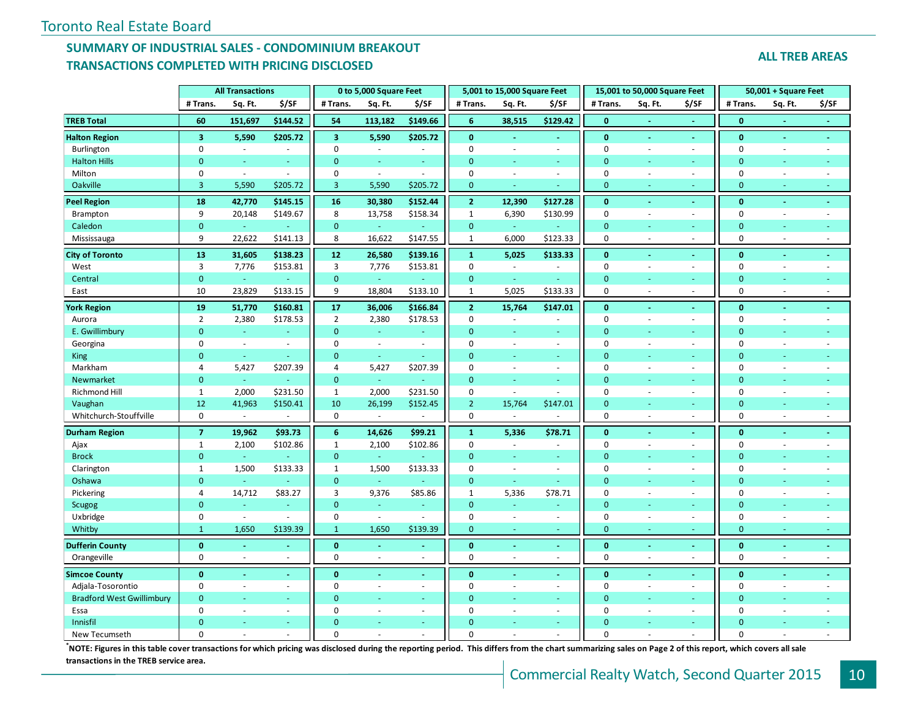#### **SUMMARY OF INDUSTRIAL SALES - CONDOMINIUM BREAKOUT TRANSACTIONS COMPLETED WITH PRICING DISCLOSED**

| <b>ALL TREB AREAS</b> |
|-----------------------|
|-----------------------|

|                                  | <b>All Transactions</b> |          |          |                | 0 to 5,000 Square Feet |                  | 5,001 to 15,000 Square Feet |                             |                          | 15,001 to 50,000 Square Feet |         |                          | 50,001 + Square Feet |                          |        |
|----------------------------------|-------------------------|----------|----------|----------------|------------------------|------------------|-----------------------------|-----------------------------|--------------------------|------------------------------|---------|--------------------------|----------------------|--------------------------|--------|
|                                  | # Trans.                | Sq. Ft.  | \$/SF    | # Trans.       | Sq. Ft.                | \$/SF            | # Trans.                    | Sq. Ft.                     | \$/SF                    | # Trans.                     | Sq. Ft. | \$/SF                    | # Trans.             | Sq. Ft.                  | \$/SF  |
| <b>TREB Total</b>                | 60                      | 151,697  | \$144.52 | 54             | 113,182                | \$149.66         | $6\phantom{1}$              | 38,515                      | \$129.42                 | $\mathbf{0}$                 |         |                          | $\mathbf{0}$         |                          |        |
| <b>Halton Region</b>             | $\overline{\mathbf{3}}$ | 5,590    | \$205.72 | $\overline{3}$ | 5,590                  | \$205.72         | $\mathbf{0}$                | $\sim$                      | ÷,                       | $\mathbf{0}$                 | $\sim$  | $\blacksquare$           | $\mathbf{0}$         | $\blacksquare$           | $\sim$ |
| Burlington                       | $\mathbf 0$             | $\sim$   | $\sim$   | $\mathbf 0$    | $\sim$                 | $\sim$           | $\mathbf 0$                 | $\sim$                      | ä,                       | $\mathbf 0$                  | $\sim$  | $\sim$                   | $\mathbf 0$          | $\sim$                   | $\sim$ |
| <b>Halton Hills</b>              | $\mathbf{0}$            |          |          | $\mathbf{0}$   |                        |                  | $\Omega$                    |                             |                          | $\overline{0}$               |         |                          | $\mathbf{0}$         |                          |        |
| Milton                           | $\mathbf 0$             | $\sim$   | $\sim$   | $\mathbf 0$    | $\omega$               | $\sim$           | $\mathbf 0$                 | $\sim$                      | $\omega$                 | $\mathbf 0$                  |         | $\overline{\phantom{a}}$ | 0                    |                          |        |
| Oakville                         | $\overline{3}$          | 5,590    | \$205.72 | $\overline{3}$ | 5,590                  | \$205.72         | $\mathbf{0}$                |                             | u,                       | $\mathbf{0}$                 |         | ٠                        | $\mathbf{0}$         | Ξ                        |        |
| <b>Peel Region</b>               | 18                      | 42,770   | \$145.15 | 16             | 30,380                 | \$152.44         | $\overline{2}$              | 12,390                      | \$127.28                 | $\mathbf{0}$                 |         | $\blacksquare$           | $\mathbf{0}$         |                          |        |
| Brampton                         | 9                       | 20,148   | \$149.67 | 8              | 13,758                 | \$158.34         | $\mathbf{1}$                | 6,390                       | \$130.99                 | $\mathbf 0$                  |         | $\overline{\phantom{a}}$ | $\mathbf 0$          |                          |        |
| Caledon                          | $\pmb{0}$               | ä,       |          | $\mathbf{0}$   | $\omega$               |                  | $\mathbf{0}$                | $\omega$ .                  | Ξ                        | $\mathbf{0}$                 | Ξ       | $\omega$                 | $\mathbf{0}$         | Ξ                        |        |
| Mississauga                      | 9                       | 22,622   | \$141.13 | 8              | 16,622                 | \$147.55         | $\mathbf{1}$                | 6,000                       | \$123.33                 | 0                            | ÷.      | ÷.                       | 0                    | $\overline{a}$           |        |
| <b>City of Toronto</b>           | 13                      | 31,605   | \$138.23 | 12             | 26,580                 | \$139.16         | $\mathbf 1$                 | 5,025                       | \$133.33                 | $\mathbf{0}$                 |         | ä,                       | $\mathbf{0}$         |                          |        |
| West                             | 3                       | 7,776    | \$153.81 | 3              | 7,776                  | \$153.81         | $\mathbf 0$                 | $\mathcal{L}_{\mathcal{A}}$ | ÷,                       | $\mathbf 0$                  |         | $\blacksquare$           | 0                    |                          |        |
| Central                          | $\mathbf{0}$            | $\omega$ |          | $\mathbf{0}$   | $\omega$               | ÷                | $\mathbf{0}$                | $\omega$                    | u,                       | $\mathbf{0}$                 |         | ÷.                       | $\mathbf{0}$         |                          |        |
| East                             | 10                      | 23,829   | \$133.15 | 9              | 18,804                 | \$133.10         | $\mathbf{1}$                | 5,025                       | \$133.33                 | $\mathbf 0$                  | $\sim$  | $\sim$                   | $\mathbf 0$          | $\sim$                   | $\sim$ |
| <b>York Region</b>               | 19                      | 51,770   | \$160.81 | 17             | 36,006                 | \$166.84         | $\overline{2}$              | 15,764                      | \$147.01                 | $\mathbf{0}$                 | ×.      | $\sim$                   | $\mathbf{0}$         | $\sim$                   |        |
| Aurora                           | $\overline{2}$          | 2,380    | \$178.53 | $\overline{2}$ | 2,380                  | \$178.53         | $\mathbf 0$                 |                             | ÷,                       | $\mathbf 0$                  | $\sim$  | $\blacksquare$           | $\mathbf 0$          | $\overline{\phantom{a}}$ |        |
| E. Gwillimbury                   | $\mathbf{0}$            | $\omega$ | ÷.       | $\mathbf{0}$   | $\omega$               | ÷                | $\mathbf{0}$                |                             | ÷.                       | $\overline{0}$               |         | $\sim$                   | $\mathbf{0}$         | Ξ                        |        |
| Georgina                         | $\mathbf 0$             | $\sim$   | $\sim$   | $\mathbf 0$    | $\sim$                 | $\sim$           | $\mathbf 0$                 | $\sim$                      | $\omega$                 | $\mathbf 0$                  | ÷.      | $\blacksquare$           | $\mathbf 0$          | $\sim$                   |        |
| King                             | $\mathbf{0}$            | G.       | ÷        | $\mathbf{0}$   | G.                     | u.               | $\Omega$                    |                             | u,                       | $\Omega$                     |         | ÷.                       | $\mathbf{0}$         |                          |        |
| Markham                          | $\overline{4}$          | 5,427    | \$207.39 | $\overline{4}$ | 5,427                  | \$207.39         | $\mathbf 0$                 | $\blacksquare$              | $\omega$                 | $\mathbf 0$                  | $\sim$  | $\overline{\phantom{a}}$ | $\mathbf 0$          | $\overline{\phantom{a}}$ |        |
| Newmarket                        | $\mathbf{0}$            | $\omega$ |          | $\mathbf{0}$   | $\omega$               | ä,               | $\mathbf{0}$                | $\sim$                      | u,                       | $\overline{0}$               |         | ÷.                       | $\mathbf{0}$         | u,                       |        |
| <b>Richmond Hill</b>             | $\mathbf{1}$            | 2,000    | \$231.50 | $\mathbf{1}$   | 2,000                  | \$231.50         | $\mathbf 0$                 | $\sim$                      | $\sim$                   | 0                            | ÷.      | ÷.                       | 0                    | $\sim$                   |        |
| Vaughan                          | 12                      | 41,963   | \$150.41 | 10             | 26,199                 | \$152.45         | $\overline{2}$              | 15,764                      | \$147.01                 | $\mathbf{0}$                 |         | $\sim$                   | $\mathbf{0}$         |                          |        |
| Whitchurch-Stouffville           | $\mathbf 0$             | $\omega$ |          | $\mathbf 0$    |                        |                  | $\mathbf 0$                 |                             |                          | 0                            |         | ٠                        | $\mathbf 0$          |                          |        |
| <b>Durham Region</b>             | $\overline{7}$          | 19,962   | \$93.73  | 6              | 14,626                 | \$99.21          | $\mathbf{1}$                | 5,336                       | \$78.71                  | $\bf{0}$                     |         | $\blacksquare$           | $\mathbf{0}$         |                          |        |
| Ajax                             | $\mathbf{1}$            | 2,100    | \$102.86 | $\mathbf{1}$   | 2,100                  | \$102.86         | $\mathbf 0$                 |                             | $\overline{\phantom{a}}$ | $\mathbf 0$                  |         | $\overline{\phantom{a}}$ | 0                    |                          |        |
| <b>Brock</b>                     | $\mathbf{0}$            | G.       |          | $\mathbf{0}$   | G.                     |                  | $\Omega$                    |                             | ä,                       | $\overline{0}$               |         | $\sim$                   | $\mathbf{0}$         | ÷                        |        |
| Clarington                       | $\mathbf{1}$            | 1,500    | \$133.33 | $\mathbf{1}$   | 1,500                  | \$133.33         | $\mathbf 0$                 | $\sim$                      | $\omega$                 | 0                            | $\sim$  | $\blacksquare$           | $\mathbf 0$          | $\sim$                   |        |
| Oshawa                           | $\mathbf{0}$            | ÷,       |          | $\mathbf{0}$   | $\omega$               |                  | $\mathbf{0}$                | $\omega$                    | ä,                       | $\Omega$                     |         | ٠                        | $\mathbf{0}$         | Ξ                        |        |
| Pickering                        | 4                       | 14,712   | \$83.27  | 3              | 9,376                  | \$85.86          | $\mathbf{1}$                | 5,336                       | \$78.71                  | $\mathbf 0$                  | $\sim$  | $\overline{\phantom{a}}$ | 0                    | $\sim$                   |        |
| Scugog                           | $\mathbf{0}$            | ÷.       |          | $\mathbf{0}$   | $\sim$                 |                  | $\mathbf{0}$                |                             | ÷                        | $\overline{0}$               |         | $\sim$                   | $\mathbf{0}$         | Ξ                        |        |
| Uxbridge                         | $\pmb{0}$               | $\sim$   |          | $\mathbf 0$    | $\blacksquare$         | $\sim$           | $\mathbf 0$                 | $\sim$                      | $\sim$                   | $\boldsymbol{0}$             | $\sim$  | $\sim$                   | $\boldsymbol{0}$     | $\sim$                   |        |
| Whitby                           | $\mathbf{1}$            | 1,650    | \$139.39 | $\mathbf{1}$   | 1,650                  | \$139.39         | $\mathbf{0}$                | $\sim$                      | ÷                        | $\overline{0}$               |         | ÷                        | $\mathbf{0}$         | Ξ                        |        |
| <b>Dufferin County</b>           | $\bf{0}$                |          | ÷.       | $\bf{0}$       | $\omega$               | $\blacksquare$   | $\mathbf{0}$                |                             | ÷.                       | $\mathbf{0}$                 | ÷.      | $\sim$                   | $\bf{0}$             | ä,                       | ÷.     |
| Orangeville                      | $\mathbf 0$             | ÷        |          | $\mathbf 0$    | $\sim$                 | $\sim$           | $\mathbf 0$                 |                             | ÷.                       | $\mathbf 0$                  | ÷.      | ÷.                       | $\mathbf 0$          |                          |        |
| <b>Simcoe County</b>             | $\mathbf{0}$            |          |          | $\mathbf{0}$   |                        | $\omega$         | $\mathbf{0}$                |                             | $\blacksquare$           | $\mathbf{0}$                 |         | $\blacksquare$           | $\mathbf{0}$         |                          |        |
| Adjala-Tosorontio                | $\mathbf 0$             | L.       | $\sim$   | $\mathbf 0$    | $\sim$                 | $\omega$         | $\mathbf 0$                 |                             | $\bar{\phantom{a}}$      | $\mathbf 0$                  | $\sim$  | $\mathbf{r}$             | 0                    | $\sim$                   |        |
| <b>Bradford West Gwillimbury</b> | $\mathbf{0}$            | Ξ        | ÷.       | $\mathbf{0}$   | $\omega$               | $\omega_{\rm c}$ | $\overline{0}$              |                             | a,                       | $\mathbf{0}$                 |         | $\omega$                 | $\mathbf{0}$         | Ξ                        |        |
| Essa                             | $\mathbf 0$             | ÷        | $\sim$   | $\mathbf 0$    | $\sim$                 | $\sim$           | $\mathbf 0$                 |                             | ÷.                       | 0                            | $\sim$  | $\sim$                   | $\mathbf 0$          |                          |        |
| Innisfil                         | $\overline{0}$          |          |          | $\Omega$       |                        | ÷                | $\Omega$                    |                             |                          | $\Omega$                     |         |                          | $\Omega$             |                          |        |
| New Tecumseth                    | $\Omega$                |          |          | $\Omega$       |                        | $\bar{a}$        | $\Omega$                    |                             |                          | $\Omega$                     |         |                          | $\Omega$             |                          |        |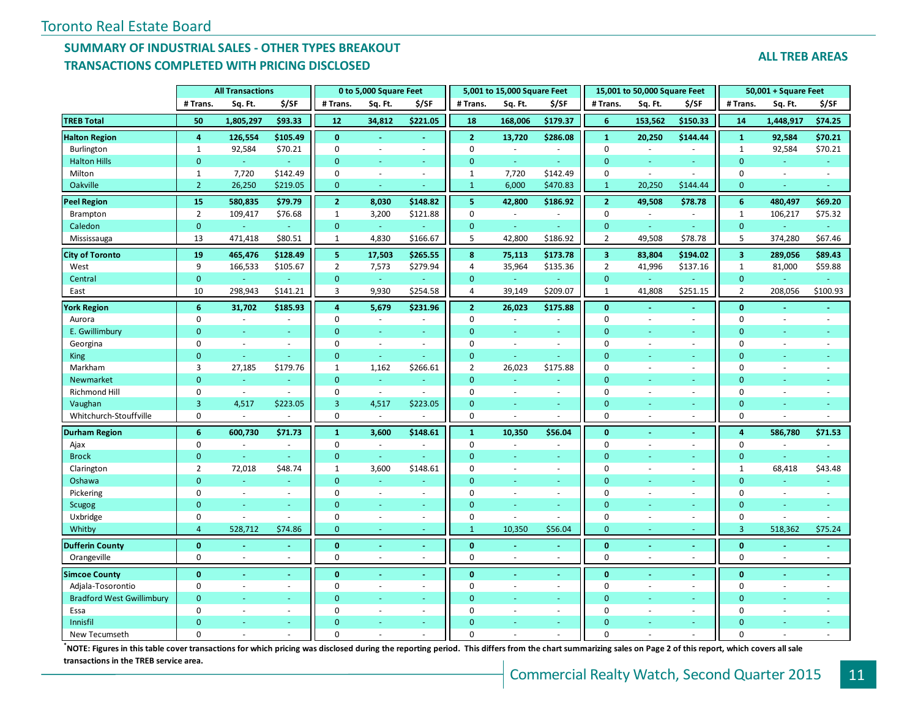### **SUMMARY OF INDUSTRIAL SALES - OTHER TYPES BREAKOUT TRANSACTIONS COMPLETED WITH PRICING DISCLOSED**

|                                  | <b>All Transactions</b> |                          |                          |                      | 0 to 5,000 Square Feet        |                          |                      | 5,001 to 15,000 Square Feet |                          |                         | 15,001 to 50,000 Square Feet |                          | 50,001 + Square Feet      |           |                          |
|----------------------------------|-------------------------|--------------------------|--------------------------|----------------------|-------------------------------|--------------------------|----------------------|-----------------------------|--------------------------|-------------------------|------------------------------|--------------------------|---------------------------|-----------|--------------------------|
|                                  | # Trans.                | Sq. Ft.                  | \$/SF                    | # Trans.             | Sq. Ft.                       | \$/SF                    | # Trans.             | Sq. Ft.                     | \$/SF                    | # Trans.                | Sq. Ft.                      | \$/SF                    | # Trans.                  | Sq. Ft.   | \$/SF                    |
| <b>TREB Total</b>                | 50                      | 1,805,297                | \$93.33                  | 12                   | 34,812                        | \$221.05                 | 18                   | 168,006                     | \$179.37                 | 6                       | 153,562                      | \$150.33                 | 14                        | 1,448,917 | \$74.25                  |
| <b>Halton Region</b>             | 4                       | 126,554                  | \$105.49                 | $\bf{0}$             | $\blacksquare$                | $\sim$                   | $\overline{2}$       | 13,720                      | \$286.08                 | $\mathbf{1}$            | 20,250                       | \$144.44                 | $\mathbf{1}$              | 92,584    | \$70.21                  |
| <b>Burlington</b>                | $\mathbf{1}$            | 92,584                   | \$70.21                  | $\mathbf 0$          | $\sim$                        | $\sim$                   | $\mathbf 0$          | $\sim$                      | $\sim$                   | $\mathbf 0$             | $\overline{\phantom{a}}$     | $\overline{\phantom{a}}$ | $\mathbf{1}$              | 92,584    | \$70.21                  |
| <b>Halton Hills</b>              | $\mathbf{0}$            |                          |                          | $\mathbf 0$          | ÷,                            |                          | $\mathbf{0}$         | $\omega$                    |                          | $\mathbf{0}$            |                              |                          | $\mathbf{0}$              |           |                          |
| Milton                           | $\mathbf{1}$            | 7,720                    | \$142.49                 | 0                    | $\sim$                        | $\blacksquare$           | 1                    | 7,720                       | \$142.49                 | $\mathbf 0$             | $\sim$                       | $\sim$                   | $\pmb{0}$                 | $\sim$    | $\bar{a}$                |
| Oakville                         | $\overline{2}$          | 26,250                   | \$219.05                 | $\mathbf 0$          | ÷                             |                          | $\mathbf{1}$         | 6,000                       | \$470.83                 | $\mathbf{1}$            | 20,250                       | \$144.44                 | $\mathbf{0}$              | ÷         |                          |
| <b>Peel Region</b>               | 15                      | 580,835                  | \$79.79                  | $\mathbf{2}$         | 8,030                         | \$148.82                 | 5                    | 42,800                      | \$186.92                 | $\overline{2}$          | 49,508                       | \$78.78                  | 6                         | 480,497   | \$69.20                  |
| Brampton                         | $\overline{2}$          | 109,417                  | \$76.68                  | $\mathbf{1}$         | 3,200                         | \$121.88                 | $\mathbf 0$          | $\omega$                    | $\omega$                 | $\mathbf 0$             | $\sim$                       | $\omega$                 | $\mathbf{1}$              | 106,217   | \$75.32                  |
| Caledon                          | $\mathbf{0}$            |                          | $\omega$                 | $\mathbf 0$          | $\omega$                      |                          | $\mathbf{0}$         | $\omega_{\rm c}$            | $\omega$                 | $\mathbf{0}$            | $\omega$                     | $\omega$ .               | $\mathbf{0}$              |           |                          |
| Mississauga                      | 13                      | 471,418                  | \$80.51                  | 1                    | 4,830                         | \$166.67                 | 5                    | 42,800                      | \$186.92                 | $\overline{2}$          | 49,508                       | \$78.78                  | 5                         | 374,280   | \$67.46                  |
| <b>City of Toronto</b>           | 19                      | 465,476                  | \$128.49                 | 5 <sup>1</sup>       | 17,503                        | \$265.55                 | 8                    | 75,113                      | \$173.78                 | $\overline{\mathbf{3}}$ | 83,804                       | \$194.02                 | $\overline{\mathbf{3}}$   | 289,056   | \$89.43                  |
| West                             | 9                       | 166,533                  | \$105.67                 | $\overline{2}$       | 7,573                         | \$279.94                 | 4                    | 35,964                      | \$135.36                 | $\overline{2}$          | 41,996                       | \$137.16                 | $\mathbf{1}$              | 81,000    | \$59.88                  |
| Central                          | $\mathbf{0}$            | $\blacksquare$           | $\omega$                 | $\mathbf 0$          | $\bar{\gamma}$                |                          | $\mathbf{0}$         | $\omega_{\rm c}$            | $\blacksquare$           | $\mathbf{0}$            | $\blacksquare$               | $\sim$                   | $\pmb{0}$                 |           |                          |
| East                             | 10                      | 298,943                  | \$141.21                 | 3                    | 9,930                         | \$254.58                 | 4                    | 39,149                      | \$209.07                 | $\mathbf{1}$            | 41,808                       | \$251.15                 | $\overline{2}$            | 208,056   | \$100.93                 |
| <b>York Region</b>               | 6                       | 31,702                   | \$185.93                 | $\overline{4}$       | 5,679                         | \$231.96                 | $\overline{2}$       | 26,023                      | \$175.88                 | $\mathbf{0}$            | $\sim$                       | $\sim$                   | $\mathbf{0}$              |           |                          |
| Aurora                           | 0                       | $\omega$                 |                          | $\mathbf 0$          | $\sim$                        | $\overline{\phantom{a}}$ | $\mathbf 0$          | ÷,                          | $\overline{\phantom{a}}$ | $\mathbf 0$             | $\sim$                       | $\overline{\phantom{a}}$ | $\mathbf 0$               | $\sim$    |                          |
| E. Gwillimbury                   | $\mathbf{0}$            | ÷.                       | $\sim$                   | $\mathbf{0}$         | ÷.                            | $\sim$                   | $\Omega$             | ÷                           | $\sim$                   | $\mathbf{0}$            | ÷.                           | $\sim$                   | $\mathbf{0}$              | ÷.        |                          |
| Georgina                         | 0                       | $\sim$                   | $\sim$                   | $\mathbf 0$          | $\sim$                        | $\blacksquare$           | $\Omega$             | $\omega$                    | $\blacksquare$           | $\mathbf 0$             | ÷.                           | $\overline{\phantom{a}}$ | $\mathbf 0$               | $\sim$    |                          |
| <b>King</b>                      | $\mathbf{0}$            | G.                       | ÷.                       | $\overline{0}$       | u.                            |                          | $\Omega$             | ÷.                          | u.                       | $\Omega$                |                              | ٠                        | $\mathbf{0}$              | ÷.        |                          |
| Markham                          | 3                       | 27,185                   | \$179.76                 | $\mathbf{1}$         | 1,162                         | \$266.61                 | $\overline{2}$       | 26,023                      | \$175.88                 | $\mathbf 0$             | ÷,                           | $\omega$                 | $\mathbf 0$               | $\sim$    |                          |
| Newmarket                        | $\mathbf{0}$            | G.                       | ÷.                       | $\mathbf{0}$         | $\omega$                      | $\sim$                   | $\mathbf{0}$         | ä,                          | ÷                        | $\mathbf{0}$            | ÷,                           | ÷                        | $\mathbf{0}$              | ÷.        |                          |
| Richmond Hill                    | $\mathbf 0$             | $\overline{\phantom{a}}$ | $\sim$                   | $\mathsf 0$          | $\overline{\phantom{a}}$      | $\sim$                   | $\mathbf 0$          | $\blacksquare$              | $\sim$                   | $\mathbf 0$             | $\sim$                       | $\sim$                   | $\pmb{0}$                 | $\sim$    | $\sim$                   |
| Vaughan                          | 3                       | 4,517                    | \$223.05                 | $\overline{3}$       | 4,517                         | \$223.05                 | $\mathbf 0$          | ÷.                          |                          | $\mathbf{0}$            |                              | $\sim$                   | $\mathbf{0}$              | ÷.        |                          |
| Whitchurch-Stouffville           | $\mathbf 0$             | $\omega$                 |                          | $\mathbf 0$          | $\overline{\phantom{a}}$      |                          | $\mathbf 0$          |                             |                          | $\mathbf 0$             |                              | $\sim$                   | $\mathbf 0$               |           |                          |
| <b>Durham Region</b>             | $6\phantom{a}$          | 600,730                  | \$71.73                  | $\mathbf{1}$         | 3,600                         | \$148.61                 | $\mathbf{1}$         | 10,350                      | \$56.04                  | $\bf{0}$                |                              | $\blacksquare$           | $\overline{4}$            | 586,780   | \$71.53                  |
| Ajax                             | 0                       | $\sim$                   | $\sim$                   | 0                    | $\sim$                        |                          | $\mathbf 0$          | $\sim$                      | $\sim$                   | $\mathbf 0$             | ä,                           | $\sim$                   | 0                         |           |                          |
| <b>Brock</b>                     | $\mathbf{0}$            |                          | $\sim$                   | $\mathbf{0}$         | ÷,                            |                          | $\Omega$             | ÷.                          | ÷                        | $\Omega$                | ٠                            | $\sim$                   | $\mathbf{0}$              |           |                          |
| Clarington                       | $\overline{2}$          | 72,018                   | \$48.74                  | $\mathbf{1}$         | 3,600                         | \$148.61                 | $\Omega$             | $\overline{\phantom{a}}$    | $\sim$                   | $\mathbf 0$             | $\overline{\phantom{a}}$     | $\omega$                 | $\mathbf{1}$              | 68,418    | \$43.48                  |
| Oshawa                           | $\mathbf{0}$            |                          |                          | $\mathbf{0}$         | $\omega$                      |                          | $\Omega$             | ÷                           |                          | $\Omega$                |                              |                          | $\mathbf{0}$              | ÷,        |                          |
| Pickering                        | 0                       | $\omega$<br>÷            | $\overline{\phantom{a}}$ | 0                    | $\overline{\phantom{a}}$      | $\blacksquare$           | $\Omega$             | $\sim$<br>÷.                | $\omega$                 | $\mathbf 0$<br>$\Omega$ | ÷,                           | $\overline{\phantom{a}}$ | $\pmb{0}$                 | $\sim$    | $\overline{\phantom{a}}$ |
| <b>Scugog</b>                    | $\mathbf{0}$            |                          |                          | $\mathbf{0}$<br>0    | ÷                             |                          | $\Omega$<br>$\Omega$ | $\sim$                      | $\sim$<br>$\sim$         | $\mathbf 0$             | Ξ                            | $\sim$                   | $\mathbf{0}$<br>$\pmb{0}$ | ÷         |                          |
| Uxbridge<br>Whitby               | 0<br>$\overline{4}$     | $\sim$<br>528,712        | $\sim$<br>\$74.86        | $\mathbf{0}$         | $\overline{\phantom{a}}$<br>÷ | $\sim$<br>$\sim$         | $\mathbf{1}$         | 10,350                      | \$56.04                  | $\mathbf{0}$            | ÷.<br>Ξ                      | ÷.<br>÷                  | $\overline{3}$            | 518,362   | \$75.24                  |
|                                  |                         |                          |                          |                      |                               |                          |                      |                             |                          |                         |                              |                          |                           |           |                          |
| <b>Dufferin County</b>           | $\mathbf{0}$            |                          |                          | $\bf{0}$             | ä,                            | $\sim$                   | $\mathbf{0}$         |                             |                          | $\mathbf{0}$            | ä,                           | $\sim$                   | $\bf{0}$                  |           |                          |
| Orangeville                      | $\mathbf 0$             |                          |                          | $\mathbf 0$          | $\sim$                        | $\sim$                   | $\mathbf 0$          |                             |                          | $\mathbf 0$             | $\sim$                       | ÷.                       | $\mathbf 0$               |           |                          |
| <b>Simcoe County</b>             | $\mathbf{0}$            |                          |                          | $\mathbf{0}$         | $\blacksquare$                | $\sim$                   | $\mathbf{0}$         |                             | $\omega$                 | $\mathbf{0}$            |                              | $\blacksquare$           | $\mathbf{0}$              |           |                          |
| Adjala-Tosorontio                | 0                       | $\sim$                   | $\sim$                   | 0                    | $\omega$                      | $\sim$                   | $\mathbf 0$          | ÷,                          | $\sim$                   | $\mathbf 0$             | $\sim$                       | $\sim$                   | $\mathbf 0$               | $\sim$    |                          |
| <b>Bradford West Gwillimbury</b> | $\mathbf{0}$            |                          | $\sim$                   | $\mathbf{0}$         | ÷,                            | $\omega$                 | $\mathbf{0}$         | u.                          | $\omega$                 | $\mathbf{0}$            | Ξ                            | $\omega$                 | $\mathbf{0}$              | ÷         |                          |
| Essa                             | $\mathbf 0$             | ÷.                       | $\sim$                   | $\Omega$             | $\sim$                        | $\sim$                   | $\Omega$             |                             | $\sim$                   | $\mathbf 0$             | $\sim$                       | ÷.                       | $\mathbf 0$               |           |                          |
| Innisfil                         | $\Omega$<br>$\Omega$    |                          |                          | $\Omega$<br>$\Omega$ |                               |                          | $\Omega$<br>$\Omega$ |                             |                          | $\Omega$<br>$\Omega$    |                              |                          | $\Omega$<br>$\Omega$      |           |                          |
| New Tecumseth                    |                         |                          |                          |                      |                               |                          |                      |                             |                          |                         |                              |                          |                           |           |                          |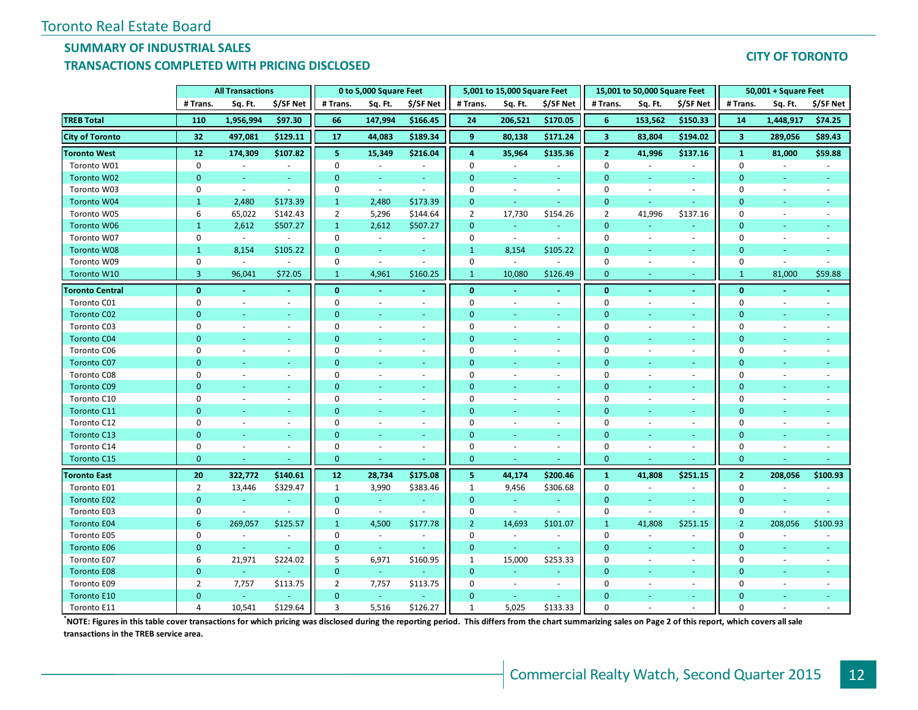### **SUMMARY OF INDUSTRIAL SALES**

#### **TRANSACTIONS COMPLETED WITH PRICING DISCLOSED**

#### **CITY OF TORONTO**

|                        |                | <b>All Transactions</b>  |                          |                | 0 to 5,000 Square Feet   |                          |                | 5,001 to 15,000 Square Feet |                          |                         | 15,001 to 50,000 Square Feet |                          |                         | 50,001 + Square Feet     |                          |
|------------------------|----------------|--------------------------|--------------------------|----------------|--------------------------|--------------------------|----------------|-----------------------------|--------------------------|-------------------------|------------------------------|--------------------------|-------------------------|--------------------------|--------------------------|
|                        | # Trans.       | Sq. Ft.                  | \$/SF Net                | # Trans.       | Sq. Ft.                  | \$/SF Net                | # Trans.       | Sq. Ft.                     | \$/SF Net                | # Trans.                | Sq. Ft.                      | \$/SF Net                | # Trans.                | Sq. Ft.                  | \$/SF Net                |
| <b>TREB Total</b>      | 110            | 1,956,994                | \$97.30                  | 66             | 147,994                  | \$166.45                 | 24             | 206,521                     | \$170.05                 | 6                       | 153,562                      | \$150.33                 | 14                      | 1,448,917                | \$74.25                  |
| <b>City of Toronto</b> | 32             | 497,081                  | \$129.11                 | 17             | 44,083                   | \$189.34                 | 9              | 80,138                      | \$171.24                 | $\overline{\mathbf{3}}$ | 83,804                       | \$194.02                 | $\overline{\mathbf{3}}$ | 289,056                  | \$89.43                  |
| <b>Toronto West</b>    | 12             | 174,309                  | \$107.82                 | 5              | 15,349                   | \$216.04                 | 4              | 35,964                      | \$135.36                 | $\overline{2}$          | 41,996                       | \$137.16                 | $\mathbf{1}$            | 81,000                   | \$59.88                  |
| Toronto W01            | 0              |                          | $\overline{\phantom{a}}$ | 0              | $\overline{\phantom{a}}$ |                          | $\mathbf 0$    |                             | $\overline{\phantom{a}}$ | $\mathbf 0$             |                              | $\overline{\phantom{a}}$ | $\mathbf 0$             | $\bar{a}$                |                          |
| Toronto W02            | $\mathbf{0}$   | $\omega$                 | $\sim$                   | $\mathbf{0}$   | $\overline{\phantom{a}}$ | $\sim$                   | $\Omega$       | $\omega$                    | $\sim$                   | $\mathbf{0}$            | $\sim$                       | $\sim$                   | $\mathbf{0}$            | $\omega$                 | $\blacksquare$           |
| Toronto W03            | 0              | $\overline{\phantom{a}}$ | $\sim$                   | 0              | $\overline{\phantom{a}}$ | $\blacksquare$           | $\Omega$       | $\omega$                    | $\omega$                 | $\mathbf 0$             | $\sim$                       | $\overline{\phantom{a}}$ | $\mathbf 0$             | $\sim$                   | $\overline{\phantom{a}}$ |
| Toronto W04            | $\mathbf{1}$   | 2,480                    | \$173.39                 | $\mathbf{1}$   | 2,480                    | \$173.39                 | $\mathbf{0}$   | $\omega_{\rm c}$            | $\omega$                 | $\overline{0}$          | ÷.                           | $\sim$                   | $\mathbf{0}$            | ÷                        |                          |
| Toronto W05            | 6              | 65,022                   | \$142.43                 | $\overline{2}$ | 5,296                    | \$144.64                 | $\overline{2}$ | 17,730                      | \$154.26                 | $\overline{2}$          | 41,996                       | \$137.16                 | $\mathbf 0$             | $\sim$                   |                          |
| Toronto W06            | $\mathbf{1}$   | 2,612                    | \$507.27                 | $\mathbf{1}$   | 2,612                    | \$507.27                 | $\mathbf{0}$   | ÷.                          |                          | $\mathbf{0}$            |                              |                          | $\mathbf{0}$            |                          |                          |
| Toronto W07            | 0              | $\omega$                 | $\sim$                   | $\mathbf 0$    | $\sim$                   | $\sim$                   | $\Omega$       | $\sim$                      | $\sim$                   | $\mathbf 0$             | $\sim$                       | $\sim$                   | $\mathbf 0$             |                          |                          |
| Toronto W08            | $\mathbf{1}$   | 8,154                    | \$105.22                 | $\mathbf{0}$   | $\blacksquare$           |                          | 1              | 8,154                       | \$105.22                 | $\mathbf{0}$            |                              | ٠                        | $\mathbf{0}$            |                          |                          |
| Toronto W09            | $\mathbf 0$    | $\omega$                 | $\omega$                 | $\mathbf 0$    | $\omega$                 | $\sim$                   | $\mathbf 0$    | $\sim$                      |                          | $\mathbf 0$             | $\sim$                       | $\sim$                   | 0                       | $\overline{\phantom{a}}$ |                          |
| Toronto W10            | 3              | 96,041                   | \$72.05                  | $\mathbf{1}$   | 4,961                    | \$160.25                 | 1              | 10,080                      | \$126.49                 | $\mathbf{0}$            | ٠                            | $\sim$                   | $\mathbf{1}$            | 81,000                   | \$59.88                  |
| <b>Toronto Central</b> | $\mathbf{0}$   | $\blacksquare$           | $\sim$                   | $\bf{0}$       | $\blacksquare$           | $\sim$                   | $\mathbf{0}$   | $\blacksquare$              | $\omega$                 | $\mathbf{0}$            | $\sim$                       | $\blacksquare$           | $\mathbf{0}$            | $\blacksquare$           |                          |
| Toronto C01            | $\mathbf 0$    | $\sim$                   | $\sim$                   | 0              | $\overline{\phantom{a}}$ | $\overline{\phantom{a}}$ | 0              | $\sim$                      | $\overline{\phantom{a}}$ | 0                       | $\sim$                       | $\sim$                   | 0                       | $\sim$                   |                          |
| Toronto C02            | $\Omega$       | ÷.                       | <b>Co</b>                | $\Omega$       | u,                       | $\sim$                   | $\Omega$       | u,                          | ÷                        | $\Omega$                |                              | $\sim$                   | $\mathbf{0}$            |                          |                          |
| Toronto C03            | $\mathbf 0$    | $\overline{\phantom{a}}$ | $\overline{\phantom{a}}$ | $\mathbf 0$    | $\overline{\phantom{a}}$ | $\sim$                   | $\Omega$       | $\overline{\phantom{a}}$    | $\sim$                   | $\mathbf 0$             | $\overline{\phantom{a}}$     | $\overline{\phantom{a}}$ | $\mathbf 0$             | $\overline{\phantom{a}}$ |                          |
| <b>Toronto C04</b>     | $\mathbf{0}$   |                          |                          | $\Omega$       |                          |                          | $\Omega$       |                             |                          | $\Omega$                |                              |                          | $\mathbf{0}$            |                          |                          |
| Toronto C06            | 0              | $\sim$                   | $\overline{\phantom{a}}$ | $\Omega$       | $\overline{\phantom{a}}$ | $\overline{\phantom{a}}$ | $\Omega$       | $\overline{\phantom{a}}$    | $\overline{\phantom{a}}$ | $\mathbf 0$             | $\overline{\phantom{a}}$     | $\overline{\phantom{a}}$ | $\mathbf 0$             |                          |                          |
| Toronto C07            | $\Omega$       |                          |                          | $\mathbf{0}$   | ٠                        | $\sim$                   | $\Omega$       | ÷                           | $\sim$                   | $\Omega$                |                              | ٠                        | $\mathbf{0}$            |                          |                          |
| Toronto C08            | 0              | $\overline{\phantom{a}}$ | $\overline{\phantom{a}}$ | $\mathbf 0$    | $\overline{\phantom{a}}$ | $\overline{\phantom{a}}$ | $\Omega$       | $\sim$                      | $\overline{\phantom{a}}$ | $\mathbf 0$             | $\overline{\phantom{a}}$     | $\overline{\phantom{a}}$ | $\mathbf 0$             | $\sim$                   |                          |
| Toronto C09            | $\mathbf{0}$   | ÷                        | $\sim$                   | $\Omega$       | $\overline{\phantom{a}}$ | $\sim$                   | $\Omega$       | $\omega$                    | $\omega$                 | $\Omega$                | $\sim$                       | $\blacksquare$           | $\mathbf{0}$            | ÷,                       |                          |
| Toronto C10            | 0              | $\omega$                 | $\overline{\phantom{a}}$ | $\mathbf 0$    | ÷,                       | $\omega$                 | $\Omega$       | ÷,                          | $\omega$                 | $\mathbf 0$             | ÷,                           | $\overline{\phantom{a}}$ | 0                       | $\sim$                   |                          |
| Toronto C11            | $\mathbf{0}$   |                          | $\sim$                   | $\mathbf{0}$   | ÷                        |                          | $\Omega$       | ÷                           | $\omega$                 | $\mathbf{0}$            | Ξ                            | $\blacksquare$           | $\mathbf{0}$            |                          |                          |
| Toronto C12            | $\mathbf{0}$   | $\sim$                   | $\sim$                   | $\mathbf 0$    | $\overline{\phantom{a}}$ | $\sim$                   | $\Omega$       | ÷.                          | $\sim$                   | $\mathbf 0$             | ä,                           | $\sim$                   | $\mathbf 0$             | ÷.                       |                          |
| <b>Toronto C13</b>     | $\mathbf{0}$   | ÷                        | $\sim$                   | $\mathbf{0}$   | ÷,                       | $\sim$                   | $\Omega$       | ÷.                          | ÷                        | $\Omega$                | ٠                            | ٠                        | $\mathbf{0}$            | ÷                        |                          |
| Toronto C14            | 0              | $\sim$                   | $\sim$                   | $\mathbf 0$    | $\sim$                   | $\sim$                   | $\Omega$       | $\omega$                    | $\sim$                   | $\mathbf 0$             | $\sim$                       | $\overline{\phantom{a}}$ | $\mathbf 0$             | $\sim$                   | $\sim$                   |
| Toronto C15            | $\mathbf{0}$   |                          |                          | $\pmb{0}$      | ÷                        |                          | $\mathbf{0}$   |                             |                          | $\overline{0}$          |                              |                          | $\pmb{0}$               |                          |                          |
| <b>Toronto East</b>    | 20             | 322,772                  | \$140.61                 | 12             | 28,734                   | \$175.08                 | 5              | 44,174                      | \$200.46                 | $\mathbf{1}$            | 41,808                       | \$251.15                 | 2 <sup>1</sup>          | 208,056                  | \$100.93                 |
| Toronto E01            | 2              | 13,446                   | \$329.47                 | 1              | 3,990                    | \$383.46                 | 1              | 9,456                       | \$306.68                 | 0                       | $\sim$                       | $\overline{\phantom{a}}$ | 0                       | ÷,                       |                          |
| <b>Toronto E02</b>     | $\mathbf{0}$   | $\omega$                 | $\omega$                 | $\overline{0}$ | $\omega$                 |                          | $\mathbf{0}$   | $\omega$                    | $\omega$                 | $\overline{0}$          | $\sim$                       | $\blacksquare$           | $\mathbf{0}$            | $\blacksquare$           |                          |
| Toronto E03            | $\mathbf 0$    | $\blacksquare$           | $\overline{\phantom{a}}$ | 0              | $\sim$                   | $\sim$                   | 0              | $\sim$                      | $\overline{\phantom{a}}$ | $\mathbf 0$             | $\sim$                       | $\overline{\phantom{a}}$ | 0                       | $\overline{\phantom{a}}$ |                          |
| <b>Toronto E04</b>     | 6              | 269,057                  | \$125.57                 | $\mathbf{1}$   | 4,500                    | \$177.78                 | $\overline{2}$ | 14,693                      | \$101.07                 | $\mathbf{1}$            | 41,808                       | \$251.15                 | $\overline{2}$          | 208,056                  | \$100.93                 |
| Toronto E05            | $\mathbf 0$    | $\sim$                   | $\sim$                   | 0              | $\sim$                   | $\sim$                   | $\mathbf 0$    | $\omega$                    | $\overline{\phantom{a}}$ | $\mathbf 0$             | $\sim$                       | $\overline{\phantom{a}}$ | 0                       | $\sim$                   | $\sim$                   |
| <b>Toronto E06</b>     | $\mathbf{0}$   | $\sim$                   |                          | $\mathbf 0$    | $\omega$                 |                          | $\mathbf{0}$   | $\omega$ .                  | ÷                        | $\mathbf{0}$            | ÷                            | $\sim$                   | $\mathbf{0}$            | ÷.                       |                          |
| Toronto E07            | 6              | 21,971                   | \$224.02                 | 5              | 6,971                    | \$160.95                 | 1              | 15,000                      | \$253.33                 | $\mathbf 0$             | $\overline{\phantom{a}}$     | $\overline{\phantom{a}}$ | $\pmb{0}$               | $\sim$                   |                          |
| <b>Toronto E08</b>     | $\mathbf{0}$   | $\omega$                 |                          | $\mathbf 0$    | $\sim$                   |                          | $\mathbf{0}$   | $\omega$                    | ÷                        | $\mathbf{0}$            | ÷.                           | $\sim$                   | $\mathbf{0}$            | ÷.                       |                          |
| Toronto E09            | $\overline{2}$ | 7,757                    | \$113.75                 | $\overline{2}$ | 7,757                    | \$113.75                 | $\Omega$       | $\sim$                      | $\sim$                   | $\mathbf 0$             | ä,                           | $\blacksquare$           | $\mathbf 0$             |                          |                          |
| <b>Toronto E10</b>     | $\mathbf{0}$   | $\sim$                   | $\sim$                   | $\overline{0}$ | $\omega$                 |                          | $\Omega$       | $\omega$                    |                          | $\Omega$                |                              | $\sim$                   | $\Omega$                |                          |                          |
| Toronto E11            | 4              | 10,541                   | \$129.64                 | 3              | 5,516                    | \$126.27                 | $\mathbf{1}$   | 5,025                       | \$133.33                 | $\Omega$                |                              |                          | $\Omega$                |                          |                          |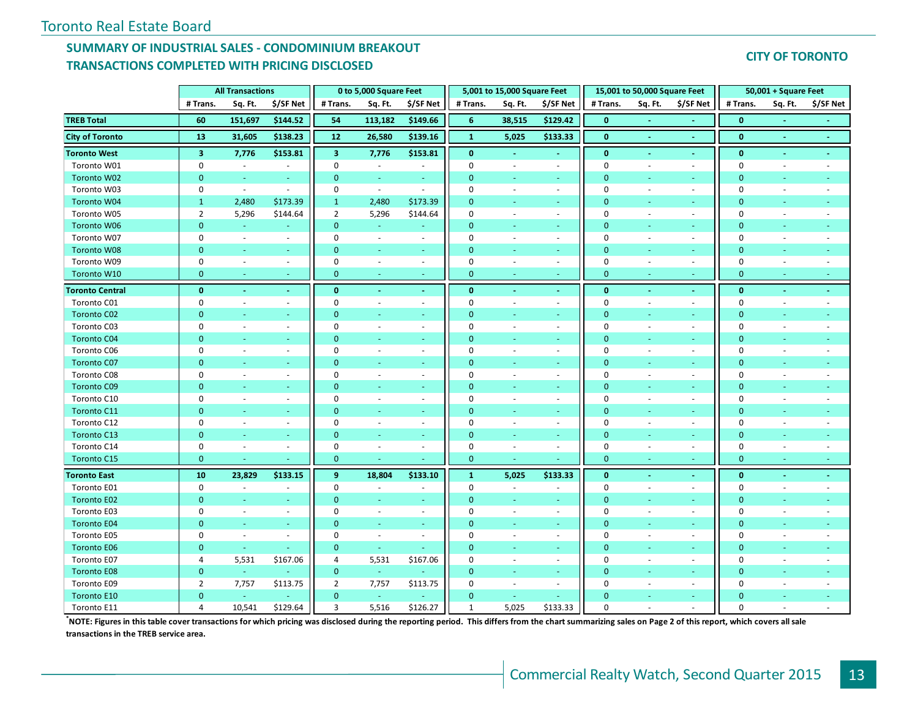#### **SUMMARY OF INDUSTRIAL SALES - CONDOMINIUM BREAKOUT TRANSACTIONS COMPLETED WITH PRICING DISCLOSED**

#### **CITY OF TORONTO**

|                        |                         | <b>All Transactions</b>  |                          |                         | 0 to 5,000 Square Feet   |                             |                | 5,001 to 15,000 Square Feet |                          |                | 15,001 to 50,000 Square Feet |                          |                | 50,001 + Square Feet     |                          |
|------------------------|-------------------------|--------------------------|--------------------------|-------------------------|--------------------------|-----------------------------|----------------|-----------------------------|--------------------------|----------------|------------------------------|--------------------------|----------------|--------------------------|--------------------------|
|                        | # Trans.                | Sq. Ft.                  | \$/SF Net                | # Trans.                | Sq. Ft.                  | \$/SF Net                   | # Trans.       | Sq. Ft.                     | \$/SF Net                | # Trans.       | Sq. Ft.                      | \$/SF Net                | # Trans.       | Sq. Ft.                  | \$/SF Net                |
| <b>TREB Total</b>      | 60                      | 151,697                  | \$144.52                 | 54                      | 113,182                  | \$149.66                    | 6              | 38,515                      | \$129.42                 | $\bf{0}$       |                              |                          | $\bf{0}$       |                          |                          |
| <b>City of Toronto</b> | 13                      | 31,605                   | \$138.23                 | 12                      | 26,580                   | \$139.16                    | $\mathbf{1}$   | 5,025                       | \$133.33                 | $\mathbf{0}$   | $\sim$                       | $\sim$                   | $\mathbf{0}$   | $\sim$                   | $\sim$                   |
| <b>Toronto West</b>    | $\overline{\mathbf{3}}$ | 7,776                    | \$153.81                 | $\overline{\mathbf{3}}$ | 7,776                    | \$153.81                    | $\bf{0}$       |                             |                          | $\bf{0}$       |                              | $\blacksquare$           | $\bf{0}$       | $\blacksquare$           | $\blacksquare$           |
| Toronto W01            | $\mathbf 0$             | $\omega$                 | $\omega$                 | $\Omega$                | $\sim$                   | ÷.                          | $\mathbf 0$    | $\sim$                      | ÷.                       | $\mathbf 0$    | ÷.                           | ÷.                       | $\mathbf 0$    | $\sim$                   | $\sim$                   |
| Toronto W02            | $\mathbf{0}$            | $\omega$                 | $\sim$                   | $\mathbf{0}$            | ÷                        | $\sim$                      | $\mathbf 0$    | $\sim$                      | $\sim$                   | $\mathbf{0}$   | ×.                           | $\sim$                   | $\mathbf{0}$   | $\blacksquare$           |                          |
| Toronto W03            | $\mathbf 0$             | $\sim$                   | $\omega$                 | $\mathbf 0$             | $\blacksquare$           | $\sim$                      | $\mathbf 0$    | $\sim$                      | $\omega$ .               | $\pmb{0}$      | $\overline{\phantom{a}}$     | $\sim$                   | $\mathbf 0$    | $\sim$                   | $\sim$                   |
| Toronto W04            | $\mathbf{1}$            | 2,480                    | \$173.39                 | $\mathbf 1$             | 2,480                    | \$173.39                    | $\overline{0}$ |                             | ä,                       | $\overline{0}$ |                              | ٠                        | $\mathbf{0}$   |                          |                          |
| Toronto W05            | $\overline{2}$          | 5,296                    | \$144.64                 | $\overline{2}$          | 5,296                    | \$144.64                    | $\mathbf 0$    | $\overline{\phantom{a}}$    | $\omega$                 | $\mathbf 0$    | $\overline{\phantom{a}}$     | $\sim$                   | 0              | $\sim$                   |                          |
| Toronto W06            | $\mathbf{0}$            | ra.                      |                          | $\mathbf{0}$            | ÷                        | $\sim$                      | $\overline{0}$ | $\sim$                      | ÷.                       | $\mathbf{0}$   |                              | ÷.                       | $\mathbf{0}$   | Ξ                        |                          |
| Toronto W07            | $\mathbf 0$             | $\sim$                   | $\omega$                 | $\mathbf 0$             | $\sim$                   | $\blacksquare$              | $\mathbf 0$    | $\sim$                      | $\omega$                 | $\mathbf 0$    |                              | $\sim$                   | $\mathbf 0$    | $\sim$                   |                          |
| Toronto W08            | $\overline{0}$          | ÷.                       | $\sim$                   | $\Omega$                | ÷                        | $\omega$                    | $\overline{0}$ | $\sim$                      | u,                       | $\mathbf{0}$   |                              | ٠                        | $\mathbf{0}$   | Ξ                        |                          |
| Toronto W09            | $\pmb{0}$               | $\bar{a}$                | $\sim$                   | $\mathbf 0$             | $\sim$                   | $\sim$                      | $\mathbf 0$    | $\sim$                      | $\blacksquare$           | $\mathbf 0$    |                              | $\blacksquare$           | $\pmb{0}$      | $\sim$                   |                          |
| Toronto W10            | $\mathbf{0}$            | $\omega$                 | $\sim$                   | $\mathbf{0}$            | ÷                        | $\sim$                      | $\mathbf{0}$   | ÷.                          | ÷                        | $\mathbf{0}$   |                              | ÷.                       | $\mathbf{0}$   | ÷.                       | ×.                       |
| <b>Toronto Central</b> | $\bf{0}$                | $\omega$                 | $\omega$                 | $\mathbf{0}$            | $\blacksquare$           | $\omega$                    | $\bf{0}$       | $\omega$                    | $\omega_{\rm c}$         | $\bf{0}$       | ч.                           | $\sim$                   | $\bf{0}$       | $\blacksquare$           | $\omega$                 |
| Toronto C01            | $\mathbf 0$             | $\sim$                   | $\overline{\phantom{a}}$ | $\mathbf 0$             | $\sim$                   | $\overline{\phantom{a}}$    | $\mathbf 0$    | $\overline{\phantom{a}}$    | $\blacksquare$           | $\mathbf 0$    | $\sim$                       | $\overline{\phantom{a}}$ | $\mathbf 0$    | ÷.                       |                          |
| <b>Toronto C02</b>     | $\overline{0}$          |                          |                          | $\Omega$                |                          | ÷                           | $\overline{0}$ |                             | u,                       | $\Omega$       |                              |                          | $\overline{0}$ |                          |                          |
| Toronto C03            | $\mathbf 0$             | $\overline{\phantom{a}}$ | $\overline{\phantom{a}}$ | $\mathbf 0$             | $\overline{\phantom{a}}$ | $\overline{\phantom{a}}$    | $\mathbf 0$    |                             | $\blacksquare$           | $\mathbf 0$    |                              | $\overline{\phantom{a}}$ | 0              |                          |                          |
| <b>Toronto C04</b>     | $\mathbf{0}$            | ÷.                       |                          | $\Omega$                |                          | ÷                           | $\overline{0}$ |                             | ÷.                       | $\mathbf{0}$   |                              | ÷                        | $\mathbf{0}$   |                          |                          |
| Toronto C06            | $\pmb{0}$               | ä,                       | $\sim$                   | $\mathbf 0$             | $\sim$                   | $\mathcal{L}_{\mathcal{A}}$ | $\mathbf 0$    |                             | $\omega$                 | $\pmb{0}$      |                              | $\blacksquare$           | $\mathbf 0$    | $\overline{\phantom{a}}$ |                          |
| Toronto C07            | $\overline{0}$          | ÷                        | $\sim$                   | $\mathbf{0}$            | ٠                        | $\omega$                    | $\overline{0}$ | ÷.                          | ÷.                       | $\mathbf{0}$   |                              | $\sim$                   | $\mathbf{0}$   | ÷                        |                          |
| Toronto C08            | $\pmb{0}$               | $\overline{\phantom{a}}$ | $\sim$                   | $\mathbf 0$             | ÷.                       | $\sim$                      | $\mathbf 0$    | $\sim$                      | $\omega$                 | $\mathbf 0$    |                              | $\sim$                   | 0              | $\sim$                   | $\sim$                   |
| Toronto C09            | $\mathbf{0}$            | $\equiv$                 | ÷                        | $\mathbf{0}$            | $\blacksquare$           | $\equiv$                    | $\mathbf{0}$   |                             | $\sim$                   | $\mathbf{0}$   |                              | ٠                        | $\mathbf{0}$   | $\sim$                   |                          |
| Toronto C10            | $\mathbf 0$             | $\mathbf{r}$             | $\omega$                 | $\mathbf 0$             | ÷.                       | $\blacksquare$              | $\mathbf 0$    | $\sim$                      | $\omega$ .               | $\mathbf 0$    | ÷.                           | $\sim$                   | $\mathbf 0$    | $\sim$                   |                          |
| Toronto C11            | $\mathbf{0}$            | ÷                        | $\sim$                   | $\mathbf{0}$            | $\sim$                   | $\sim$                      | $\mathbf 0$    |                             | $\sim$                   | $\mathbf{0}$   | ×.                           | ÷                        | $\mathbf{0}$   | $\blacksquare$           |                          |
| Toronto C12            | $\mathbf 0$             | $\sim$                   | $\sim$                   | $\mathbf 0$             | ÷                        | $\blacksquare$              | $\mathbf 0$    | $\sim$                      | $\blacksquare$           | 0              | $\overline{a}$               | $\sim$                   | $\mathbf 0$    | $\sim$                   | $\sim$                   |
| Toronto C13            | $\overline{0}$          | ÷                        |                          | $\mathbf{0}$            | $\blacksquare$           | ÷.                          | $\mathbf{0}$   |                             | ÷.                       | $\overline{0}$ |                              | $\sim$                   | $\mathbf{0}$   | $\sim$                   |                          |
| Toronto C14            | $\mathbf 0$             | $\sim$                   | $\sim$                   | $\mathbf 0$             | $\overline{\phantom{a}}$ | $\sim$                      | $\mathbf 0$    | $\overline{\phantom{a}}$    | $\sim$                   | $\mathbf 0$    | ÷.                           | $\sim$                   | $\mathbf 0$    | $\overline{\phantom{a}}$ | $\sim$                   |
| Toronto C15            | $\mathbf 0$             | ÷,                       |                          | $\mathbf{0}$            |                          |                             | $\overline{0}$ |                             |                          | $\mathbf{0}$   |                              |                          | $\mathbf{0}$   | ÷.                       |                          |
| <b>Toronto East</b>    | 10                      | 23,829                   | \$133.15                 | $\mathbf{9}$            | 18,804                   | \$133.10                    | $\mathbf 1$    | 5,025                       | \$133.33                 | $\bf{0}$       | $\blacksquare$               | $\sim$                   | $\bf{0}$       | $\blacksquare$           | $\blacksquare$           |
| Toronto E01            | $\mathbf 0$             | $\sim$                   | ÷.                       | $\mathbf 0$             | ÷.                       | $\overline{\phantom{a}}$    | $\mathbf 0$    | $\sim$                      | $\blacksquare$           | $\mathbf 0$    |                              | $\sim$                   | 0              | $\sim$                   | $\sim$                   |
| Toronto E02            | $\mathbf{0}$            | $\omega$                 |                          | $\mathbf{0}$            | $\blacksquare$           | $\blacksquare$              | $\mathbf{0}$   |                             | $\sim$                   | $\mathbf{0}$   |                              | ÷.                       | $\mathbf{0}$   | $\sim$                   |                          |
| Toronto E03            | $\mathbf 0$             | $\omega$                 | $\omega$                 | $\mathbf 0$             | ÷.                       | $\sim$                      | $\mathbf 0$    | $\sim$                      | $\omega$ .               | $\mathbf 0$    | $\overline{a}$               | $\sim$                   | $\mathbf 0$    | $\sim$                   | ÷.                       |
| <b>Toronto E04</b>     | $\overline{0}$          | ÷.                       | $\sim$                   | $\mathbf{0}$            | $\omega$                 | $\omega$                    | $\mathbf{0}$   |                             | ÷.                       | $\mathbf{0}$   | ×.                           | ÷.                       | $\mathbf{0}$   | u                        |                          |
| Toronto E05            | $\mathbf 0$             | $\blacksquare$           | ÷.                       | $\mathbf 0$             | ÷.                       | $\sim$                      | $\mathbf 0$    | $\overline{\phantom{a}}$    | $\omega$                 | 0              | $\overline{\phantom{a}}$     | $\sim$                   | $\mathbf 0$    | ÷.                       | $\sim$                   |
| <b>Toronto E06</b>     | $\overline{0}$          | ÷.                       |                          | $\mathbf{0}$            | $\omega$                 | ÷                           | $\overline{0}$ |                             | ÷.                       | $\Omega$       |                              | $\sim$                   | $\mathbf{0}$   | ÷                        |                          |
| Toronto E07            | $\overline{4}$          | 5,531                    | \$167.06                 | 4                       | 5,531                    | \$167.06                    | $\mathbf 0$    | $\overline{\phantom{a}}$    | $\overline{\phantom{a}}$ | $\pmb{0}$      | $\sim$                       | $\sim$                   | 0              | $\sim$                   | $\overline{\phantom{a}}$ |
| <b>Toronto E08</b>     | $\mathbf{0}$            | $\omega$                 |                          | $\mathbf{0}$            | $\omega$                 |                             | $\overline{0}$ | $\sim$                      | ÷.                       | $\mathbf{0}$   |                              | ÷.                       | $\mathbf{0}$   | ÷.                       |                          |
| Toronto E09            | $\overline{2}$          | 7,757                    | \$113.75                 | $\overline{2}$          | 7,757                    | \$113.75                    | $\mathbf 0$    |                             | $\Box$                   | $\pmb{0}$      |                              | $\overline{\phantom{a}}$ | $\mathbf 0$    |                          |                          |
| Toronto E10            | $\overline{0}$          | $\sim$                   |                          | $\mathbf{0}$            | $\omega$                 |                             | $\overline{0}$ |                             | ÷                        | $\overline{0}$ |                              | $\sim$                   | $\mathbf{0}$   |                          |                          |
| Toronto E11            | 4                       | 10,541                   | \$129.64                 | $\overline{3}$          | 5,516                    | \$126.27                    | $\mathbf{1}$   | 5,025                       | \$133.33                 | $\Omega$       |                              |                          | $\Omega$       |                          |                          |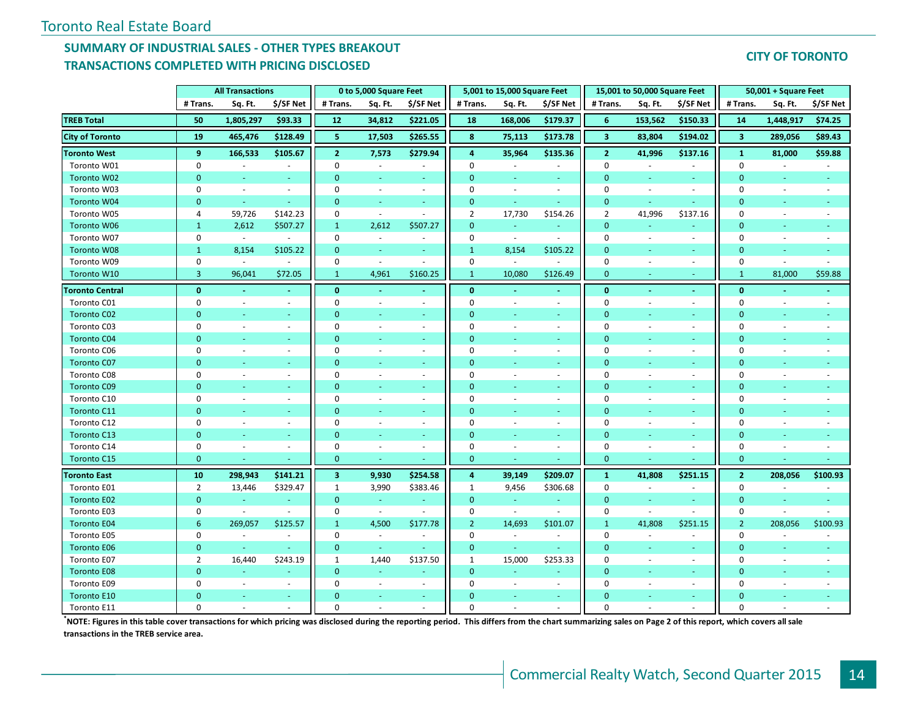### **SUMMARY OF INDUSTRIAL SALES - OTHER TYPES BREAKOUT TRANSACTIONS COMPLETED WITH PRICING DISCLOSED**

#### **CITY OF TORONTO**

|                        |                | <b>All Transactions</b>  |                |                         | 0 to 5,000 Square Feet      |                          |                | 5,001 to 15,000 Square Feet |                |                         | 15,001 to 50,000 Square Feet |                          |                         | 50,001 + Square Feet |                          |
|------------------------|----------------|--------------------------|----------------|-------------------------|-----------------------------|--------------------------|----------------|-----------------------------|----------------|-------------------------|------------------------------|--------------------------|-------------------------|----------------------|--------------------------|
|                        | # Trans.       | Sq. Ft.                  | \$/SF Net      | # Trans.                | Sq. Ft.                     | \$/SF Net                | # Trans.       | Sq. Ft.                     | \$/SF Net      | # Trans.                | Sq. Ft.                      | \$/SF Net                | # Trans.                | Sq. Ft.              | \$/SF Net                |
| <b>TREB Total</b>      | 50             | 1,805,297                | \$93.33        | 12                      | 34,812                      | \$221.05                 | 18             | 168,006                     | \$179.37       | 6                       | 153,562                      | \$150.33                 | 14                      | 1,448,917            | \$74.25                  |
| <b>City of Toronto</b> | 19             | 465,476                  | \$128.49       | 5                       | 17,503                      | \$265.55                 | 8              | 75,113                      | \$173.78       | $\overline{\mathbf{3}}$ | 83,804                       | \$194.02                 | $\overline{\mathbf{3}}$ | 289,056              | \$89.43                  |
| <b>Toronto West</b>    | 9              | 166,533                  | \$105.67       | $\overline{2}$          | 7,573                       | \$279.94                 | 4              | 35,964                      | \$135.36       | $\overline{2}$          | 41,996                       | \$137.16                 | $\mathbf{1}$            | 81,000               | \$59.88                  |
| Toronto W01            | $\pmb{0}$      | $\omega$                 | $\omega$       | $\pmb{0}$               | $\overline{\phantom{a}}$    | $\overline{\phantom{a}}$ | $\mathbf 0$    | $\omega$                    | $\omega$       | $\mathbf 0$             | $\sim$                       | $\sim$                   | $\mathbf 0$             | $\omega$             |                          |
| Toronto W02            | $\mathbf{0}$   | $\omega$                 | $\sim$         | $\mathbf{0}$            | ÷                           | $\sim$                   | $\mathbf{0}$   | $\omega$                    | $\sim$         | $\mathbf{0}$            | $\omega$                     | $\sim$                   | $\mathbf{0}$            | $\blacksquare$       | $\sim$                   |
| Toronto W03            | $\Omega$       | $\omega$                 | $\sim$         | $\Omega$                | $\sim$                      | $\sim$                   | $\Omega$       | $\omega$                    | $\sim$         | $\mathbf 0$             | ÷.                           | $\sim$                   | 0                       | $\sim$               | $\sim$                   |
| Toronto W04            | $\mathbf{0}$   | $\omega$                 | $\sim$         | $\mathbf{0}$            | $\omega$                    | $\sim$                   | $\mathbf{0}$   | $\sim$                      | $\omega$       | $\mathbf{0}$            | ÷                            | $\sim$                   | $\mathbf{0}$            | ÷                    |                          |
| Toronto W05            | 4              | 59,726                   | \$142.23       | $\mathbf 0$             | $\sim$                      | $\sim$                   | 2              | 17,730                      | \$154.26       | $\overline{2}$          | 41,996                       | \$137.16                 | $\mathbf 0$             | $\sim$               |                          |
| Toronto W06            | $\mathbf{1}$   | 2,612                    | \$507.27       | $\mathbf{1}$            | 2,612                       | \$507.27                 | $\mathbf{0}$   | $\omega$                    | $\omega$       | $\mathbf{0}$            |                              |                          | $\mathbf{0}$            |                      |                          |
| Toronto W07            | 0              | $\omega$                 |                | $\mathbf 0$             | $\overline{\phantom{a}}$    |                          | $\mathbf 0$    | $\mathcal{L}_{\mathcal{A}}$ | $\sim$         | $\mathbf 0$             | $\overline{\phantom{a}}$     | $\overline{\phantom{a}}$ | $\mathbf 0$             |                      |                          |
| Toronto W08            | $\mathbf{1}$   | 8,154                    | \$105.22       | $\mathbf 0$             | $\blacksquare$              | ÷                        | $\mathbf{1}$   | 8,154                       | \$105.22       | $\mathbf{0}$            | ÷                            | $\sim$                   | $\overline{0}$          | ÷                    |                          |
| Toronto W09            | $\mathbf 0$    | $\omega$                 | $\sim$         | 0                       | $\sim$                      | $\sim$                   | $\mathbf 0$    | $\sim$                      |                | $\mathbf 0$             | $\sim$                       | $\sim$                   | $\mathbf 0$             | $\sim$               |                          |
| Toronto W10            | $\overline{3}$ | 96,041                   | \$72.05        | $\mathbf{1}$            | 4,961                       | \$160.25                 | $\mathbf{1}$   | 10,080                      | \$126.49       | $\mathbf{0}$            | ÷                            | $\sim$                   | $\mathbf{1}$            | 81,000               | \$59.88                  |
| <b>Toronto Central</b> | $\mathbf{0}$   | $\blacksquare$           | $\blacksquare$ | $\mathbf{0}$            | $\blacksquare$              | $\sim$                   | $\mathbf{0}$   | $\blacksquare$              | $\blacksquare$ | $\mathbf{0}$            | $\blacksquare$               | $\sim$                   | $\mathbf{0}$            | $\blacksquare$       |                          |
| Toronto C01            | 0              | $\omega$                 | $\sim$         | $\Omega$                | $\sim$                      | $\sim$                   | $\Omega$       | ÷.                          | $\sim$         | $\mathbf 0$             | ÷.                           | $\sim$                   | 0                       | $\sim$               | $\sim$                   |
| <b>Toronto C02</b>     | $\mathbf{0}$   |                          |                | $\mathbf{0}$            | ÷                           |                          | $\Omega$       |                             |                | $\overline{0}$          |                              |                          | $\Omega$                |                      |                          |
| Toronto C03            | 0              | $\overline{\phantom{a}}$ | $\sim$         | $\mathbf 0$             | $\overline{\phantom{a}}$    | $\blacksquare$           | $\Omega$       |                             | $\sim$         | $\mathbf 0$             | $\overline{\phantom{a}}$     | $\overline{\phantom{a}}$ | $\mathbf 0$             |                      |                          |
| <b>Toronto C04</b>     | $\mathbf{0}$   |                          |                | $\mathbf{0}$            | ÷,                          |                          | $\Omega$       | ÷                           | ÷              | $\mathbf{0}$            |                              |                          | $\mathbf{0}$            |                      |                          |
| Toronto C06            | 0              | ÷.                       | $\sim$         | $\mathbf 0$             | $\overline{\phantom{a}}$    | $\sim$                   | $\Omega$       | $\overline{\phantom{a}}$    | $\sim$         | $\Omega$                | ä,                           | $\sim$                   | 0                       |                      |                          |
| <b>Toronto C07</b>     | $\Omega$       | ÷                        | $\sim$         | $\overline{0}$          | ÷,                          | $\sim$                   | $\mathbf{0}$   | ÷                           | $\sim$         | $\overline{0}$          | ÷                            | $\sim$                   | $\overline{0}$          | ÷                    |                          |
| Toronto C08            | 0              | ÷.                       | $\sim$         | 0                       | $\sim$                      | $\blacksquare$           | $\Omega$       | $\sim$                      | $\blacksquare$ | $\mathbf 0$             | $\sim$                       | $\sim$                   | $\mathbf 0$             | $\sim$               |                          |
| <b>Toronto C09</b>     | $\Omega$       | ÷.                       | ÷              | $\mathbf{0}$            | $\omega$                    | ÷                        | $\Omega$       | ÷                           | ÷              | $\Omega$                | ÷,                           | ÷                        | $\mathbf 0$             |                      |                          |
| Toronto C10            | 0              | $\omega$                 | $\blacksquare$ | $\mathbf 0$             | $\sim$                      | $\sim$                   | $\Omega$       | $\bar{a}$                   | $\sim$         | $\mathbf 0$             | $\overline{\phantom{a}}$     | $\sim$                   | 0                       | $\sim$               |                          |
| Toronto C11            | $\Omega$       | ÷.                       | ÷              | $\mathbf{0}$            | $\omega$                    | $\sim$                   | $\Omega$       | ÷                           | $\sim$         | $\mathbf{0}$            | ÷,                           | $\sim$                   | $\mathbf{0}$            | ÷                    |                          |
| Toronto C12            | 0              | $\sim$                   | $\sim$         | 0                       | $\sim$                      | $\overline{\phantom{a}}$ | $\Omega$       | ÷.                          | $\sim$         | $\mathbf 0$             | $\sim$                       | $\sim$                   | 0                       | $\sim$               |                          |
| <b>Toronto C13</b>     | $\Omega$       | ÷.                       | $\sim$         | $\overline{0}$          | ÷                           | $\sim$                   | $\Omega$       | ÷                           | $\sim$         | $\overline{0}$          | ÷                            | $\sim$                   | $\overline{0}$          | ÷                    |                          |
| Toronto C14            | 0              | $\overline{\phantom{a}}$ | $\omega$       | $\pmb{0}$               | $\overline{\phantom{a}}$    | $\overline{\phantom{a}}$ | $\Omega$       | $\blacksquare$              | $\blacksquare$ | $\mathbf 0$             | $\overline{\phantom{a}}$     | $\sim$                   | $\mathbf 0$             | $\sim$               | $\overline{\phantom{a}}$ |
| Toronto C15            | $\overline{0}$ |                          |                | $\mathbf{0}$            | ÷                           |                          | $\mathbf{0}$   |                             |                | $\mathbf{0}$            |                              |                          | $\mathbf{0}$            |                      |                          |
| <b>Toronto East</b>    | 10             | 298,943                  | \$141.21       | $\overline{\mathbf{3}}$ | 9,930                       | \$254.58                 | 4              | 39,149                      | \$209.07       | $\mathbf{1}$            | 41,808                       | \$251.15                 | $\overline{2}$          | 208,056              | \$100.93                 |
| Toronto E01            | $\overline{2}$ | 13,446                   | \$329.47       | 1                       | 3,990                       | \$383.46                 | 1              | 9,456                       | \$306.68       | $\mathbf 0$             | $\sim$                       | $\sim$                   | $\mathbf 0$             | $\sim$               |                          |
| Toronto E02            | $\mathbf{0}$   | $\omega$                 | $\blacksquare$ | $\mathbf 0$             | $\omega$                    |                          | $\mathbf{0}$   | $\omega_{\rm c}$            |                | $\overline{0}$          | ä,                           | $\omega$                 | $\mathbf{0}$            | Ξ                    |                          |
| Toronto E03            | 0              | $\blacksquare$           | $\sim$         | $\mathbf 0$             | $\mathcal{L}_{\mathcal{A}}$ | $\sim$                   | $\mathbf 0$    | $\omega$ .                  | $\blacksquare$ | $\mathbf 0$             | $\sim$                       | $\sim$                   | $\mathbf 0$             | ÷,                   | $\sim$                   |
| <b>Toronto E04</b>     | 6              | 269,057                  | \$125.57       | $\mathbf{1}$            | 4,500                       | \$177.78                 | $\overline{2}$ | 14,693                      | \$101.07       | $\mathbf{1}$            | 41,808                       | \$251.15                 | $\overline{2}$          | 208,056              | \$100.93                 |
| Toronto E05            | 0              | $\sim$                   | $\sim$         | 0                       | $\blacksquare$              | $\sim$                   | 0              | $\omega$                    | $\sim$         | $\mathbf 0$             | $\sim$                       | $\sim$                   | 0                       | $\sim$               | $\sim$                   |
| <b>Toronto E06</b>     | $\mathbf{0}$   | $\sim$                   |                | $\mathbf{0}$            | $\omega$                    |                          | $\mathbf{0}$   | $\omega$ .                  | $\sim$         | $\Omega$                | ÷                            | $\sim$                   | $\mathbf{0}$            | ÷                    |                          |
| Toronto E07            | $\overline{2}$ | 16,440                   | \$243.19       | $\mathbf{1}$            | 1,440                       | \$137.50                 | 1              | 15,000                      | \$253.33       | $\mathbf 0$             | $\overline{\phantom{a}}$     | $\sim$                   | $\mathbf 0$             | $\sim$               | $\sim$                   |
| <b>Toronto E08</b>     | $\overline{0}$ | a.                       | ÷              | $\mathbf{0}$            | $\omega$                    |                          | $\mathbf{0}$   | ÷.                          | ÷              | $\mathbf{0}$            | ÷.                           | ÷                        | $\mathbf{0}$            | ÷.                   |                          |
| Toronto E09            | 0              | $\omega$                 | $\omega$       | 0                       | $\overline{\phantom{a}}$    | $\sim$                   | $\mathbf 0$    | $\bar{\phantom{a}}$         | $\omega$       | $\mathbf 0$             | $\overline{\phantom{a}}$     | $\sim$                   | 0                       |                      |                          |
| Toronto E10            | $\Omega$       |                          | $\sim$         | $\Omega$                | $\omega$                    | $\sim$                   | $\Omega$       | ä,                          | $\sim$         | $\Omega$                | ٠                            | $\sim$                   | $\Omega$                |                      |                          |
| Toronto E11            | $\Omega$       |                          |                | $\Omega$                |                             |                          | $\Omega$       |                             |                | $\Omega$                |                              |                          | $\Omega$                |                      |                          |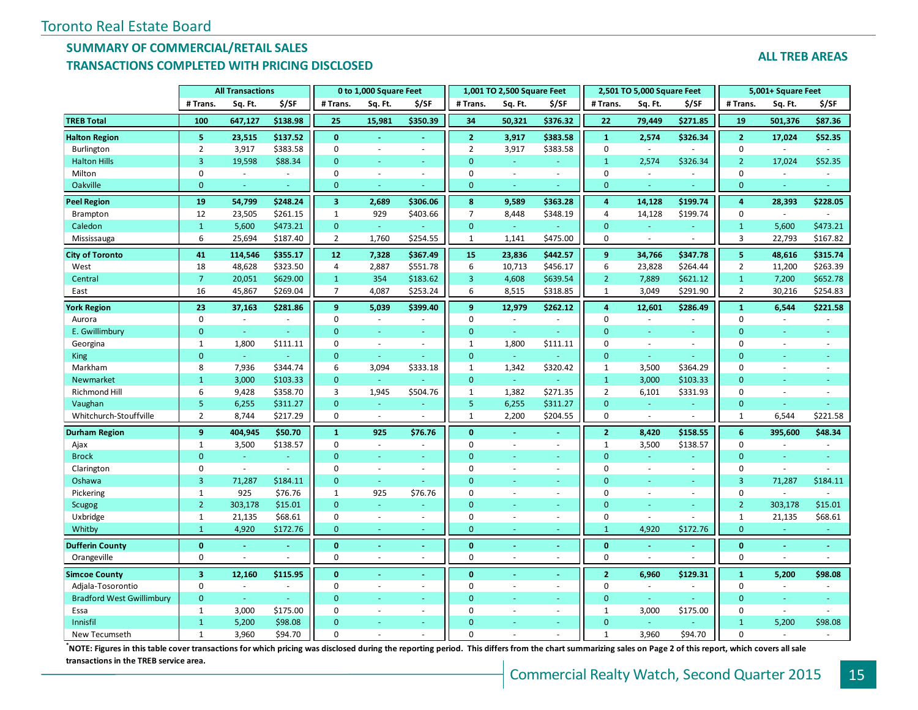#### **SUMMARY OF COMMERCIAL/RETAIL SALES TRANSACTIONS COMPLETED WITH PRICING DISCLOSED**

|                                  |                         | <b>All Transactions</b> |          |                         | 0 to 1,000 Square Feet   |          |                | 1,001 TO 2,500 Square Feet |                          |                | 2,501 TO 5,000 Square Feet |                          |                         | 5,001+ Square Feet |          |
|----------------------------------|-------------------------|-------------------------|----------|-------------------------|--------------------------|----------|----------------|----------------------------|--------------------------|----------------|----------------------------|--------------------------|-------------------------|--------------------|----------|
|                                  | # Trans.                | Sq. Ft.                 | \$/SF    | # Trans.                | Sq. Ft.                  | \$/SF    | # Trans.       | Sq. Ft.                    | \$/SF                    | # Trans.       | Sq. Ft.                    | \$/SF                    | # Trans.                | Sq. Ft.            | \$/SF    |
| <b>TREB Total</b>                | 100                     | 647,127                 | \$138.98 | 25                      | 15,981                   | \$350.39 | 34             | 50,321                     | \$376.32                 | 22             | 79,449                     | \$271.85                 | 19                      | 501,376            | \$87.36  |
| <b>Halton Region</b>             | 5                       | 23,515                  | \$137.52 | $\bf{0}$                |                          |          | $\overline{2}$ | 3,917                      | \$383.58                 | $\mathbf{1}$   | 2,574                      | \$326.34                 | $\mathbf 2$             | 17,024             | \$52.35  |
| Burlington                       | $\overline{2}$          | 3,917                   | \$383.58 | $\mathbf 0$             |                          |          | $\overline{2}$ | 3,917                      | \$383.58                 | 0              |                            |                          | $\mathbf 0$             |                    |          |
| <b>Halton Hills</b>              | $\overline{3}$          | 19,598                  | \$88.34  | $\mathbf{0}$            | ä,                       |          | $\overline{0}$ | $\omega$                   | ÷.                       | $\mathbf{1}$   | 2,574                      | \$326.34                 | $\overline{2}$          | 17,024             | \$52.35  |
| Milton                           | 0                       | ÷.                      | ÷.       | $\mathbf 0$             | ÷,                       | $\sim$   | $\mathbf 0$    |                            | $\overline{a}$           | $\mathbf 0$    | ÷.                         | $\overline{a}$           | 0                       | $\sim$             | $\sim$   |
| Oakville                         | $\mathbf{0}$            | ٠                       |          | $\mathbf{0}$            |                          |          | $\overline{0}$ |                            |                          | $\Omega$       |                            |                          | $\mathbf{0}$            |                    |          |
| <b>Peel Region</b>               | 19                      | 54,799                  | \$248.24 | $\overline{\mathbf{3}}$ | 2,689                    | \$306.06 | 8              | 9,589                      | \$363.28                 | $\overline{a}$ | 14,128                     | \$199.74                 | $\boldsymbol{4}$        | 28,393             | \$228.05 |
| <b>Brampton</b>                  | 12                      | 23,505                  | \$261.15 | $\mathbf{1}$            | 929                      | \$403.66 | $\overline{7}$ | 8,448                      | \$348.19                 | $\overline{4}$ | 14,128                     | \$199.74                 | $\mathbf 0$             |                    |          |
| Caledon                          | $\mathbf{1}$            | 5,600                   | \$473.21 | $\mathbf{0}$            | u,                       |          | $\mathbf{0}$   | a.                         |                          | $\mathbf{0}$   |                            |                          | $\mathbf{1}$            | 5,600              | \$473.21 |
| Mississauga                      | 6                       | 25,694                  | \$187.40 | $\overline{2}$          | 1,760                    | \$254.55 | $\mathbf{1}$   | 1,141                      | \$475.00                 | $\Omega$       |                            |                          | $\overline{3}$          | 22,793             | \$167.82 |
| <b>City of Toronto</b>           | 41                      | 114,546                 | \$355.17 | 12                      | 7,328                    | \$367.49 | 15             | 23,836                     | \$442.57                 | 9              | 34,766                     | \$347.78                 | $\overline{\mathbf{5}}$ | 48,616             | \$315.74 |
| West                             | 18                      | 48,628                  | \$323.50 | 4                       | 2,887                    | \$551.78 | 6              | 10,713                     | \$456.17                 | 6              | 23,828                     | \$264.44                 | $\overline{2}$          | 11,200             | \$263.39 |
| Central                          | $\overline{7}$          | 20,051                  | \$629.00 | $\mathbf{1}$            | 354                      | \$183.62 | $\overline{3}$ | 4,608                      | \$639.54                 | $\overline{2}$ | 7,889                      | \$621.12                 | $\mathbf{1}$            | 7,200              | \$652.78 |
| East                             | 16                      | 45,867                  | \$269.04 | $\overline{7}$          | 4,087                    | \$253.24 | 6              | 8,515                      | \$318.85                 | $\mathbf{1}$   | 3,049                      | \$291.90                 | $\overline{2}$          | 30,216             | \$254.83 |
| <b>York Region</b>               | 23                      | 37,163                  | \$281.86 | 9                       | 5,039                    | \$399.40 | $\overline{9}$ | 12,979                     | \$262.12                 | $\overline{4}$ | 12,601                     | \$286.49                 | $\mathbf 1$             | 6,544              | \$221.58 |
| Aurora                           | $\mathbf 0$             |                         |          | $\Omega$                |                          |          | $\mathbf 0$    |                            |                          | $\mathbf 0$    |                            |                          | $\mathbf 0$             |                    |          |
| E. Gwillimbury                   | $\mathbf{0}$            | Ξ                       | u        | $\overline{0}$          | ä,                       | ä,       | $\mathbf{0}$   | ÷.                         | u.                       | $\mathbf{0}$   | ÷                          | ÷.                       | $\mathbf{0}$            |                    |          |
| Georgina                         | $\mathbf{1}$            | 1,800                   | \$111.11 | $\mathbf 0$             | $\overline{\phantom{a}}$ | $\sim$   | $\mathbf{1}$   | 1,800                      | \$111.11                 | $\Omega$       | ÷,                         | $\sim$                   | $\mathbf 0$             |                    |          |
| <b>King</b>                      | $\overline{0}$          | ÷                       |          | $\mathbf{0}$            | ÷                        |          | $\mathbf{0}$   |                            |                          | $\Omega$       |                            |                          | $\overline{0}$          |                    |          |
| Markham                          | 8                       | 7,936                   | \$344.74 | 6                       | 3,094                    | \$333.18 | $\mathbf{1}$   | 1,342                      | \$320.42                 | $\mathbf{1}$   | 3,500                      | \$364.29                 | $\mathbf 0$             |                    |          |
| Newmarket                        | $\mathbf{1}$            | 3,000                   | \$103.33 | $\mathbf{0}$            | ä,                       |          | $\mathbf{0}$   | $\omega$                   | u,                       | $\mathbf{1}$   | 3,000                      | \$103.33                 | $\mathbf{0}$            |                    |          |
| Richmond Hill                    | 6                       | 9,428                   | \$358.70 | 3                       | 1,945                    | \$504.76 | $\mathbf{1}$   | 1,382                      | \$271.35                 | $\overline{2}$ | 6,101                      | \$331.93                 | $\mathbf 0$             |                    |          |
| Vaughan                          | 5                       | 6,255                   | \$311.27 | $\overline{0}$          | ÷                        |          | $\overline{5}$ | 6,255                      | \$311.27                 | $\overline{0}$ | ÷.                         | $\sim$                   | $\mathbf{0}$            |                    |          |
| Whitchurch-Stouffville           | $\overline{2}$          | 8,744                   | \$217.29 | $\mathbf 0$             | $\omega$                 |          | $\mathbf{1}$   | 2,200                      | \$204.55                 | $\Omega$       |                            |                          | $\mathbf{1}$            | 6,544              | \$221.58 |
| <b>Durham Region</b>             | 9                       | 404,945                 | \$50.70  | $\mathbf{1}$            | 925                      | \$76.76  | $\mathbf 0$    |                            |                          | $\overline{2}$ | 8,420                      | \$158.55                 | $6\phantom{1}$          | 395,600            | \$48.34  |
| Ajax                             | $\mathbf{1}$            | 3,500                   | \$138.57 | $\mathbf 0$             | $\overline{\phantom{a}}$ | $\sim$   | $\Omega$       |                            | $\overline{\phantom{a}}$ | $\mathbf{1}$   | 3,500                      | \$138.57                 | $\mathbf 0$             |                    | $\sim$   |
| <b>Brock</b>                     | $\overline{0}$          |                         |          | $\overline{0}$          |                          |          | $\overline{0}$ |                            |                          | $\mathbf{0}$   |                            |                          | $\mathbf{0}$            |                    |          |
| Clarington                       | $\mathbf 0$             | $\mathcal{L}$           |          | $\mathbf 0$             | $\sim$                   | $\sim$   | $\mathbf 0$    |                            | $\overline{\phantom{a}}$ | $\Omega$       | ÷,                         | ÷.                       | $\mathbf 0$             |                    |          |
| Oshawa                           | $\overline{3}$          | 71,287                  | \$184.11 | $\Omega$                | ÷                        |          | $\Omega$       |                            |                          | $\Omega$       |                            | ÷.                       | $\overline{3}$          | 71,287             | \$184.11 |
| Pickering                        | $\mathbf{1}$            | 925                     | \$76.76  | $\mathbf{1}$            | 925                      | \$76.76  | $\mathbf 0$    |                            | $\overline{\phantom{a}}$ | $\mathbf 0$    | ä,                         | $\overline{\phantom{a}}$ | $\mathbf 0$             | $\sim$             | $\sim$   |
| <b>Scugog</b>                    | $2^{\circ}$             | 303,178                 | \$15.01  | $\overline{0}$          |                          |          | $\overline{0}$ |                            |                          | $\Omega$       |                            | u,                       | $\overline{2}$          | 303,178            | \$15.01  |
| Uxbridge                         | $\mathbf{1}$            | 21,135                  | \$68.61  | $\mathbf 0$             | $\sim$                   | $\sim$   | $\mathbf 0$    |                            | $\overline{\phantom{a}}$ | $\mathbf 0$    |                            | ÷                        | $\mathbf{1}$            | 21,135             | \$68.61  |
| Whitby                           | $\mathbf{1}$            | 4,920                   | \$172.76 | $\mathbf{0}$            | u,                       | ٠        | $\mathbf{0}$   |                            |                          | $\mathbf{1}$   | 4,920                      | \$172.76                 | $\mathbf{0}$            |                    |          |
| <b>Dufferin County</b>           | $\mathbf{0}$            |                         |          | $\mathbf{0}$            |                          |          | $\mathbf{0}$   |                            |                          | $\mathbf 0$    |                            |                          | $\bf{0}$                |                    |          |
| Orangeville                      | $\mathbf 0$             |                         |          | $\mathbf 0$             |                          |          | $\mathbf 0$    |                            |                          | $\mathbf 0$    |                            |                          | $\mathbf 0$             |                    |          |
| <b>Simcoe County</b>             | $\overline{\mathbf{3}}$ | 12,160                  | \$115.95 | $\mathbf{0}$            |                          |          | $\mathbf{0}$   |                            |                          | $\overline{2}$ | 6,960                      | \$129.31                 | $\mathbf{1}$            | 5,200              | \$98.08  |
| Adjala-Tosorontio                | $\mathbf 0$             |                         |          | $\mathbf 0$             |                          | $\sim$   | $\mathbf 0$    |                            | $\overline{\phantom{a}}$ | $\mathbf 0$    |                            |                          | $\mathbf 0$             |                    |          |
| <b>Bradford West Gwillimbury</b> | $\mathbf{0}$            | $\omega$                |          | $\mathbf{0}$            | u,                       | ÷        | $\overline{0}$ |                            | ÷.                       | $\Omega$       | $\omega$                   | a.                       | $\mathbf{0}$            |                    |          |
| Essa                             | $\mathbf{1}$            | 3,000                   | \$175.00 | $\mathbf 0$             | $\sim$                   | $\sim$   | $\mathbf 0$    |                            | $\overline{\phantom{a}}$ | $\mathbf{1}$   | 3,000                      | \$175.00                 | $\mathbf 0$             | $\sim$             |          |
| Innisfil                         | $\mathbf{1}$            | 5,200                   | \$98.08  | $\Omega$                |                          |          | $\Omega$       |                            |                          | $\Omega$       |                            |                          | $\mathbf{1}$            | 5,200              | \$98.08  |
| New Tecumseth                    | $\mathbf{1}$            | 3,960                   | \$94.70  | $\Omega$                |                          |          | $\Omega$       |                            |                          | $\mathbf{1}$   | 3,960                      | \$94.70                  | $\Omega$                |                    |          |

**\***<br>NOTE: Figures in this table cover transactions for which pricing was disclosed during the reporting period. This differs from the chart summarizing sales on Page 2 of this report, which covers all sale **transactions in the TREB service area.**

#### **ALL TREB AREAS**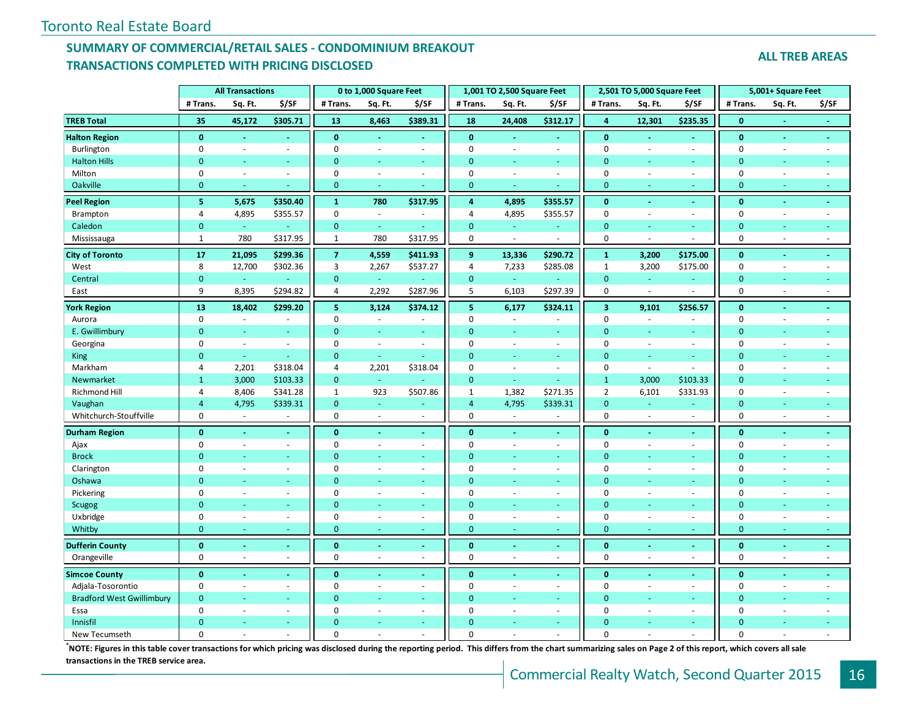#### **SUMMARY OF COMMERCIAL/RETAIL SALES - CONDOMINIUM BREAKOUT TRANSACTIONS COMPLETED WITH PRICING DISCLOSED**

**ALL TREB AREAS**

|                                  |                         | <b>All Transactions</b>     |                          |                | 0 to 1,000 Square Feet   |                          |                | 1,001 TO 2,500 Square Feet |                |                         | 2,501 TO 5,000 Square Feet |                          |                  | 5,001+ Square Feet       |                |
|----------------------------------|-------------------------|-----------------------------|--------------------------|----------------|--------------------------|--------------------------|----------------|----------------------------|----------------|-------------------------|----------------------------|--------------------------|------------------|--------------------------|----------------|
|                                  | # Trans.                | Sq. Ft.                     | \$/SF                    | # Trans.       | Sq. Ft.                  | \$/SF                    | # Trans.       | Sq. Ft.                    | \$/SF          | # Trans.                | Sq. Ft.                    | \$/SF                    | # Trans.         | Sq. Ft.                  | \$/SF          |
| <b>TREB Total</b>                | 35                      | 45,172                      | \$305.71                 | 13             | 8,463                    | \$389.31                 | 18             | 24,408                     | \$312.17       | $\overline{\mathbf{4}}$ | 12,301                     | \$235.35                 | $\bf{0}$         | $\blacksquare$           | $\blacksquare$ |
| <b>Halton Region</b>             | $\mathbf{0}$            | $\omega$                    | $\sim$                   | $\mathbf{0}$   | $\blacksquare$           | $\omega$                 | $\mathbf{0}$   | $\omega$                   | $\omega$       | $\mathbf{0}$            | $\omega$                   | $\omega$                 | $\bf{0}$         | $\blacksquare$           | $\blacksquare$ |
| Burlington                       | $\mathbf 0$             | $\sim$                      | $\overline{\phantom{a}}$ | $\mathbf 0$    | ÷,                       | $\sim$                   | $\mathbf 0$    | ÷,                         | $\blacksquare$ | $\mathbf 0$             | $\bar{a}$                  | $\overline{\phantom{a}}$ | $\mathbf 0$      | $\overline{\phantom{a}}$ | ÷,             |
| <b>Halton Hills</b>              | $\overline{0}$          | Ξ                           |                          | $\mathbf{0}$   | ÷                        | $\sim$                   | $\mathbf{0}$   | ÷                          | ÷.             | $\mathbf{0}$            | ÷.                         | ÷                        | $\mathbf{0}$     | ٠                        |                |
| Milton                           | $\mathbf 0$             | ÷,                          | $\sim$                   | $\mathbf 0$    | L.                       | $\omega$                 | $\mathbf{0}$   | ä,                         | $\omega$       | $\mathbf 0$             | $\sim$                     | ÷.                       | $\pmb{0}$        | $\sim$                   |                |
| Oakville                         | $\overline{0}$          | ä,                          |                          | $\mathbf{0}$   | ÷                        | ÷                        | $\mathbf{0}$   | ÷                          |                | $\mathbf{0}$            | ÷                          | ÷                        | $\mathbf{0}$     | ÷                        | u              |
| <b>Peel Region</b>               | $\overline{\mathbf{5}}$ | 5,675                       | \$350.40                 | $\mathbf 1$    | 780                      | \$317.95                 | $\overline{a}$ | 4,895                      | \$355.57       | $\bf{0}$                | $\omega$                   | $\sim$                   | $\mathbf{0}$     | $\sim$                   | $\blacksquare$ |
| Brampton                         | $\overline{4}$          | 4,895                       | \$355.57                 | $\mathbf 0$    | $\omega$                 | $\sim$                   | $\overline{4}$ | 4,895                      | \$355.57       | $\mathbf 0$             | $\omega$                   | $\sim$                   | $\mathbf 0$      | $\blacksquare$           | $\blacksquare$ |
| Caledon                          | $\mathbf{0}$            | G.                          |                          | $\mathbf{0}$   | ä,                       | $\sim$                   | $\overline{0}$ | u.                         | ¥.             | $\mathbf{0}$            | ÷                          | ä,                       | $\mathbf{0}$     | $\sim$                   |                |
| Mississauga                      | $\mathbf{1}$            | 780                         | \$317.95                 | $\mathbf{1}$   | 780                      | \$317.95                 | $\mathbf{0}$   | $\overline{\phantom{a}}$   |                | $\mathbf 0$             | $\bar{a}$                  | ä,                       | $\mathbf 0$      | $\omega$                 |                |
| <b>City of Toronto</b>           | 17                      | 21,095                      | \$299.36                 | $\overline{7}$ | 4,559                    | \$411.93                 | 9              | 13,336                     | \$290.72       | $\mathbf{1}$            | 3,200                      | \$175.00                 | $\mathbf{0}$     |                          | ä,             |
| West                             | 8                       | 12,700                      | \$302.36                 | $\overline{3}$ | 2,267                    | \$537.27                 | $\overline{4}$ | 7,233                      | \$285.08       | $\mathbf{1}$            | 3,200                      | \$175.00                 | $\mathbf 0$      | $\sim$                   |                |
| Central                          | $\mathbf{0}$            | $\omega$                    |                          | $\mathbf{0}$   | $\omega$                 |                          | $\mathbf{0}$   | $\omega_{\rm c}$           | u.             | $\mathbf{0}$            | $\omega$                   | $\omega$                 | $\mathbf{0}$     |                          | $\equiv$       |
| East                             | 9                       | 8,395                       | \$294.82                 | 4              | 2,292                    | \$287.96                 | 5              | 6,103                      | \$297.39       | $\mathbf 0$             | $\sim$                     |                          | $\mathbf 0$      | $\sim$                   | ä,             |
| <b>York Region</b>               | 13                      | 18,402                      | \$299.20                 | 5              | 3,124                    | \$374.12                 | 5              | 6,177                      | \$324.11       | $\overline{\mathbf{3}}$ | 9,101                      | \$256.57                 | $\bf{0}$         | $\sim$                   | ä,             |
| Aurora                           | $\mathbf 0$             | ä,                          |                          | $\mathbf 0$    | $\bar{\phantom{a}}$      |                          | $\mathbf 0$    | $\overline{\phantom{a}}$   |                | $\mathbf 0$             | $\bar{a}$                  | $\overline{\phantom{a}}$ | $\mathbf 0$      | $\blacksquare$           | ÷,             |
| E. Gwillimbury                   | $\overline{0}$          | ÷.                          | ÷.                       | $\overline{0}$ | ÷.                       | $\sim$                   | $\mathbf{0}$   | ÷                          | $\omega$       | $\mathbf{0}$            | ÷                          | ÷                        | $\mathbf{0}$     | $\sim$                   | u,             |
| Georgina                         | $\mathbf 0$             | $\omega$                    | $\overline{\phantom{a}}$ | $\mathbf 0$    | $\overline{a}$           | $\sim$                   | $\mathbf 0$    | $\sim$                     | $\sim$         | $\mathbf 0$             | $\overline{a}$             | ÷.                       | $\mathbf 0$      | $\sim$                   | $\overline{a}$ |
| King                             | $\mathbf{0}$            | $\omega$                    |                          | $\overline{0}$ | $\omega$                 | $\sim$                   | $\Omega$       |                            |                | $\mathbf{0}$            |                            | u,                       | $\overline{0}$   |                          |                |
| Markham                          | $\overline{4}$          | 2,201                       | \$318.04                 | 4              | 2,201                    | \$318.04                 | $\mathbf 0$    | $\bar{a}$                  | $\omega$       | $\mathbf 0$             | $\sim$                     | $\sim$                   | $\mathbf 0$      | $\overline{\phantom{a}}$ | ä,             |
| Newmarket                        | $\mathbf{1}$            | 3,000                       | \$103.33                 | $\mathbf{0}$   | Ξ                        |                          | $\mathbf{0}$   | $\omega$                   | $\omega$       | $\mathbf 1$             | 3,000                      | \$103.33                 | $\mathbf{0}$     | $\omega$                 |                |
| Richmond Hill                    | $\overline{4}$          | 8,406                       | \$341.28                 | $\mathbf{1}$   | 923                      | \$507.86                 | $\mathbf{1}$   | 1,382                      | \$271.35       | $\overline{2}$          | 6,101                      | \$331.93                 | $\mathbf 0$      | $\sim$                   | ÷              |
| Vaughan                          | $\overline{4}$          | 4,795                       | \$339.31                 | $\overline{0}$ | u.                       |                          | $\overline{4}$ | 4,795                      | \$339.31       | $\mathbf{0}$            | ÷.                         | ä,                       | $\mathbf{0}$     |                          |                |
| Whitchurch-Stouffville           | $\mathbf 0$             | $\mathcal{L}_{\mathcal{A}}$ | $\sim$                   | $\mathbf 0$    | $\omega$                 | $\sim$                   | $\mathbf 0$    | $\sim$                     |                | $\mathbf 0$             | $\sim$                     | ÷.                       | $\mathbf 0$      | $\sim$                   | ä,             |
| <b>Durham Region</b>             | $\mathbf{0}$            | ٠                           | $\sim$                   | $\bf{0}$       | $\blacksquare$           | $\sim$                   | $\mathbf{0}$   | ÷.                         | $\sim$         | $\mathbf{0}$            | $\sim$                     | $\blacksquare$           | $\mathbf{0}$     | $\sim$                   | ٠              |
| Ajax                             | $\mathbf 0$             | ÷,                          | $\sim$                   | $\mathbf 0$    | $\mathbb{L}$             | $\omega$                 | $\mathbf 0$    | ä,                         | $\sim$         | $\mathbf 0$             | ÷.                         | $\sim$                   | $\mathbf{0}$     | $\sim$                   |                |
| <b>Brock</b>                     | $\mathbf{0}$            | Ξ                           | ч.                       | $\overline{0}$ | u,                       | $\sim$                   | $\overline{0}$ | ÷                          | ÷.             | $\mathbf{0}$            | ÷                          | ÷.                       | $\mathbf{0}$     | $\sim$                   |                |
| Clarington                       | $\mathbf 0$             | $\sim$                      | $\blacksquare$           | $\mathbf 0$    | ÷,                       | $\overline{\phantom{a}}$ | $\mathbf 0$    | ä,                         | $\omega$       | $\mathbf 0$             | ÷,                         | $\sim$                   | $\mathbf 0$      | $\omega$                 |                |
| Oshawa                           | $\overline{0}$          | ÷                           |                          | $\Omega$       | Ξ                        | $\sim$                   | $\mathbf{0}$   | ÷                          | ۰              | $\mathbf{0}$            | $\overline{\phantom{a}}$   | ٠                        | $\mathbf{0}$     | $\sim$                   |                |
| Pickering                        | $\mathbf 0$             | ÷,                          | $\sim$                   | $\Omega$       | $\mathbb{L}$             | $\omega$                 | $\mathbf 0$    | $\overline{\phantom{a}}$   | $\omega$       | $\mathbf 0$             | ä,                         | ÷.                       | $\mathbf{0}$     | $\sim$                   |                |
| Scugog                           | $\overline{0}$          | L.                          |                          | $\Omega$       | ä,                       | $\sim$                   | $\Omega$       |                            | ÷.             | $\mathbf{0}$            | ÷                          | ÷.                       | $\mathbf{0}$     | ÷                        |                |
| Uxbridge                         | $\mathbf 0$             | $\sim$                      | $\sim$                   | $\mathbf 0$    | $\omega$                 | $\overline{\phantom{a}}$ | $\mathbf 0$    | ÷,                         | $\sim$         | $\boldsymbol{0}$        | $\bar{a}$                  | $\sim$                   | $\boldsymbol{0}$ | $\overline{\phantom{a}}$ | ÷,             |
| Whitby                           | $\mathbf{0}$            | ÷                           | $\sim$                   | $\mathbf{0}$   | ÷                        | a.                       | $\mathbf{0}$   | ÷                          | $\sim$         | $\mathbf{0}$            | ÷.                         | ÷                        | $\mathbf{0}$     | a.                       | ÷              |
| <b>Dufferin County</b>           | $\mathbf 0$             | ä,                          |                          | $\mathbf{0}$   | ä,                       | ÷.                       | $\mathbf 0$    |                            | ä,             | $\mathbf 0$             | $\omega$                   | ä,                       | $\bf{0}$         | $\sim$                   | ä,             |
| Orangeville                      | $\mathbf 0$             | ÷,                          |                          | $\mathbf 0$    | $\overline{\phantom{a}}$ | $\sim$                   | $\mathbf 0$    |                            | $\sim$         | $\mathbf 0$             |                            | ÷,                       | $\mathbf 0$      | $\overline{\phantom{a}}$ | ÷,             |
| <b>Simcoe County</b>             | $\mathbf 0$             |                             |                          | $\mathbf{0}$   | ä,                       | $\blacksquare$           | $\mathbf 0$    |                            |                | $\mathbf{0}$            |                            | $\blacksquare$           | $\mathbf{0}$     |                          | $\blacksquare$ |
| Adjala-Tosorontio                | $\boldsymbol{0}$        | ÷,                          | $\sim$                   | $\mathbf 0$    | $\mathbb{L}$             | $\omega$                 | $\mathbf 0$    | ä,                         | $\sim$         | $\mathbf 0$             | ÷.                         | $\sim$                   | $\mathbf 0$      | $\omega$                 | L.             |
| <b>Bradford West Gwillimbury</b> | $\overline{0}$          | u                           | $\sim$                   | $\mathbf{0}$   | $\equiv$                 | $\omega$                 | $\mathbf{0}$   | ÷.                         | $\omega$       | $\mathbf{0}$            | ÷                          | $\omega_{\rm c}$         | $\mathbf{0}$     | $\sim$                   | $\equiv$       |
| Essa                             | $\mathbf 0$             | ÷.                          | $\sim$                   | $\mathbf 0$    | ä,                       | $\sim$                   | $\mathbf 0$    | ÷,                         | $\sim$         | $\mathbf 0$             | $\bar{a}$                  | $\sim$                   | $\mathbf 0$      | $\sim$                   |                |
| Innisfil                         | $\Omega$                |                             |                          | $\Omega$       |                          | $\sim$                   | $\Omega$       |                            |                | $\Omega$                |                            | ٠                        | $\mathbf{0}$     |                          |                |
| New Tecumseth                    | $\Omega$                |                             |                          | $\Omega$       |                          |                          | $\Omega$       |                            |                | $\Omega$                |                            | L.                       | $\Omega$         |                          |                |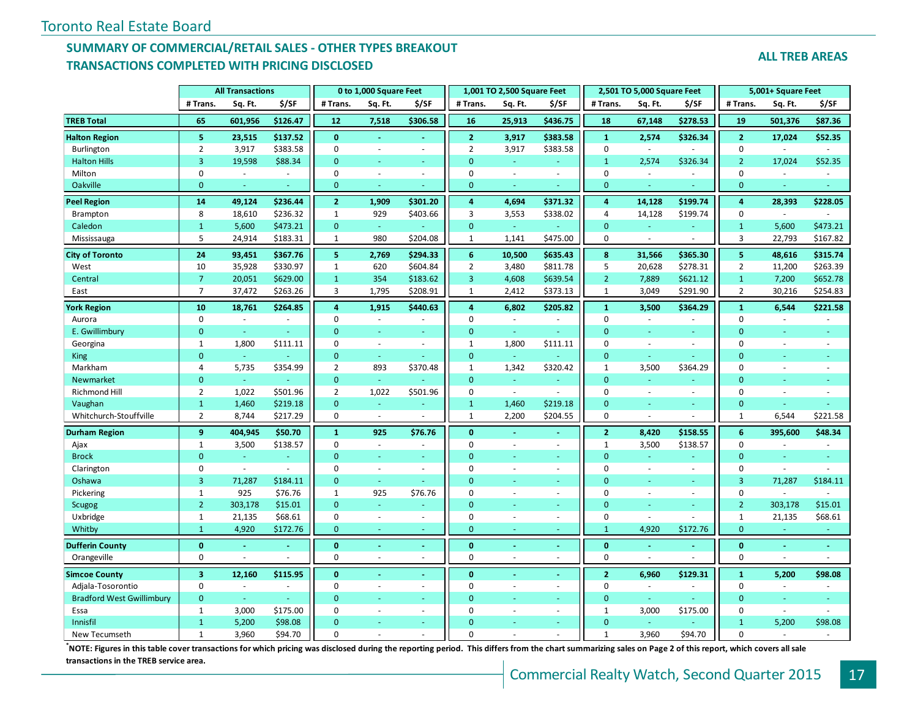#### **SUMMARY OF COMMERCIAL/RETAIL SALES - OTHER TYPES BREAKOUT TRANSACTIONS COMPLETED WITH PRICING DISCLOSED**

**ALL TREB AREAS**

|                                  |                         | <b>All Transactions</b> |          |                | 0 to 1,000 Square Feet |              |                         | 1,001 TO 2,500 Square Feet |          |                | 2,501 TO 5,000 Square Feet |          |                         | 5,001+ Square Feet       |                |
|----------------------------------|-------------------------|-------------------------|----------|----------------|------------------------|--------------|-------------------------|----------------------------|----------|----------------|----------------------------|----------|-------------------------|--------------------------|----------------|
|                                  | # Trans.                | Sq. Ft.                 | \$/SF    | # Trans.       | Sq. Ft.                | \$/SF        | # Trans.                | Sq. Ft.                    | \$/SF    | # Trans.       | Sq. Ft.                    | \$/SF    | # Trans.                | Sq. Ft.                  | \$/SF          |
| <b>TREB</b> Total                | 65                      | 601,956                 | \$126.47 | 12             | 7,518                  | \$306.58     | 16                      | 25,913                     | \$436.75 | 18             | 67,148                     | \$278.53 | 19                      | 501,376                  | \$87.36        |
| <b>Halton Region</b>             | 5                       | 23,515                  | \$137.52 | $\mathbf{0}$   |                        |              | $\overline{2}$          | 3,917                      | \$383.58 | $\mathbf 1$    | 2,574                      | \$326.34 | $\overline{2}$          | 17,024                   | \$52.35        |
| Burlington                       | $\overline{2}$          | 3,917                   | \$383.58 | $\mathbf 0$    |                        | $\sim$       | $\overline{2}$          | 3,917                      | \$383.58 | $\mathbf 0$    | $\sim$                     |          | $\mathbf 0$             | $\omega$                 |                |
| <b>Halton Hills</b>              | $\overline{3}$          | 19,598                  | \$88.34  | $\mathbf{0}$   | Ξ                      | $\omega$     | $\mathbf{0}$            | $\omega$                   | $\omega$ | $\mathbf{1}$   | 2,574                      | \$326.34 | $\overline{2}$          | 17,024                   | \$52.35        |
| Milton                           | 0                       | $\sim$                  | ÷.       | $\mathbf 0$    | $\overline{a}$         | $\sim$       | $\mathbf 0$             | $\sim$                     | $\sim$   | 0              | $\sim$                     | $\sim$   | $\mathbf 0$             | ÷.                       | $\overline{a}$ |
| Oakville                         | $\mathbf{0}$            |                         |          | $\mathbf{0}$   |                        |              | $\mathbf{0}$            | ٠                          |          | $\mathbf{0}$   | ÷.                         |          | $\mathbf{0}$            | ٠                        |                |
| <b>Peel Region</b>               | 14                      | 49,124                  | \$236.44 | $\overline{2}$ | 1,909                  | \$301.20     | $\overline{\bf{4}}$     | 4,694                      | \$371.32 | 4              | 14,128                     | \$199.74 | $\boldsymbol{4}$        | 28,393                   | \$228.05       |
| <b>Brampton</b>                  | 8                       | 18,610                  | \$236.32 | $\mathbf{1}$   | 929                    | \$403.66     | $\overline{\mathbf{3}}$ | 3,553                      | \$338.02 | $\overline{4}$ | 14,128                     | \$199.74 | $\mathbf 0$             | $\sim$                   |                |
| Caledon                          | $\mathbf{1}$            | 5,600                   | \$473.21 | $\mathbf{0}$   | ÷.                     | ÷            | $\mathbf{0}$            | ÷.                         |          | $\mathbf{0}$   | Ξ                          |          | $\mathbf{1}$            | 5,600                    | \$473.21       |
| Mississauga                      | 5                       | 24,914                  | \$183.31 | $\mathbf{1}$   | 980                    | \$204.08     | $\mathbf{1}$            | 1,141                      | \$475.00 | $\pmb{0}$      | $\sim$                     |          | $\overline{3}$          | 22,793                   | \$167.82       |
| <b>City of Toronto</b>           | 24                      | 93,451                  | \$367.76 | 5              | 2,769                  | \$294.33     | 6                       | 10,500                     | \$635.43 | 8              | 31,566                     | \$365.30 | $\overline{\mathbf{5}}$ | 48,616                   | \$315.74       |
| West                             | 10                      | 35,928                  | \$330.97 | $\mathbf{1}$   | 620                    | \$604.84     | $\overline{2}$          | 3,480                      | \$811.78 | 5              | 20,628                     | \$278.31 | $\overline{2}$          | 11,200                   | \$263.39       |
| Central                          | $\overline{7}$          | 20,051                  | \$629.00 | $\mathbf{1}$   | 354                    | \$183.62     | 3                       | 4,608                      | \$639.54 | $\overline{2}$ | 7,889                      | \$621.12 | $\mathbf{1}$            | 7,200                    | \$652.78       |
| East                             | $\overline{7}$          | 37,472                  | \$263.26 | $\overline{3}$ | 1,795                  | \$208.91     | $\mathbf{1}$            | 2,412                      | \$373.13 | $\mathbf{1}$   | 3,049                      | \$291.90 | $\overline{2}$          | 30,216                   | \$254.83       |
| <b>Tork Region</b>               | 10                      | 18,761                  | \$264.85 | $\overline{4}$ | 1,915                  | \$440.63     | $\overline{4}$          | 6,802                      | \$205.82 | $\mathbf{1}$   | 3,500                      | \$364.29 | $\mathbf{1}$            | 6,544                    | \$221.58       |
| Aurora                           | $\mathbf 0$             |                         |          | $\Omega$       |                        |              | $\mathbf 0$             |                            |          | $\Omega$       | ÷,                         |          | $\mathbf{0}$            |                          |                |
| E. Gwillimbury                   | $\overline{0}$          | ÷,                      | ä,       | $\Omega$       | u,                     | ÷.           | $\mathbf{0}$            | $\omega$                   |          | $\Omega$       | ÷.                         | ä,       | $\mathbf{0}$            |                          | ä,             |
| Georgina                         | $\mathbf{1}$            | 1,800                   | \$111.11 | $\mathbf 0$    | $\sim$                 | $\bar{a}$    | $1\,$                   | 1,800                      | \$111.11 | $\mathbf 0$    | $\sim$                     | $\sim$   | $\mathbf 0$             | $\sim$                   | ä,             |
| <b>King</b>                      | $\overline{0}$          | $\omega$                |          | $\mathbf{0}$   |                        |              | $\mathbf{0}$            | u,                         |          | $\mathbf{0}$   | ÷,                         |          | $\mathbf{0}$            |                          |                |
| Markham                          | $\overline{4}$          | 5,735                   | \$354.99 | $\overline{2}$ | 893                    | \$370.48     | $1\,$                   | 1,342                      | \$320.42 | $\mathbf{1}$   | 3,500                      | \$364.29 | $\mathbf{0}$            |                          |                |
| Newmarket                        | $\overline{0}$          | $\omega$                |          | $\mathbf{0}$   | ä,                     |              | $\mathbf{0}$            | Ξ                          |          | $\mathbf{0}$   | ä,                         |          | $\mathbf{0}$            | $\omega$                 | ä,             |
| Richmond Hill                    | $\overline{2}$          | 1,022                   | \$501.96 | $\overline{2}$ | 1,022                  | \$501.96     | $\mathbf 0$             | $\sim$                     |          | $\mathbf 0$    | $\sim$                     | $\sim$   | $\mathbf 0$             | $\blacksquare$           | ÷.             |
| Vaughan                          | $\mathbf{1}$            | 1,460                   | \$219.18 | $\mathbf{0}$   | ÷                      | ÷            | $\mathbf{1}$            | 1,460                      | \$219.18 | $\mathbf{0}$   | ÷.                         |          | $\mathbf{0}$            | ÷.                       |                |
| Whitchurch-Stouffville           | $\overline{2}$          | 8,744                   | \$217.29 | $\mathbf 0$    | $\omega$               |              | $\mathbf{1}$            | 2,200                      | \$204.55 | $\mathbf 0$    | $\overline{a}$             |          | $\mathbf{1}$            | 6,544                    | \$221.58       |
| <b>Durham Region</b>             | 9                       | 404,945                 | \$50.70  | $\mathbf{1}$   | 925                    | \$76.76      | $\mathbf{0}$            |                            |          | $\overline{2}$ | 8,420                      | \$158.55 | $6\phantom{1}$          | 395,600                  | \$48.34        |
| Ajax                             | $\mathbf{1}$            | 3,500                   | \$138.57 | $\mathbf 0$    | $\sim$                 | $\mathbf{r}$ | $\mathbf{0}$            | $\overline{\phantom{a}}$   | $\sim$   | $\mathbf{1}$   | 3,500                      | \$138.57 | $\mathbf 0$             | $\sim$                   | ÷.             |
| <b>Brock</b>                     | $\overline{0}$          | u,                      | ä,       | $\Omega$       |                        | ÷.           | $\mathbf{0}$            |                            |          | $\Omega$       | ÷.                         |          | $\mathbf{0}$            |                          |                |
| Clarington                       | 0                       | $\omega$                |          | $\mathbf 0$    | $\sim$                 | $\sim$       | $\mathbf{0}$            | ä,                         | $\sim$   | $\mathbf 0$    | ÷,                         | $\sim$   | $\mathbf 0$             | $\sim$                   |                |
| Oshawa                           | $\overline{3}$          | 71,287                  | \$184.11 | $\Omega$       | ÷.                     | ÷            | $\Omega$                | u,                         |          | $\Omega$       | ÷,                         | $\sim$   | $\overline{3}$          | 71,287                   | \$184.11       |
| Pickering                        | $\mathbf{1}$            | 925                     | \$76.76  | $\mathbf{1}$   | 925                    | \$76.76      | $\mathbf{0}$            | ä,                         | $\sim$   | $\mathbf 0$    | ÷,                         | $\sim$   | $\mathbf 0$             | $\sim$                   | $\overline{a}$ |
| Scugog                           | $\overline{2}$          | 303,178                 | \$15.01  | $\overline{0}$ |                        |              | $\Omega$                |                            |          | $\Omega$       |                            |          | $\overline{2}$          | 303,178                  | \$15.01        |
| Uxbridge                         | $\mathbf{1}$            | 21,135                  | \$68.61  | 0              | $\sim$                 | $\sim$       | $\mathbf 0$             | ä,                         | $\sim$   | $\mathbf 0$    |                            |          | $\mathbf{1}$            | 21,135                   | \$68.61        |
| Whitby                           | $\mathbf{1}$            | 4,920                   | \$172.76 | $\mathbf{0}$   | ÷.                     | $\sim$       | $\mathbf{0}$            | ä,                         | $\sim$   | $\mathbf{1}$   | 4,920                      | \$172.76 | $\mathbf{0}$            | $\sim$                   | ٠              |
| <b>Dufferin County</b>           | $\mathbf{0}$            |                         |          | $\mathbf{0}$   |                        | ÷            | $\mathbf{0}$            |                            |          | $\mathbf{0}$   |                            |          | $\bf{0}$                |                          | ä,             |
| Orangeville                      | $\mathbf 0$             |                         |          | $\mathbf 0$    |                        | $\sim$       | $\mathbf 0$             |                            |          | $\mathbf 0$    |                            |          | $\mathbf 0$             |                          |                |
| <b>Simcoe County</b>             | $\overline{\mathbf{3}}$ | 12,160                  | \$115.95 | $\mathbf{0}$   |                        |              | $\mathbf{0}$            |                            |          | $\overline{2}$ | 6,960                      | \$129.31 | $\mathbf{1}$            | 5,200                    | \$98.08        |
| Adjala-Tosorontio                | $\mathbf 0$             |                         | ä,       | $\mathbf 0$    | $\overline{a}$         | $\sim$       | $\mathbf 0$             | ä,                         | $\sim$   | $\Omega$       | $\sim$                     |          | $\mathbf{0}$            | $\sim$                   |                |
| <b>Bradford West Gwillimbury</b> | $\overline{0}$          | $\omega$                | u        | $\mathbf{0}$   | u,                     | ÷            | $\mathbf{0}$            | u,                         | a.       | $\mathbf{0}$   | ä,                         |          | $\mathbf{0}$            | ÷                        | ÷.             |
| Essa                             | $\mathbf{1}$            | 3,000                   | \$175.00 | $\mathbf 0$    | $\sim$                 | $\omega$     | $\mathbf 0$             | ä,                         | $\sim$   | $\mathbf{1}$   | 3,000                      | \$175.00 | $\mathbf 0$             | $\overline{\phantom{a}}$ |                |
| Innisfil                         | $\mathbf{1}$            | 5,200                   | \$98.08  | $\Omega$       |                        |              | $\Omega$                |                            |          | $\Omega$       |                            |          | $\mathbf{1}$            | 5,200                    | \$98.08        |
| New Tecumseth                    | $\mathbf{1}$            | 3,960                   | \$94.70  | $\Omega$       |                        |              | $\Omega$                |                            |          | $\mathbf{1}$   | 3.960                      | \$94.70  | $\Omega$                | $\sim$                   |                |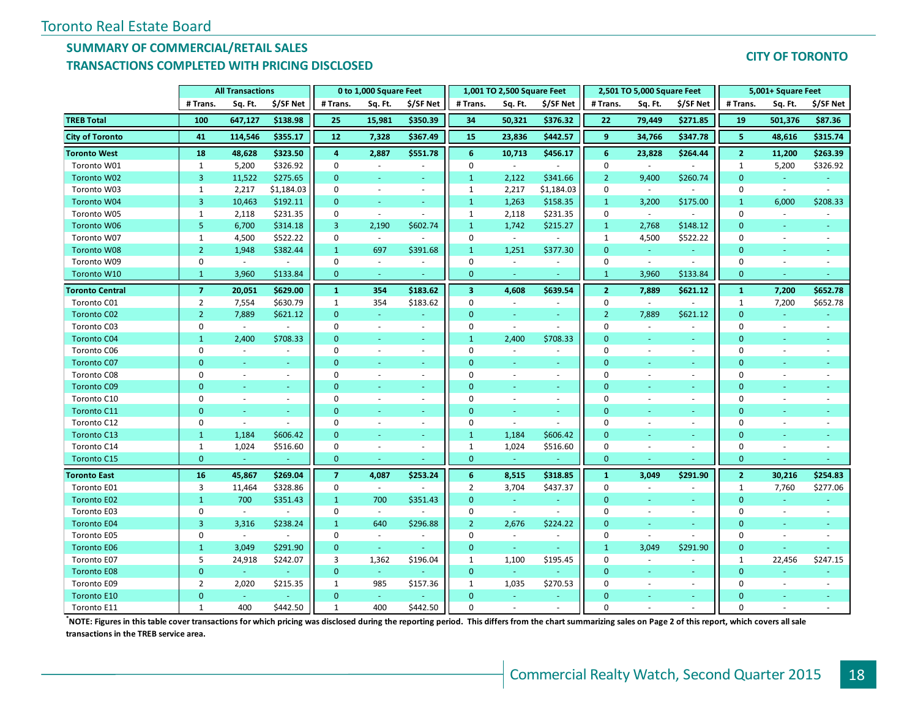#### **SUMMARY OF COMMERCIAL/RETAIL SALES TRANSACTIONS COMPLETED WITH PRICING DISCLOSED**

|                        |                | <b>All Transactions</b> |            |                         | 0 to 1,000 Square Feet   |           |                         | 1,001 TO 2,500 Square Feet |                          |                 | 2,501 TO 5,000 Square Feet |                          |                         | 5,001+ Square Feet |           |
|------------------------|----------------|-------------------------|------------|-------------------------|--------------------------|-----------|-------------------------|----------------------------|--------------------------|-----------------|----------------------------|--------------------------|-------------------------|--------------------|-----------|
|                        | # Trans.       | Sq. Ft.                 | \$/SF Net  | # Trans.                | Sq. Ft.                  | \$/SF Net | # Trans.                | Sq. Ft.                    | \$/SF Net                | # Trans.        | Sq. Ft.                    | \$/SF Net                | # Trans.                | Sq. Ft.            | \$/SF Net |
| <b>TREB</b> Total      | 100            | 647,127                 | \$138.98   | 25                      | 15,981                   | \$350.39  | 34                      | 50,321                     | \$376.32                 | 22              | 79,449                     | \$271.85                 | 19                      | 501,376            | \$87.36   |
| <b>City of Toronto</b> | 41             | 114,546                 | \$355.17   | ${\bf 12}$              | 7,328                    | \$367.49  | 15                      | 23,836                     | \$442.57                 | 9               | 34,766                     | \$347.78                 | 5                       | 48,616             | \$315.74  |
| <b>Toronto West</b>    | 18             | 48,628                  | \$323.50   | $\overline{\mathbf{4}}$ | 2,887                    | \$551.78  | $6\phantom{1}6$         | 10,713                     | \$456.17                 | $6\phantom{1}6$ | 23,828                     | \$264.44                 | $\overline{\mathbf{2}}$ | 11,200             | \$263.39  |
| Toronto W01            | $\mathbf{1}$   | 5,200                   | \$326.92   | $\pmb{0}$               |                          |           | $\mathbf 0$             | $\sim$                     | $\overline{a}$           | $\mathbf 0$     |                            |                          | $\mathbf{1}$            | 5,200              | \$326.92  |
| Toronto W02            | 3              | 11,522                  | \$275.65   | $\overline{0}$          |                          |           | $\mathbf{1}$            | 2,122                      | \$341.66                 | $\overline{2}$  | 9,400                      | \$260.74                 | $\overline{0}$          |                    |           |
| Toronto W03            | $\mathbf{1}$   | 2,217                   | \$1,184.03 | $\mathbf 0$             | $\sim$                   | $\sim$    | $\mathbf{1}$            | 2,217                      | \$1,184.03               | $\mathbf 0$     | $\sim$                     |                          | $\mathbf 0$             | $\blacksquare$     | $\sim$    |
| Toronto W04            | 3              | 10,463                  | \$192.11   | $\mathbf{0}$            | $\sim$                   | $\sim$    | $\mathbf{1}$            | 1,263                      | \$158.35                 | $\mathbf{1}$    | 3,200                      | \$175.00                 | $\mathbf{1}$            | 6,000              | \$208.33  |
| Toronto W05            | 1              | 2,118                   | \$231.35   | $\mathbf 0$             | $\sim$                   |           | $\mathbf{1}$            | 2,118                      | \$231.35                 | $\mathbf 0$     | $\sim$                     |                          | $\mathbf 0$             |                    |           |
| Toronto W06            | 5              | 6,700                   | \$314.18   | $\overline{3}$          | 2,190                    | \$602.74  | $\mathbf{1}$            | 1,742                      | \$215.27                 | $\mathbf{1}$    | 2,768                      | \$148.12                 | $\Omega$                |                    |           |
| Toronto W07            | $\mathbf{1}$   | 4,500                   | \$522.22   | $\mathbf 0$             | $\sim$                   |           | $\mathbf 0$             | $\omega$                   |                          | $\mathbf{1}$    | 4,500                      | \$522.22                 | $\Omega$                | ÷.                 |           |
| <b>Toronto W08</b>     | $\overline{2}$ | 1,948                   | \$382.44   | $\mathbf{1}$            | 697                      | \$391.68  | $\mathbf{1}$            | 1,251                      | \$377.30                 | $\overline{0}$  |                            |                          | $\mathbf{0}$            |                    |           |
| Toronto W09            | 0              | $\omega$                |            | $\mathbf 0$             |                          |           | $\mathbf 0$             | $\blacksquare$             |                          | $\mathbf 0$     | $\overline{\phantom{a}}$   |                          | $\mathbf 0$             |                    |           |
| Toronto W10            | $\mathbf{1}$   | 3,960                   | \$133.84   | $\mathbf{0}$            | ÷                        |           | $\mathbf{0}$            | $\sim$                     | ÷                        | $\mathbf{1}$    | 3,960                      | \$133.84                 | $\mathbf{0}$            | ÷,                 | ÷         |
| <b>Toronto Central</b> | $\overline{7}$ | 20,051                  | \$629.00   | $\mathbf{1}$            | 354                      | \$183.62  | $\overline{\mathbf{3}}$ | 4,608                      | \$639.54                 | $\overline{2}$  | 7,889                      | \$621.12                 | $\mathbf{1}$            | 7,200              | \$652.78  |
| Toronto C01            | $\overline{2}$ | 7,554                   | \$630.79   | $\mathbf{1}$            | 354                      | \$183.62  | $\mathbf 0$             |                            |                          | $\mathbf 0$     |                            |                          | $\mathbf 1$             | 7,200              | \$652.78  |
| <b>Toronto C02</b>     | $\overline{2}$ | 7,889                   | \$621.12   | $\mathbf{0}$            | $\omega$                 |           | $\mathbf{0}$            |                            | $\blacksquare$           | $\overline{2}$  | 7,889                      | \$621.12                 | $\overline{0}$          | ÷.                 |           |
| Toronto C03            | 0              | $\omega$                | $\sim$     | $\mathbf 0$             | ÷.                       | $\sim$    | $\mathbf 0$             | $\sim$                     | $\blacksquare$           | $\Omega$        |                            | ÷.                       | $\mathbf 0$             | ÷,                 |           |
| <b>Toronto C04</b>     | $\mathbf{1}$   | 2,400                   | \$708.33   | $\overline{0}$          |                          | ÷         | $\mathbf{1}$            | 2,400                      | \$708.33                 | $\Omega$        |                            | ÷.                       | $\Omega$                |                    |           |
| Toronto C06            | 0              | ä,                      | $\sim$     | $\mathbf 0$             | $\overline{\phantom{a}}$ | $\sim$    | $\mathbf 0$             |                            | $\overline{\phantom{a}}$ | $\Omega$        | $\sim$                     | $\blacksquare$           | $\mathbf 0$             |                    |           |
| Toronto C07            | $\mathbf{0}$   | ÷.                      | ÷          | $\overline{0}$          |                          | $\sim$    | $\mathbf{0}$            |                            | ÷                        | $\Omega$        |                            | a.                       | $\mathbf{0}$            |                    |           |
| Toronto C08            | $\Omega$       | ä,                      | $\sim$     | $\mathbf 0$             |                          | $\sim$    | $\mathbf 0$             |                            | ÷.                       | $\Omega$        |                            | ÷.                       | $\Omega$                |                    |           |
| <b>Toronto C09</b>     | $\Omega$       |                         |            | $\Omega$                |                          |           | $\Omega$                |                            |                          | $\Omega$        |                            |                          | $\Omega$                |                    |           |
| Toronto C10            | $\Omega$       |                         | $\sim$     | $\mathbf 0$             |                          | $\sim$    | $\Omega$                |                            | $\overline{\phantom{a}}$ | $\Omega$        |                            | ÷.                       | $\Omega$                |                    |           |
| Toronto C11            | $\mathbf{0}$   | ä,                      | ÷          | $\mathbf{0}$            |                          |           | $\mathbf{0}$            |                            | ÷                        | $\Omega$        |                            | ÷.                       | $\mathbf{0}$            |                    |           |
| Toronto C12            | 0              | ÷,                      |            | $\mathbf 0$             |                          |           | $\mathbf 0$             |                            |                          | $\Omega$        |                            |                          | $\mathbf 0$             |                    |           |
| Toronto C13            | $\mathbf{1}$   | 1,184                   | \$606.42   | $\mathbf{0}$            |                          |           | $\mathbf{1}$            | 1,184                      | \$606.42                 | $\Omega$        |                            | ÷                        | $\overline{0}$          |                    |           |
| Toronto C14            | $\mathbf{1}$   | 1,024                   | \$516.60   | $\mathbf 0$             | $\sim$                   | $\sim$    | $\mathbf{1}$            | 1,024                      | \$516.60                 | $\Omega$        |                            | $\overline{\phantom{a}}$ | $\mathbf 0$             |                    |           |
| <b>Toronto C15</b>     | $\overline{0}$ | ÷.                      |            | $\mathbf{0}$            |                          |           | $\mathbf{0}$            |                            |                          | $\mathbf{0}$    |                            |                          | $\mathbf{0}$            |                    |           |
| <b>Toronto East</b>    | 16             | 45,867                  | \$269.04   | $\overline{7}$          | 4,087                    | \$253.24  | 6                       | 8,515                      | \$318.85                 | $\mathbf{1}$    | 3,049                      | \$291.90                 | $\overline{2}$          | 30,216             | \$254.83  |
| Toronto E01            | 3              | 11,464                  | \$328.86   | $\mathbf 0$             | $\sim$                   |           | $\overline{2}$          | 3,704                      | \$437.37                 | $\mathbf 0$     | $\sim$                     |                          | $\mathbf{1}$            | 7,760              | \$277.06  |
| Toronto E02            | $\mathbf{1}$   | 700                     | \$351.43   | $\mathbf{1}$            | 700                      | \$351.43  | $\overline{0}$          | ÷.                         |                          | $\Omega$        |                            | ÷.                       | $\overline{0}$          |                    |           |
| Toronto E03            | 0              | $\blacksquare$          |            | $\mathbf 0$             | $\overline{\phantom{a}}$ |           | $\mathbf 0$             | $\sim$                     | ÷.                       | $\Omega$        | $\sim$                     | ٠                        | $\mathbf 0$             |                    |           |
| <b>Toronto E04</b>     | 3              | 3,316                   | \$238.24   | $\mathbf{1}$            | 640                      | \$296.88  | $\overline{2}$          | 2,676                      | \$224.22                 | $\Omega$        |                            | ÷.                       | $\overline{0}$          |                    |           |
| Toronto E05            | 0              | $\sim$                  |            | $\mathbf 0$             | $\sim$                   |           | $\mathbf 0$             |                            | $\sim$                   | $\Omega$        |                            |                          | $\mathbf 0$             |                    |           |
| <b>Toronto E06</b>     | $\mathbf{1}$   | 3,049                   | \$291.90   | $\mathbf{0}$            |                          |           | $\mathbf{0}$            |                            |                          | $\mathbf{1}$    | 3,049                      | \$291.90                 | $\overline{0}$          |                    |           |
| Toronto E07            | 5              | 24,918                  | \$242.07   | 3                       | 1,362                    | \$196.04  | $\mathbf 1$             | 1,100                      | \$195.45                 | $\mathbf 0$     |                            | $\frac{1}{2}$            | $\mathbf 1$             | 22,456             | \$247.15  |
| <b>Toronto E08</b>     | $\mathbf{0}$   | $\omega$                |            | $\mathbf{0}$            | $\omega$                 |           | $\mathbf{0}$            | $\omega$                   |                          | $\mathbf{0}$    |                            | ٠                        | $\mathbf{0}$            |                    |           |
| Toronto E09            | $\overline{2}$ | 2,020                   | \$215.35   | $\mathbf{1}$            | 985                      | \$157.36  | $\mathbf{1}$            | 1,035                      | \$270.53                 | $\Omega$        |                            | ÷.                       | $\mathbf 0$             |                    |           |
| Toronto E10            | $\Omega$       |                         |            | $\Omega$                |                          |           | $\Omega$                |                            |                          | $\Omega$        |                            | a.                       | $\Omega$                |                    |           |
| Toronto E11            | $\mathbf{1}$   | 400                     | \$442.50   | $\mathbf{1}$            | 400                      | \$442.50  | $\Omega$                |                            |                          | $\Omega$        |                            |                          | $\Omega$                |                    |           |

**\*NOTE: Figures in this table cover transactions for which pricing was disclosed during the reporting period. This differs from the chart summarizing sales on Page 2 of this report, which covers all sale transactions in the TREB service area.**

#### **CITY OF TORONTO**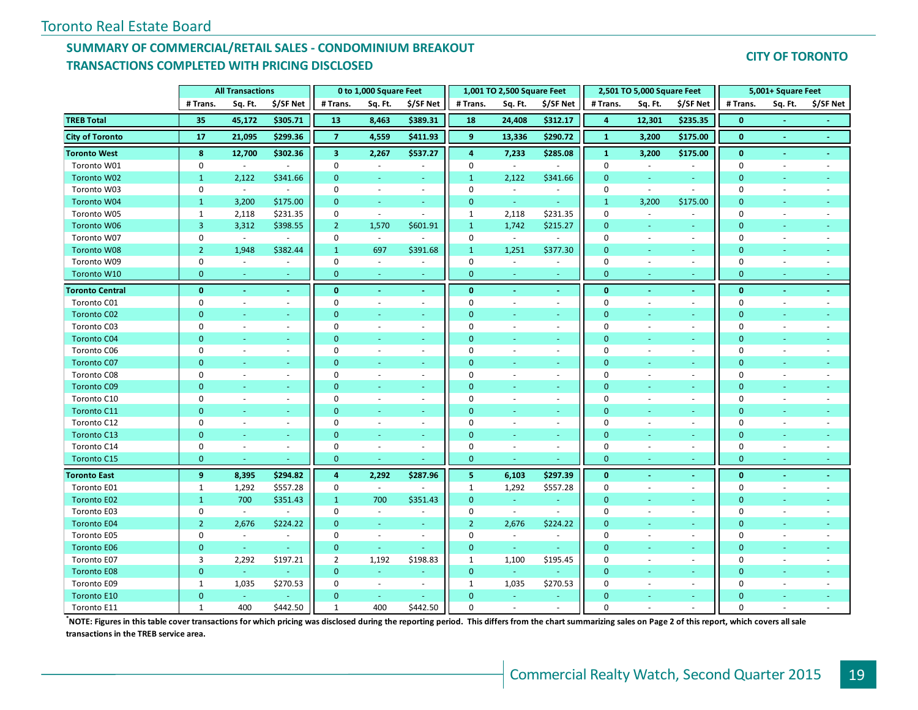### **SUMMARY OF COMMERCIAL/RETAIL SALES - CONDOMINIUM BREAKOUT TRANSACTIONS COMPLETED WITH PRICING DISCLOSED**

**CITY OF TORONTO**

|                        |                | <b>All Transactions</b>     |                |                         | 0 to 1,000 Square Feet   |                          |                | 1,001 TO 2,500 Square Feet  |                          |                | 2,501 TO 5,000 Square Feet |                          |              | 5,001+ Square Feet       |           |
|------------------------|----------------|-----------------------------|----------------|-------------------------|--------------------------|--------------------------|----------------|-----------------------------|--------------------------|----------------|----------------------------|--------------------------|--------------|--------------------------|-----------|
|                        | # Trans.       | Sq. Ft.                     | \$/SF Net      | # Trans.                | Sq. Ft.                  | \$/SF Net                | # Trans.       | Sq. Ft.                     | \$/SF Net                | # Trans.       | Sq. Ft.                    | \$/SF Net                | # Trans.     | Sq. Ft.                  | \$/SF Net |
| <b>TREB Total</b>      | 35             | 45,172                      | \$305.71       | 13                      | 8,463                    | \$389.31                 | 18             | 24,408                      | \$312.17                 | 4              | 12,301                     | \$235.35                 | $\bf{0}$     |                          |           |
| <b>City of Toronto</b> | 17             | 21,095                      | \$299.36       | $\overline{7}$          | 4,559                    | \$411.93                 | 9              | 13,336                      | \$290.72                 | $\mathbf{1}$   | 3,200                      | \$175.00                 | $\mathbf{0}$ | $\sim$                   | $\sim$    |
| <b>Toronto West</b>    | 8              | 12,700                      | \$302.36       | $\overline{\mathbf{3}}$ | 2,267                    | \$537.27                 | 4              | 7,233                       | \$285.08                 | $\mathbf 1$    | 3,200                      | \$175.00                 | $\bf{0}$     |                          |           |
| Toronto W01            | $\mathbf 0$    | $\sim$                      |                | $\mathbf 0$             | $\sim$                   | ä,                       | $\mathbf 0$    | $\sim$                      | $\sim$                   | $\mathbf 0$    | $\sim$                     | $\sim$                   | $\Omega$     | ÷.                       |           |
| Toronto W02            | $\mathbf{1}$   | 2,122                       | \$341.66       | $\mathbf{0}$            | $\sim$                   | $\sim$                   | $\mathbf{1}$   | 2,122                       | \$341.66                 | $\mathbf{0}$   | $\sim$                     | $\sim$                   | $\mathbf{0}$ | ٠                        |           |
| Toronto W03            | $\pmb{0}$      | $\sim$                      | $\sim$         | $\mathbf 0$             | $\sim$                   | $\blacksquare$           | $\mathbf 0$    | $\sim$                      | $\omega$                 | $\mathbf{0}$   | $\sim$                     | $\sim$                   | $\mathbf 0$  | ÷,                       |           |
| Toronto W04            | $\mathbf{1}$   | 3,200                       | \$175.00       | $\mathbf{0}$            | $\omega$                 | Ξ                        | $\mathbf{0}$   | $\omega$ .                  | $\omega$                 | $1\,$          | 3,200                      | \$175.00                 | $\mathbf{0}$ |                          |           |
| Toronto W05            | $\mathbf{1}$   | 2,118                       | \$231.35       | $\mathbf 0$             | $\sim$                   | $\blacksquare$           | $\mathbf{1}$   | 2,118                       | \$231.35                 | $\mathbf 0$    | $\sim$                     | $\sim$                   | $\mathbf 0$  |                          |           |
| Toronto W06            | 3              | 3,312                       | \$398.55       | $\overline{2}$          | 1,570                    | \$601.91                 | $\mathbf{1}$   | 1,742                       | \$215.27                 | $\mathbf{0}$   | ÷.                         | ÷.                       | $\mathbf{0}$ |                          |           |
| Toronto W07            | $\mathbf 0$    | $\omega$                    |                | $\mathbf 0$             | $\overline{\phantom{a}}$ |                          | $\mathbf 0$    | $\mathcal{L}_{\mathcal{A}}$ |                          | $\mathbf 0$    | $\overline{\phantom{a}}$   | $\sim$                   | $\mathbf 0$  |                          |           |
| <b>Toronto W08</b>     | $\overline{2}$ | 1,948                       | \$382.44       | $\mathbf{1}$            | 697                      | \$391.68                 | $\mathbf{1}$   | 1,251                       | \$377.30                 | $\mathbf{0}$   | ÷                          | $\sim$                   | $\Omega$     |                          |           |
| Toronto W09            | $\pmb{0}$      | $\mathcal{L}_{\mathcal{A}}$ | $\blacksquare$ | $\mathbf 0$             | $\overline{\phantom{a}}$ | $\overline{\phantom{a}}$ | $\mathbf 0$    | $\mathcal{L}_{\mathcal{A}}$ | $\overline{\phantom{a}}$ | $\mathbf 0$    | $\sim$                     | $\sim$                   | $\mathbf 0$  |                          |           |
| Toronto W10            | $\mathbf{0}$   | ÷                           |                | $\mathbf{0}$            | ÷                        | $\equiv$                 | $\mathbf{0}$   |                             |                          | $\mathbf{0}$   | $\sim$                     | $\sim$                   | $\mathbf{0}$ |                          |           |
| <b>Toronto Central</b> | $\mathbf{0}$   | $\omega$                    | $\omega$       | $\bf{0}$                | $\blacksquare$           | $\omega$                 | $\mathbf{0}$   |                             | $\omega$                 | $\bf{0}$       | $\blacksquare$             | $\sim$                   | $\bf{0}$     | $\blacksquare$           |           |
| Toronto C01            | $\mathbf 0$    | $\sim$                      | $\sim$         | $\mathbf 0$             | $\sim$                   | $\blacksquare$           | $\mathbf 0$    |                             | $\sim$                   | $\mathbf 0$    | $\sim$                     | $\sim$                   | 0            |                          |           |
| <b>Toronto C02</b>     | $\Omega$       |                             |                | $\mathbf{0}$            |                          | u                        | $\Omega$       |                             |                          | $\overline{0}$ |                            |                          | $\Omega$     |                          |           |
| Toronto C03            | $\mathbf 0$    | ÷,                          | $\sim$         | $\mathbf 0$             | $\overline{\phantom{a}}$ | $\sim$                   | $\mathbf 0$    |                             | $\bar{a}$                | $\mathbf 0$    | $\overline{\phantom{a}}$   | $\sim$                   | $\mathbf 0$  |                          |           |
| <b>Toronto C04</b>     | $\overline{0}$ | ÷.                          |                | $\bullet$               |                          | ÷.                       | $\Omega$       |                             | ÷                        | $\overline{0}$ |                            | ÷.                       | $\Omega$     |                          |           |
| Toronto C06            | $\mathbf 0$    | L.                          | $\omega$       | $\mathbf 0$             | $\sim$                   | $\omega$                 | $\mathbf 0$    |                             | $\omega$                 | $\mathbf 0$    | ÷,                         | $\sim$                   | $\mathbf 0$  |                          |           |
| Toronto C07            | $\overline{0}$ | ÷                           | ÷              | $\overline{0}$          | $\sim$                   | $\equiv$                 | $\mathbf{0}$   | ÷                           | ÷                        | $\overline{0}$ | u                          | $\sim$                   | $\mathbf{0}$ | ÷,                       |           |
| Toronto C08            | $\pmb{0}$      | ÷,                          | $\sim$         | $\mathbf 0$             | $\sim$                   | $\sim$                   | $\mathbf 0$    |                             | $\omega$                 | $\mathbf 0$    | $\sim$                     | $\sim$                   | $\mathbf 0$  | $\overline{a}$           |           |
| Toronto C09            | $\mathbf{0}$   | $\omega$                    | ÷              | $\mathbf{0}$            | $\blacksquare$           | $\equiv$                 | $\mathbf{0}$   |                             | $\omega$                 | $\mathbf{0}$   | Ξ                          | $\sim$                   | $\mathbf{0}$ |                          |           |
| Toronto C10            | $\mathbf 0$    | $\sim$                      | $\sim$         | $\mathbf 0$             | $\sim$                   | $\sim$                   | $\Omega$       | $\sim$                      | $\blacksquare$           | $\mathbf 0$    | $\sim$                     | $\sim$                   | $\Omega$     | $\sim$                   |           |
| Toronto C11            | $\mathbf{0}$   | ÷                           | $\omega$       | $\mathbf{0}$            | $\sim$                   | ÷                        | $\mathbf{0}$   | $\sim$                      | $\sim$                   | $\mathbf{0}$   | $\sim$                     | $\sim$                   | $\mathbf{0}$ | ٠                        |           |
| Toronto C12            | $\mathbf 0$    | $\sim$                      | $\sim$         | $\mathbf 0$             | $\sim$                   | $\overline{\phantom{a}}$ | 0              |                             | $\sim$                   | $\mathbf 0$    | $\sim$                     | $\overline{\phantom{a}}$ | $\mathbf 0$  | ÷.                       |           |
| Toronto C13            | $\overline{0}$ | ÷                           |                | $\mathbf{0}$            |                          | Ξ                        | $\mathbf{0}$   |                             | ÷                        | $\mathbf{0}$   | Ξ                          | $\sim$                   | $\mathbf{0}$ |                          |           |
| Toronto C14            | $\pmb{0}$      | $\omega$                    | $\sim$         | $\mathbf 0$             | $\overline{\phantom{a}}$ | $\sim$                   | $\mathbf 0$    | $\sim$                      | $\blacksquare$           | $\mathbf 0$    | $\sim$                     | $\sim$                   | $\mathbf 0$  | ÷,                       |           |
| Toronto C15            | $\mathbf 0$    | ÷                           |                | $\mathbf{0}$            |                          |                          | $\mathbf{0}$   |                             |                          | $\mathbf{0}$   | u                          |                          | $\mathbf{0}$ |                          |           |
| <b>Toronto East</b>    | 9              | 8,395                       | \$294.82       | 4                       | 2,292                    | \$287.96                 | 5 <sub>5</sub> | 6,103                       | \$297.39                 | $\bf{0}$       | $\sim$                     | $\sim$                   | $\bf{0}$     | $\blacksquare$           | $\sim$    |
| Toronto E01            | $\mathbf{1}$   | 1,292                       | \$557.28       | $\mathbf 0$             | $\overline{\phantom{a}}$ | $\overline{a}$           | $\mathbf{1}$   | 1,292                       | \$557.28                 | $\mathbf 0$    | $\sim$                     | $\sim$                   | $\mathbf 0$  | $\sim$                   |           |
| <b>Toronto E02</b>     | $\mathbf{1}$   | 700                         | \$351.43       | $\mathbf{1}$            | 700                      | \$351.43                 | $\mathbf{0}$   | $\sim$                      | ä,                       | $\mathbf{0}$   | $\sim$                     | $\sim$                   | $\mathbf{0}$ |                          |           |
| Toronto E03            | $\mathbf 0$    | $\omega$                    | $\sim$         | $\mathbf 0$             | $\sim$                   | $\sim$                   | $\mathbf 0$    | $\sim$                      | $\omega$                 | $\mathbf 0$    | ÷.                         | $\sim$                   | $\mathbf 0$  | $\sim$                   |           |
| <b>Toronto E04</b>     | $\overline{2}$ | 2,676                       | \$224.22       | $\mathbf{0}$            | $\omega$                 | $\omega$                 | $\overline{2}$ | 2,676                       | \$224.22                 | $\mathbf{0}$   | Ξ                          | $\sim$                   | $\mathbf{0}$ | ÷                        |           |
| Toronto E05            | $\mathbf 0$    | $\mathcal{L}_{\mathcal{A}}$ | $\sim$         | $\mathbf 0$             | $\blacksquare$           | $\blacksquare$           | $\mathbf 0$    | $\sim$                      | $\sim$                   | $\mathbf 0$    | $\sim$                     | $\sim$                   | 0            | ÷,                       |           |
| <b>Toronto E06</b>     | $\overline{0}$ | G.                          |                | $\mathbf{0}$            | ÷                        | Ξ                        | $\mathbf{0}$   | $\omega$ .                  |                          | $\overline{0}$ | u                          | $\sim$                   | $\Omega$     |                          |           |
| Toronto E07            | 3              | 2,292                       | \$197.21       | $\overline{2}$          | 1,192                    | \$198.83                 | $\mathbf{1}$   | 1,100                       | \$195.45                 | $\mathbf 0$    | $\overline{\phantom{a}}$   | $\overline{\phantom{a}}$ | $\mathbf 0$  | $\overline{\phantom{a}}$ |           |
| <b>Toronto E08</b>     | $\mathbf{0}$   | $\omega$                    |                | $\mathbf{0}$            | $\omega$                 | u                        | $\mathbf{0}$   | $\sim$                      |                          | $\mathbf{0}$   | ÷.                         | ÷.                       | $\mathbf{0}$ |                          |           |
| Toronto E09            | $\mathbf{1}$   | 1,035                       | \$270.53       | $\mathbf 0$             | $\blacksquare$           | ÷                        | $\mathbf{1}$   | 1,035                       | \$270.53                 | $\mathbf 0$    | ÷                          | $\sim$                   | $\mathbf 0$  |                          |           |
| <b>Toronto E10</b>     | $\overline{0}$ | $\equiv$                    |                | $\mathbf{0}$            | $\omega$                 | Ξ                        | $\Omega$       | ÷                           | $\omega$                 | $\Omega$       | ٠                          | $\sim$                   | $\Omega$     |                          |           |
| Toronto E11            | $\mathbf{1}$   | 400                         | \$442.50       | $\mathbf{1}$            | 400                      | \$442.50                 | $\Omega$       |                             |                          | $\Omega$       |                            |                          | $\Omega$     |                          |           |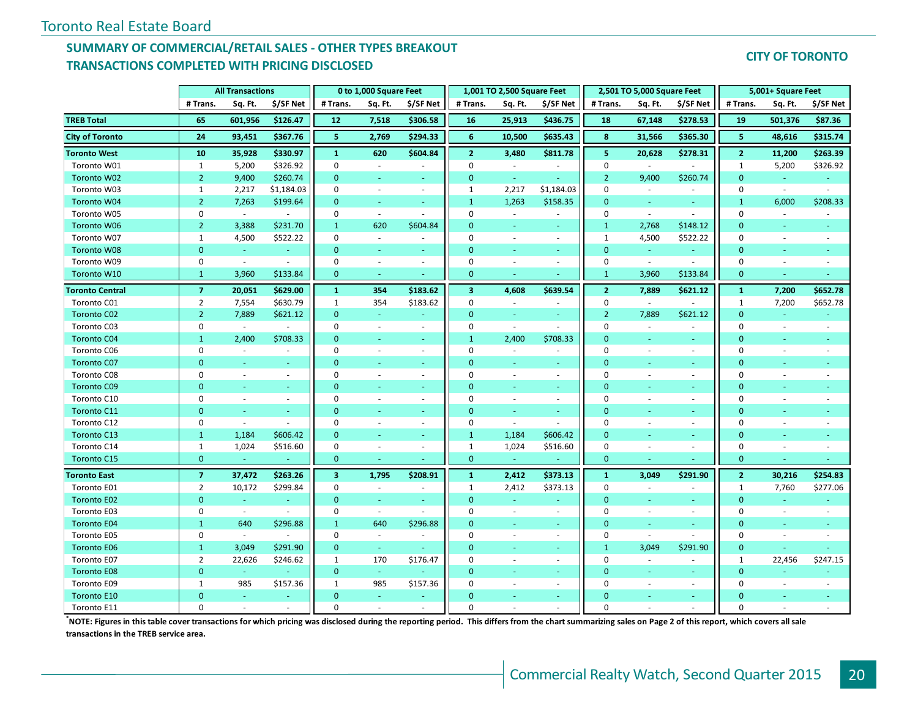#### **SUMMARY OF COMMERCIAL/RETAIL SALES - OTHER TYPES BREAKOUT TRANSACTIONS COMPLETED WITH PRICING DISCLOSED**

#### **CITY OF TORONTO**

|                        |                | <b>All Transactions</b>     |            |                         | 0 to 1,000 Square Feet   |                          |                         | 1,001 TO 2,500 Square Feet |                          |                  | 2,501 TO 5,000 Square Feet  |                          |                | 5,001+ Square Feet       |           |
|------------------------|----------------|-----------------------------|------------|-------------------------|--------------------------|--------------------------|-------------------------|----------------------------|--------------------------|------------------|-----------------------------|--------------------------|----------------|--------------------------|-----------|
|                        | # Trans.       | Sq. Ft.                     | \$/SF Net  | # Trans.                | Sq. Ft.                  | \$/SF Net                | # Trans.                | Sq. Ft.                    | \$/SF Net                | # Trans.         | Sq. Ft.                     | \$/SF Net                | # Trans.       | Sq. Ft.                  | \$/SF Net |
| <b>TREB Total</b>      | 65             | 601,956                     | \$126.47   | 12                      | 7,518                    | \$306.58                 | 16                      | 25,913                     | \$436.75                 | 18               | 67,148                      | \$278.53                 | 19             | 501,376                  | \$87.36   |
| <b>City of Toronto</b> | ${\bf 24}$     | 93,451                      | \$367.76   | 5                       | 2,769                    | \$294.33                 | 6                       | 10,500                     | \$635.43                 | 8                | 31,566                      | \$365.30                 | 5              | 48,616                   | \$315.74  |
| <b>Toronto West</b>    | 10             | 35,928                      | \$330.97   | $\mathbf{1}$            | 620                      | \$604.84                 | $\overline{2}$          | 3,480                      | \$811.78                 | 5                | 20,628                      | \$278.31                 | $\overline{2}$ | 11,200                   | \$263.39  |
| Toronto W01            | $\mathbf{1}$   | 5,200                       | \$326.92   | 0                       | $\omega$                 | $\sim$                   | $\mathbf 0$             | $\overline{\phantom{a}}$   | $\sim$                   | $\mathbf 0$      | $\mathcal{L}_{\mathcal{A}}$ | $\sim$                   | $\mathbf{1}$   | 5,200                    | \$326.92  |
| Toronto W02            | 2 <sup>1</sup> | 9,400                       | \$260.74   | $\mathbf{0}$            | $\blacksquare$           | ÷                        | $\mathbf{0}$            | $\sim$                     | $\sim$                   | $\overline{2}$   | 9,400                       | \$260.74                 | $\overline{0}$ | $\sim$                   | ÷         |
| Toronto W03            | $\mathbf{1}$   | 2,217                       | \$1,184.03 | $\Omega$                | ÷.                       | $\sim$                   | $\mathbf{1}$            | 2,217                      | \$1,184.03               | $\mathbf 0$      | $\sim$                      | $\sim$                   | $\mathbf 0$    | $\mathbf{r}$             | $\sim$    |
| Toronto W04            | 2 <sup>1</sup> | 7,263                       | \$199.64   | $\mathbf{0}$            | $\sim$                   | ÷                        | $\mathbf{1}$            | 1,263                      | \$158.35                 | $\mathbf{0}$     | ra.                         | $\sim$                   | $\mathbf{1}$   | 6,000                    | \$208.33  |
| Toronto W05            | $\mathbf{0}$   | $\sim$                      | $\sim$     | $\mathbf 0$             | $\sim$                   | $\sim$                   | $\mathbf 0$             | $\sim$                     | $\sim$                   | $\mathbf 0$      | $\overline{\phantom{a}}$    | $\sim$                   | $\mathbf 0$    | $\sim$                   |           |
| Toronto W06            | 2 <sup>1</sup> | 3,388                       | \$231.70   | $\mathbf{1}$            | 620                      | \$604.84                 | $\overline{0}$          | ÷                          | $\sim$                   | $\mathbf{1}$     | 2,768                       | \$148.12                 | $\mathbf{0}$   |                          |           |
| Toronto W07            | $\mathbf{1}$   | 4,500                       | \$522.22   | $\mathbf 0$             | $\overline{\phantom{a}}$ |                          | $\mathbf 0$             | $\overline{\phantom{a}}$   | $\omega$                 | $\mathbf{1}$     | 4,500                       | \$522.22                 | $\mathbf 0$    |                          |           |
| Toronto W08            | $\mathbf{0}$   | $\omega$                    | $\omega$   | $\mathbf{0}$            | ÷                        | $\equiv$                 | $\overline{0}$          |                            | ÷                        | $\mathbf{0}$     | ÷.                          | $\omega$                 | $\mathbf{0}$   |                          |           |
| Toronto W09            | $\mathbf 0$    | $\sim$                      | $\sim$     | $\mathbf 0$             | $\overline{\phantom{a}}$ | $\overline{\phantom{a}}$ | 0                       | $\overline{\phantom{a}}$   | $\sim$                   | $\mathbf 0$      | $\overline{\phantom{a}}$    | $\sim$                   | $\mathbf 0$    | $\sim$                   |           |
| Toronto W10            | $\mathbf{1}$   | 3,960                       | \$133.84   | $\mathbf{0}$            |                          |                          | $\mathbf{0}$            |                            |                          | $\mathbf{1}$     | 3,960                       | \$133.84                 | $\mathbf{0}$   |                          |           |
| <b>Toronto Central</b> | $\overline{7}$ | 20,051                      | \$629.00   | $\mathbf{1}$            | 354                      | \$183.62                 | $\overline{\mathbf{3}}$ | 4,608                      | \$639.54                 | $\overline{2}$   | 7,889                       | \$621.12                 | $\mathbf{1}$   | 7,200                    | \$652.78  |
| Toronto C01            | $\overline{2}$ | 7,554                       | \$630.79   | $\mathbf{1}$            | 354                      | \$183.62                 | $\mathbf 0$             | $\sim$                     | $\sim$                   | $\mathbf 0$      | $\sim$                      |                          | 1              | 7,200                    | \$652.78  |
| <b>Toronto C02</b>     | $\overline{2}$ | 7,889                       | \$621.12   | $\overline{0}$          | $\omega$                 |                          | $\overline{0}$          |                            |                          | $\overline{2}$   | 7,889                       | \$621.12                 | $\mathbf{0}$   |                          |           |
| Toronto C03            | $\mathbf{0}$   | $\omega$                    | $\sim$     | $\mathbf 0$             | $\omega$                 | $\sim$                   | $\mathbf 0$             | $\overline{\phantom{a}}$   | $\omega$                 | $\mathbf 0$      | $\sim$                      | $\blacksquare$           | $\mathbf 0$    | $\sim$                   |           |
| <b>Toronto C04</b>     | $\mathbf{1}$   | 2,400                       | \$708.33   | $\mathbf{0}$            |                          | $\equiv$                 | $\mathbf{1}$            | 2,400                      | \$708.33                 | $\mathbf{0}$     |                             | u,                       | $\mathbf{0}$   |                          |           |
| Toronto C06            | $\Omega$       | $\sim$                      | ÷.         | $\mathbf 0$             | $\sim$                   | $\sim$                   | $\mathbf 0$             |                            | $\sim$                   | $\mathbf 0$      |                             | $\sim$                   | $\mathbf 0$    |                          |           |
| Toronto C07            | $\mathbf{0}$   | ÷                           | i.         | $\mathbf{0}$            | ÷                        | $\omega$                 | $\overline{0}$          | $\omega$                   | ÷.                       | $\mathbf{0}$     |                             | u,                       | $\overline{0}$ |                          |           |
| Toronto C08            | 0              | $\sim$                      | $\sim$     | $\mathbf 0$             | $\sim$                   | $\sim$                   | $\mathbf 0$             | ÷                          | $\blacksquare$           | $\mathbf 0$      |                             | $\sim$                   | 0              | $\sim$                   |           |
| <b>Toronto C09</b>     | $\Omega$       | ÷                           | ÷          | $\mathbf{0}$            | ÷.                       | $\equiv$                 | $\mathbf{0}$            | ÷                          | ÷.                       | $\mathbf{0}$     |                             | ÷                        | $\mathbf{0}$   | ÷                        |           |
| Toronto C10            | $\mathbf 0$    | $\omega$                    | $\sim$     | $\mathbf 0$             | ÷.                       | $\blacksquare$           | $\mathbf 0$             | ÷                          | $\omega$ .               | $\mathbf 0$      | $\sim$                      | $\blacksquare$           | $\mathbf 0$    | $\sim$                   |           |
| Toronto C11            | $\Omega$       | $\omega$                    | $\sim$     | $\mathbf{0}$            | $\omega$                 | $\sim$                   | $\overline{0}$          | $\sim$                     | $\omega_{\rm c}$         | $\mathbf{0}$     |                             | ÷.                       | $\overline{0}$ | ÷                        |           |
| Toronto C12            | $\mathbf 0$    | $\sim$                      |            | $\mathbf 0$             | ÷                        | $\sim$                   | $\mathbf 0$             | $\omega$                   | $\omega$                 | $\mathbf 0$      | $\sim$                      | $\overline{\phantom{a}}$ | 0              | $\sim$                   |           |
| Toronto C13            | $\mathbf{1}$   | 1,184                       | \$606.42   | $\mathbf{0}$            | $\sim$                   | ÷                        | $\mathbf{1}$            | 1,184                      | \$606.42                 | $\mathbf{0}$     |                             | $\sim$                   | $\mathbf{0}$   | ÷                        |           |
| Toronto C14            | $\mathbf{1}$   | 1,024                       | \$516.60   | $\mathbf 0$             | $\omega$                 | $\overline{\phantom{a}}$ | $\mathbf{1}$            | 1,024                      | \$516.60                 | $\boldsymbol{0}$ | $\sim$                      | $\omega$                 | 0              | $\blacksquare$           |           |
| Toronto C15            | $\mathbf{0}$   | ÷                           |            | $\overline{0}$          |                          |                          | $\mathbf{0}$            |                            |                          | $\mathbf{0}$     |                             |                          | $\overline{0}$ |                          |           |
| <b>Toronto East</b>    | $\overline{7}$ | 37,472                      | \$263.26   | $\overline{\mathbf{3}}$ | 1,795                    | \$208.91                 | $\mathbf{1}$            | 2,412                      | \$373.13                 | $\mathbf{1}$     | 3,049                       | \$291.90                 | $\overline{2}$ | 30,216                   | \$254.83  |
| Toronto E01            | $\overline{2}$ | 10,172                      | \$299.84   | $\mathbf 0$             | $\overline{\phantom{a}}$ | $\sim$                   | $\mathbf{1}$            | 2,412                      | \$373.13                 | $\mathbf 0$      | $\sim$                      | $\overline{\phantom{a}}$ | 1              | 7,760                    | \$277.06  |
| Toronto E02            | $\mathbf{0}$   | $\omega$                    |            | $\mathbf{0}$            | $\omega$                 | $\blacksquare$           | $\overline{0}$          | $\omega$                   | ä,                       | $\mathbf{0}$     |                             | ÷.                       | $\mathbf{0}$   | $\Box$                   |           |
| Toronto E03            | $\mathbf 0$    | $\mathcal{L}_{\mathcal{A}}$ | $\sim$     | $\mathbf 0$             | $\sim$                   | $\sim$                   | $\Omega$                | $\overline{\phantom{a}}$   | $\blacksquare$           | $\mathbf 0$      | $\sim$                      | $\overline{\phantom{a}}$ | $\mathbf 0$    | $\blacksquare$           | $\sim$    |
| <b>Toronto E04</b>     | $\mathbf{1}$   | 640                         | \$296.88   | $\mathbf{1}$            | 640                      | \$296.88                 | $\Omega$                | $\sim$                     | $\omega$ .               | $\Omega$         | ÷                           | a.                       | $\overline{0}$ | $\sim$                   |           |
| Toronto E05            | $\mathbf 0$    | $\sim$                      | $\sim$     | $\mathbf 0$             | ÷.                       | $\sim$                   | $\mathbf 0$             | ÷                          | $\omega$                 | 0                | $\sim$                      | ٠                        | 0              | $\sim$                   | $\sim$    |
| <b>Toronto E06</b>     | $\mathbf{1}$   | 3,049                       | \$291.90   | $\overline{0}$          | $\sim$                   |                          | $\Omega$                |                            | ÷.                       | $\mathbf{1}$     | 3,049                       | \$291.90                 | $\mathbf{0}$   |                          |           |
| Toronto E07            | $\overline{2}$ | 22,626                      | \$246.62   | $\mathbf{1}$            | 170                      | \$176.47                 | $\mathbf 0$             | $\overline{\phantom{a}}$   | $\overline{\phantom{a}}$ | $\mathbf 0$      | $\sim$                      | $\sim$                   | $\mathbf{1}$   | 22,456                   | \$247.15  |
| <b>Toronto E08</b>     | $\mathbf{0}$   | G.                          |            | $\overline{0}$          | $\omega$                 |                          | $\overline{0}$          | $\sim$                     | $\sim$                   | $\mathbf{0}$     |                             | ÷                        | $\overline{0}$ | ÷.                       |           |
| Toronto E09            | $1\,$          | 985                         | \$157.36   | $\mathbf{1}$            | 985                      | \$157.36                 | $\mathbf 0$             |                            | $\blacksquare$           | $\mathbf 0$      |                             | $\overline{\phantom{a}}$ | 0              | $\overline{\phantom{a}}$ |           |
| Toronto E10            | $\Omega$       | ÷.                          | $\sim$     | $\Omega$                | $\omega$                 | $\blacksquare$           | $\Omega$                |                            | $\sim$                   | $\Omega$         |                             | $\sim$                   | $\mathbf{0}$   |                          |           |
| Toronto E11            | $\Omega$       |                             |            | $\Omega$                |                          |                          | $\Omega$                |                            |                          | $\Omega$         |                             |                          | $\Omega$       |                          |           |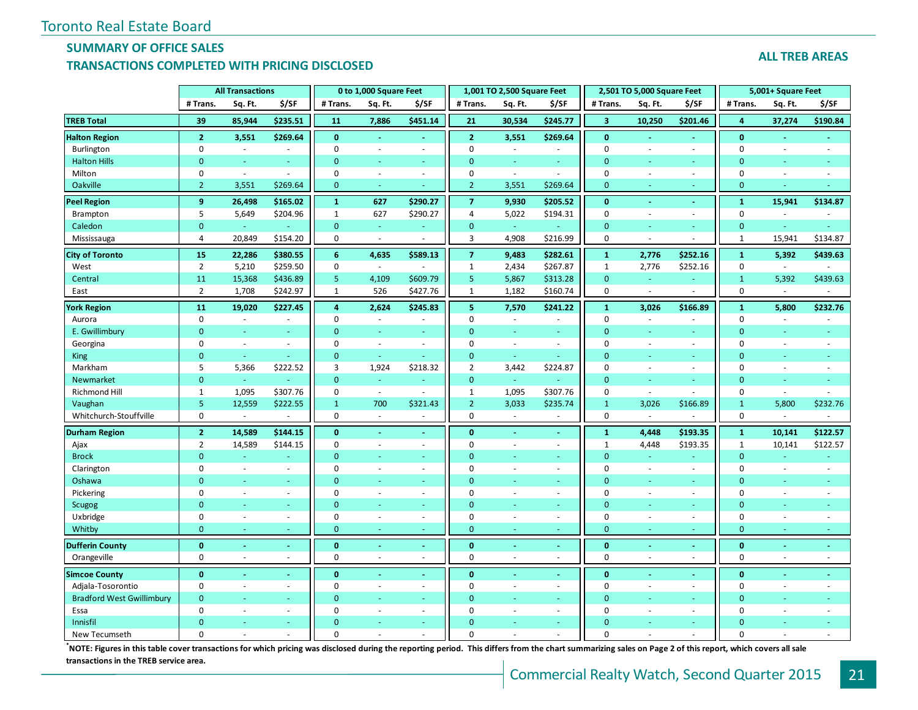## **SUMMARY OF OFFICE SALES**

#### **TRANSACTIONS COMPLETED WITH PRICING DISCLOSED**

#### **ALL TREB AREAS**

|                                  |                 | <b>All Transactions</b>  |                |                | 0 to 1,000 Square Feet      |                          |                | 1,001 TO 2,500 Square Feet |                          |                         | 2,501 TO 5,000 Square Feet |                          |                | 5,001+ Square Feet          |          |
|----------------------------------|-----------------|--------------------------|----------------|----------------|-----------------------------|--------------------------|----------------|----------------------------|--------------------------|-------------------------|----------------------------|--------------------------|----------------|-----------------------------|----------|
|                                  | # Trans.        | Sq. Ft.                  | \$/SF          | # Trans.       | Sq. Ft.                     | \$/SF                    | # Trans.       | Sq. Ft.                    | \$/SF                    | # Trans.                | Sq. Ft.                    | \$/SF                    | # Trans.       | Sq. Ft.                     | \$/SF    |
| <b>TREB Total</b>                | 39              | 85,944                   | \$235.51       | 11             | 7,886                       | \$451.14                 | 21             | 30,534                     | \$245.77                 | $\overline{\mathbf{3}}$ | 10,250                     | \$201.46                 | $\overline{4}$ | 37,274                      | \$190.84 |
| <b>Halton Region</b>             | $\overline{2}$  | 3,551                    | \$269.64       | $\mathbf{0}$   | $\sim$                      | $\blacksquare$           | $\overline{2}$ | 3,551                      | \$269.64                 | $\mathbf{0}$            | $\sim$                     | $\sim$                   | $\mathbf{0}$   | $\sim$                      |          |
| Burlington                       | $\mathbf 0$     | $\sim$                   | $\sim$         | 0              | $\sim$                      | $\overline{\phantom{a}}$ | $\mathbf 0$    | $\sim$                     | ä,                       | $\mathbf 0$             | $\sim$                     | $\sim$                   | $\mathbf 0$    | $\sim$                      | $\sim$   |
| <b>Halton Hills</b>              | $\mathbf{0}$    |                          |                | $\mathbf{0}$   |                             | Ξ                        | $\Omega$       |                            |                          | $\overline{0}$          |                            |                          | $\mathbf{0}$   |                             |          |
| Milton                           | $\mathbf 0$     | $\omega$                 | $\sim$         | 0              | $\sim$                      | $\blacksquare$           | $\mathbf 0$    | $\sim$                     | ä,                       | $\pmb{0}$               | $\sim$                     | $\omega$                 | $\pmb{0}$      | $\sim$                      |          |
| Oakville                         | $\overline{2}$  | 3,551                    | \$269.64       | $\mathbf{0}$   | $\sim$                      | ÷                        | $\overline{2}$ | 3,551                      | \$269.64                 | $\mathbf{0}$            |                            | $\sim$                   | $\mathbf{0}$   | ÷                           |          |
| <b>Peel Region</b>               | 9               | 26,498                   | \$165.02       | $\mathbf{1}$   | 627                         | \$290.27                 | $\overline{7}$ | 9,930                      | \$205.52                 | $\mathbf{0}$            |                            | $\omega$                 | $\mathbf{1}$   | 15,941                      | \$134.87 |
| Brampton                         | 5               | 5,649                    | \$204.96       | $\mathbf{1}$   | 627                         | \$290.27                 | $\overline{4}$ | 5,022                      | \$194.31                 | $\pmb{0}$               | $\sim$                     | $\omega$                 | $\pmb{0}$      | ä,                          |          |
| Caledon                          | $\mathbf{0}$    | $\blacksquare$           |                | $\mathbf{0}$   | $\omega$                    | $\blacksquare$           | $\pmb{0}$      | $\omega_{\rm c}$           |                          | $\mathbf 0$             | $\blacksquare$             | $\sim$                   | $\pmb{0}$      | Ξ                           | $\omega$ |
| Mississauga                      | 4               | 20,849                   | \$154.20       | 0              | $\sim$                      | ÷                        | 3              | 4,908                      | \$216.99                 | 0                       | ÷.                         |                          | $1\,$          | 15,941                      | \$134.87 |
| <b>City of Toronto</b>           | 15              | 22,286                   | \$380.55       | $6\phantom{1}$ | 4,635                       | \$589.13                 | $\overline{7}$ | 9,483                      | \$282.61                 | $\mathbf 1$             | 2,776                      | \$252.16                 | $\mathbf{1}$   | 5,392                       | \$439.63 |
| West                             | $\overline{2}$  | 5,210                    | \$259.50       | $\mathbf 0$    | $\sim$                      |                          | $\mathbf{1}$   | 2,434                      | \$267.87                 | $\mathbf{1}$            | 2,776                      | \$252.16                 | $\pmb{0}$      | $\mathcal{L}_{\mathcal{A}}$ |          |
| Central                          | 11              | 15,368                   | \$436.89       | 5              | 4,109                       | \$609.79                 | 5              | 5,867                      | \$313.28                 | $\mathbf{0}$            | $\sim$                     | $\blacksquare$           | $\mathbf{1}$   | 5,392                       | \$439.63 |
| East                             | $\overline{2}$  | 1,708                    | \$242.97       | 1              | 526                         | \$427.76                 | $\mathbf{1}$   | 1,182                      | \$160.74                 | $\mathbf 0$             | $\sim$                     | $\overline{a}$           | $\mathbf 0$    | $\overline{\phantom{a}}$    |          |
| <b>York Region</b>               | 11              | 19,020                   | \$227.45       | 4              | 2,624                       | \$245.83                 | 5              | 7,570                      | \$241.22                 | $\mathbf{1}$            | 3,026                      | \$166.89                 | $\mathbf{1}$   | 5,800                       | \$232.76 |
| Aurora                           | $\mathbf 0$     | $\omega$                 | ä,             | $\mathbf 0$    | $\blacksquare$              | $\frac{1}{2}$            | $\mathbf 0$    | $\sim$                     | ÷,                       | 0                       | $\sim$                     | $\overline{\phantom{a}}$ | $\pmb{0}$      | $\sim$                      |          |
| E. Gwillimbury                   | $\mathbf{0}$    | ÷.                       | ÷              | $\mathbf{0}$   | $\sim$                      | ٠                        | $\mathbf{0}$   | <b>Co</b>                  | ÷.                       | $\overline{0}$          |                            | $\sim$                   | $\mathbf{0}$   | ٠                           | $\sim$   |
| Georgina                         | $\mathbf 0$     | $\sim$                   | $\sim$         | $\mathbf 0$    | $\sim$                      | $\overline{\phantom{a}}$ | $\mathbf 0$    | $\sim$                     | $\omega$                 | $\mathbf 0$             | $\sim$                     | $\sim$                   | $\mathbf 0$    | $\overline{\phantom{a}}$    | $\sim$   |
| <b>King</b>                      | $\mathbf{0}$    | ÷.                       | ÷.             | $\mathbf{0}$   | G.                          | ÷                        | $\mathbf{0}$   | G.                         | ä,                       | $\Omega$                |                            | ÷                        | $\mathbf{0}$   | ÷.                          |          |
| Markham                          | 5               | 5,366                    | \$222.52       | 3              | 1,924                       | \$218.32                 | $\overline{2}$ | 3,442                      | \$224.87                 | $\mathbf 0$             | $\overline{\phantom{a}}$   | $\omega$                 | $\mathbf 0$    | $\bar{a}$                   | $\sim$   |
| Newmarket                        | $\mathbf{0}$    | $\omega$                 |                | $\mathbf{0}$   | ÷                           | ٠                        | $\mathbf{0}$   | $\omega$                   | ÷,                       | $\overline{0}$          | ÷                          | ÷                        | $\mathbf{0}$   | ÷.                          | ÷.       |
| Richmond Hill                    | $\mathbf{1}$    | 1,095                    | \$307.76       | $\mathbf 0$    | $\mathcal{L}_{\mathcal{A}}$ | $\sim$                   | $\mathbf{1}$   | 1,095                      | \$307.76                 | $\mathbf 0$             | $\sim$                     | $\sim$                   | $\pmb{0}$      | $\blacksquare$              | $\sim$   |
| Vaughan                          | $5\phantom{.0}$ | 12,559                   | \$222.55       | $\mathbf{1}$   | 700                         | \$321.43                 | $\overline{2}$ | 3,033                      | \$235.74                 | $\mathbf 1$             | 3,026                      | \$166.89                 | $\mathbf 1$    | 5,800                       | \$232.76 |
| Whitchurch-Stouffville           | $\mathbf 0$     | $\omega$                 |                | $\mathbf 0$    | $\sim$                      | $\overline{\phantom{a}}$ | $\mathbf 0$    |                            |                          | $\mathbf 0$             | $\sim$                     |                          | $\mathbf 0$    | $\sim$                      |          |
| <b>Durham Region</b>             | $\overline{2}$  | 14,589                   | \$144.15       | $\bf{0}$       | $\sim$                      | $\blacksquare$           | $\mathbf{0}$   |                            | $\blacksquare$           | $\mathbf 1$             | 4,448                      | \$193.35                 | $\mathbf{1}$   | 10,141                      | \$122.57 |
| Ajax                             | $\overline{2}$  | 14,589                   | \$144.15       | $\mathbf 0$    | $\sim$                      | $\blacksquare$           | $\mathbf 0$    |                            | $\overline{\phantom{a}}$ | $\mathbf{1}$            | 4,448                      | \$193.35                 | $\mathbf{1}$   | 10,141                      | \$122.57 |
| <b>Brock</b>                     | $\mathbf{0}$    | $\sim$                   | ÷.             | $\mathbf{0}$   |                             | $\sim$                   | $\Omega$       |                            | ÷.                       | $\overline{0}$          | $\omega$                   | $\sim$                   | $\mathbf{0}$   | ÷                           | $\sim$   |
| Clarington                       | $\mathbf 0$     | $\blacksquare$           | $\sim$         | 0              | $\sim$                      | $\omega$                 | $\mathbf 0$    |                            | ÷,                       | $\mathbf 0$             | $\sim$                     | $\blacksquare$           | $\mathbf 0$    | $\sim$                      | $\sim$   |
| Oshawa                           | $\mathbf{0}$    |                          | ÷              | $\mathbf{0}$   |                             | ÷                        | $\Omega$       |                            | ÷                        | $\Omega$                |                            | ÷                        | $\mathbf{0}$   | ÷                           |          |
| Pickering                        | $\mathbf 0$     | $\overline{\phantom{a}}$ | $\bar{a}$      | 0              | $\sim$                      | $\omega$                 | $\mathbf 0$    |                            | $\overline{\phantom{a}}$ | 0                       | $\sim$                     | $\omega$                 | $\pmb{0}$      | $\sim$                      |          |
| Scugog                           | $\mathbf{0}$    | ÷                        | ÷.             | $\overline{0}$ | $\sim$                      | ÷                        | $\Omega$       |                            | $\sim$                   | $\overline{0}$          |                            | $\sim$                   | $\mathbf{0}$   | ÷                           |          |
| Uxbridge                         | $\mathbf 0$     | $\sim$                   | $\sim$         | 0              | $\blacksquare$              | $\omega$                 | $\Omega$       |                            | $\overline{\phantom{a}}$ | $\pmb{0}$               | $\sim$                     | $\omega$                 | $\pmb{0}$      | $\sim$                      |          |
| Whitby                           | $\mathbf{0}$    | ÷                        | ÷              | $\mathbf{0}$   | $\sim$                      | ٠                        | $\mathbf{0}$   |                            | ÷                        | $\overline{0}$          |                            | ÷                        | $\mathbf{0}$   | ÷                           |          |
| <b>Dufferin County</b>           | $\bf{0}$        | $\sim$                   | $\blacksquare$ | $\bf{0}$       | $\sim$                      | $\blacksquare$           | $\bf{0}$       |                            | ä,                       | $\mathbf{0}$            | $\sim$                     | $\sim$                   | $\bf{0}$       | ä,                          |          |
| Orangeville                      | $\mathbf 0$     | ÷.                       | $\sim$         | $\mathbf 0$    | $\sim$                      | $\sim$                   | $\mathbf 0$    |                            | ÷.                       | $\mathbf 0$             | ÷.                         | $\sim$                   | $\mathbf 0$    |                             |          |
| <b>Simcoe County</b>             | $\mathbf{0}$    |                          | $\blacksquare$ | $\mathbf{0}$   |                             | $\blacksquare$           | $\mathbf{0}$   |                            |                          | $\mathbf{0}$            |                            | $\omega$                 | $\mathbf{0}$   |                             |          |
| Adjala-Tosorontio                | $\mathbf 0$     | $\sim$                   | ÷.             | $\mathbf 0$    | $\sim$                      | $\omega$                 | $\mathbf 0$    |                            | $\mathcal{L}$            | 0                       | $\sim$                     | $\sim$                   | $\mathbf 0$    | $\sim$                      |          |
| <b>Bradford West Gwillimbury</b> | $\mathbf{0}$    |                          | ÷.             | $\Omega$       |                             | ÷                        | $\mathbf{0}$   |                            | ÷.                       | $\mathbf 0$             |                            | $\omega$                 | $\mathbf{0}$   | ÷                           |          |
| Essa                             | $\mathbf 0$     | ÷.                       | $\sim$         | $\Omega$       | ÷.                          | $\blacksquare$           | 0              |                            | ÷                        | 0                       | ÷.                         | $\sim$                   | $\mathbf 0$    | ÷.                          |          |
| Innisfil                         | $\Omega$        |                          |                | $\Omega$       |                             | ٠                        | $\Omega$       |                            |                          | $\Omega$                |                            |                          | $\Omega$       |                             |          |
| New Tecumseth                    | $\Omega$        |                          |                | $\Omega$       |                             | $\overline{\phantom{a}}$ | $\Omega$       |                            |                          | $\Omega$                |                            |                          | $\Omega$       |                             |          |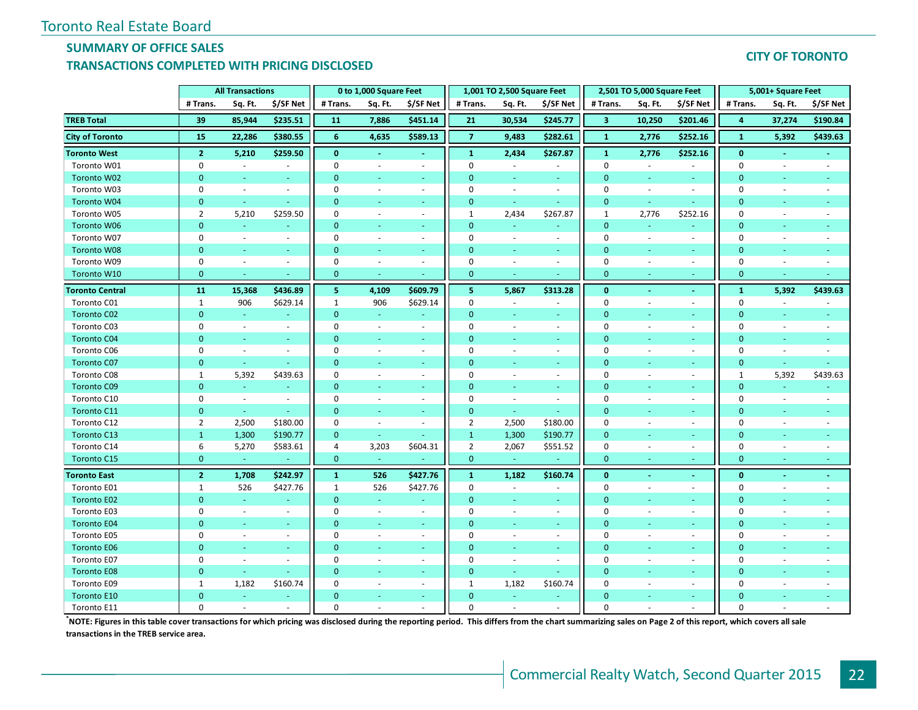#### **SUMMARY OF OFFICE SALES TRANSACTIONS COMPLETED WITH PRICING DISCLOSED**

#### **CITY OF TORONTO**

|                        |                | <b>All Transactions</b>     |                          |                | 0 to 1,000 Square Feet   |                          |                | 1,001 TO 2,500 Square Feet |                  |                | 2,501 TO 5,000 Square Feet |                          |                | 5,001+ Square Feet       |           |
|------------------------|----------------|-----------------------------|--------------------------|----------------|--------------------------|--------------------------|----------------|----------------------------|------------------|----------------|----------------------------|--------------------------|----------------|--------------------------|-----------|
|                        | # Trans.       | Sq. Ft.                     | \$/SF Net                | # Trans.       | Sq. Ft.                  | \$/SF Net                | # Trans.       | Sq. Ft.                    | \$/SF Net        | # Trans.       | Sq. Ft.                    | \$/SF Net                | # Trans.       | Sq. Ft.                  | \$/SF Net |
| <b>TREB Total</b>      | 39             | 85,944                      | \$235.51                 | 11             | 7,886                    | \$451.14                 | 21             | 30,534                     | \$245.77         | 3              | 10,250                     | \$201.46                 | 4              | 37,274                   | \$190.84  |
| <b>City of Toronto</b> | 15             | 22,286                      | \$380.55                 | 6              | 4,635                    | \$589.13                 | $\overline{7}$ | 9,483                      | \$282.61         | $\mathbf{1}$   | 2,776                      | \$252.16                 | $\mathbf{1}$   | 5,392                    | \$439.63  |
| <b>Toronto West</b>    | $\mathbf{2}$   | 5,210                       | \$259.50                 | $\bf{0}$       |                          | $\blacksquare$           | $\mathbf{1}$   | 2,434                      | \$267.87         | $\mathbf{1}$   | 2,776                      | \$252.16                 | $\mathbf{0}$   |                          |           |
| Toronto W01            | $\pmb{0}$      | $\mathcal{L}_{\mathcal{A}}$ | $\sim$                   | $\mathbf 0$    | ÷,                       | $\overline{\phantom{a}}$ | $\mathbf 0$    | $\sim$                     | $\sim$           | $\mathbf{0}$   | $\bar{a}$                  | $\sim$                   | $\mathbf 0$    | $\sim$                   | $\sim$    |
| Toronto W02            | $\mathbf{0}$   | $\omega$                    | $\omega$                 | $\mathbf{0}$   | $\blacksquare$           | $\omega$                 | $\mathbf{0}$   | $\omega$                   | $\sim$           | $\mathbf{0}$   |                            | $\sim$                   | $\mathbf{0}$   | $\omega$                 |           |
| Toronto W03            | $\mathbf 0$    | $\omega$                    | ÷                        | $\Omega$       | $\overline{a}$           | $\sim$                   | $\mathbf 0$    | $\sim$                     | $\sim$           | 0              | $\sim$                     | $\sim$                   | 0              | $\sim$                   |           |
| Toronto W04            | $\mathbf{0}$   | $\omega$                    | $\sim$                   | $\mathbf{0}$   | ٠                        | $\sim$                   | $\mathbf{0}$   | $\omega_{\rm c}$           | $\omega_{\rm c}$ | $\mathbf{0}$   | ÷                          | u,                       | $\mathbf{0}$   |                          |           |
| Toronto W05            | $\overline{2}$ | 5,210                       | \$259.50                 | $\Omega$       | $\sim$                   | $\sim$                   | $\mathbf{1}$   | 2,434                      | \$267.87         | $\mathbf{1}$   | 2,776                      | \$252.16                 | $\mathbf 0$    |                          |           |
| <b>Toronto W06</b>     | $\mathbf{0}$   | $\omega$                    |                          | $\mathbf{0}$   |                          | ٠                        | $\mathbf{0}$   |                            |                  | $\mathbf{0}$   | $\sim$                     |                          | $\mathbf{0}$   |                          |           |
| Toronto W07            | $\mathbf 0$    | $\sim$                      | $\sim$                   | $\mathbf 0$    | ÷,                       | $\sim$                   | $\mathbf 0$    | $\blacksquare$             | $\omega$         | $\mathbf 0$    | $\sim$                     | $\blacksquare$           | 0              |                          |           |
| Toronto W08            | $\mathbf{0}$   | ÷                           |                          | $\overline{0}$ | Ξ                        | $\sim$                   | $\overline{0}$ | ÷                          | u,               | $\overline{0}$ |                            | $\omega$                 | $\overline{0}$ |                          |           |
| Toronto W09            | 0              | $\sim$                      | ÷                        | 0              | $\sim$                   | $\sim$                   | 0              | ÷                          | $\sim$           | $\mathbf 0$    | $\sim$                     | $\omega$                 | 0              |                          |           |
| Toronto W10            | $\mathbf{0}$   | a.                          |                          | $\mathbf{0}$   |                          |                          | $\mathbf{0}$   |                            |                  | $\mathbf{0}$   |                            | ÷                        | $\mathbf{0}$   |                          |           |
| <b>Toronto Central</b> | 11             | 15,368                      | \$436.89                 | 5              | 4,109                    | \$609.79                 | 5              | 5,867                      | \$313.28         | $\bf{0}$       | $\blacksquare$             | $\blacksquare$           | $\mathbf{1}$   | 5,392                    | \$439.63  |
| Toronto C01            | $\mathbf{1}$   | 906                         | \$629.14                 | $\mathbf{1}$   | 906                      | \$629.14                 | $\mathbf 0$    | $\sim$                     | $\sim$           | $\mathbf 0$    | $\sim$                     | ÷                        | $\mathbf 0$    | $\sim$                   |           |
| <b>Toronto C02</b>     | $\mathbf{0}$   | ÷                           |                          | $\mathbf{0}$   | u,                       |                          | $\Omega$       |                            |                  | $\mathbf{0}$   |                            | ÷                        | $\Omega$       |                          |           |
| Toronto C03            | $\mathbf 0$    | $\sim$                      | $\overline{\phantom{a}}$ | $\Omega$       | $\overline{\phantom{a}}$ | $\sim$                   | $\Omega$       | $\overline{\phantom{a}}$   | $\sim$           | $\mathbf 0$    |                            | $\overline{\phantom{a}}$ | $\mathbf 0$    |                          |           |
| <b>Toronto C04</b>     | $\mathbf{0}$   | ÷                           |                          | $\mathbf{0}$   |                          | ÷                        | $\mathbf{0}$   |                            | ÷.               | $\mathbf{0}$   |                            | $\sim$                   | $\mathbf{0}$   |                          |           |
| Toronto C06            | $\mathbf 0$    | $\sim$                      | $\sim$                   | $\mathbf 0$    | ä,                       | $\sim$                   | $\mathbf 0$    | ÷                          | $\sim$           | 0              |                            | $\omega$                 | $\mathbf 0$    |                          |           |
| Toronto C07            | $\mathbf{0}$   | $\omega$                    | ÷                        | $\overline{0}$ | ÷                        | $\sim$                   | $\overline{0}$ | ÷                          | a.               | $\mathbf{0}$   |                            | ÷                        | $\mathbf 0$    | ÷.                       |           |
| Toronto C08            | 1              | 5,392                       | \$439.63                 | 0              | $\sim$                   | $\sim$                   | $\mathbf 0$    | $\overline{\phantom{a}}$   | $\blacksquare$   | $\mathbf 0$    | $\overline{\phantom{a}}$   | $\blacksquare$           | 1              | 5,392                    | \$439.63  |
| <b>Toronto C09</b>     | $\mathbf{0}$   | $\omega$                    |                          | $\mathbf 0$    | ÷                        | $\omega$                 | $\mathbf{0}$   | ÷                          | $\omega$         | $\mathbf 0$    |                            | ÷                        | $\mathbf 0$    | $\omega$                 |           |
| Toronto C10            | $\mathbf 0$    | $\mathcal{L}_{\mathcal{A}}$ | $\sim$                   | $\mathbf 0$    | $\blacksquare$           | $\sim$                   | $\mathbf 0$    | $\blacksquare$             | $\sim$           | $\mathbf 0$    | ÷.                         | $\blacksquare$           | 0              | $\blacksquare$           | $\sim$    |
| Toronto C11            | $\mathbf{0}$   | $\sim$                      |                          | $\mathbf{0}$   | ÷.                       | $\sim$                   | $\mathbf{0}$   | $\sim$                     | $\sim$           | $\overline{0}$ |                            | $\sim$                   | $\mathbf{0}$   | $\omega$                 |           |
| Toronto C12            | $\overline{2}$ | 2,500                       | \$180.00                 | 0              | ÷,                       | $\sim$                   | $\overline{2}$ | 2,500                      | \$180.00         | $\mathbf 0$    | $\sim$                     | $\overline{\phantom{a}}$ | 0              | $\sim$                   |           |
| <b>Toronto C13</b>     | $\mathbf{1}$   | 1,300                       | \$190.77                 | $\overline{0}$ | $\omega$                 | $\sim$                   | $\mathbf{1}$   | 1,300                      | \$190.77         | $\mathbf{0}$   |                            | ÷                        | $\overline{0}$ | ٠                        |           |
| Toronto C14            | 6              | 5,270                       | \$583.61                 | 4              | 3,203                    | \$604.31                 | $\overline{2}$ | 2,067                      | \$551.52         | $\mathbf 0$    | $\sim$                     | $\omega$                 | $\pmb{0}$      | $\blacksquare$           |           |
| Toronto C15            | $\mathbf{0}$   | $\sim$                      |                          | $\mathbf{0}$   |                          |                          | $\mathbf{0}$   |                            |                  | $\mathbf{0}$   |                            |                          | $\mathbf{0}$   |                          |           |
| <b>Toronto East</b>    | 2 <sup>1</sup> | 1,708                       | \$242.97                 | $\mathbf{1}$   | 526                      | \$427.76                 | $\mathbf{1}$   | 1,182                      | \$160.74         | $\bf{0}$       | $\blacksquare$             | ٠                        | $\bf{0}$       | $\omega$                 | $\sim$    |
| Toronto E01            | $\mathbf{1}$   | 526                         | \$427.76                 | 1              | 526                      | \$427.76                 | $\mathbf 0$    | $\sim$                     | $\sim$           | $\mathbf 0$    | $\sim$                     | $\overline{\phantom{a}}$ | $\mathbf 0$    | $\sim$                   |           |
| <b>Toronto E02</b>     | $\mathbf{0}$   | $\omega$                    | ÷                        | $\mathbf{0}$   | ä,                       |                          | $\mathbf{0}$   | $\omega$                   | $\omega$         | $\mathbf{0}$   |                            | $\blacksquare$           | 0              |                          |           |
| Toronto E03            | $\mathbf 0$    | $\sim$                      | $\omega$                 | $\mathbf 0$    | $\sim$                   | $\sim$                   | $\Omega$       | $\sim$                     | $\sim$           | $\mathbf 0$    | ÷.                         | ÷                        | 0              | $\sim$                   |           |
| <b>Toronto E04</b>     | $\mathbf{0}$   | a.                          | $\sim$                   | $\mathbf{0}$   | $\sim$                   | $\sim$                   | $\Omega$       | $\sim$                     | $\omega_{\rm c}$ | $\overline{0}$ | $\sim$                     | $\sim$                   | $\overline{0}$ | $\sim$                   |           |
| Toronto E05            | $\mathbf 0$    | $\overline{\phantom{a}}$    | $\overline{\phantom{a}}$ | $\Omega$       | ÷,                       | $\sim$                   | $\mathbf 0$    | ÷                          | $\sim$           | 0              | $\overline{\phantom{a}}$   | $\overline{\phantom{a}}$ | 0              | $\sim$                   |           |
| <b>Toronto E06</b>     | $\overline{0}$ | ÷                           |                          | $\Omega$       | ÷                        | ÷                        | $\overline{0}$ |                            | ÷.               | $\mathbf{0}$   |                            | ÷                        | $\mathbf{0}$   |                          |           |
| Toronto E07            | $\pmb{0}$      | $\overline{\phantom{a}}$    | $\overline{\phantom{a}}$ | $\mathbf 0$    | $\overline{\phantom{a}}$ | $\sim$                   | $\mathbf 0$    | $\overline{\phantom{a}}$   | $\sim$           | $\mathbf 0$    | $\overline{\phantom{a}}$   | $\blacksquare$           | $\pmb{0}$      | $\overline{\phantom{a}}$ |           |
| <b>Toronto E08</b>     | $\mathbf{0}$   | $\omega$                    | ÷                        | $\mathbf{0}$   | $\sim$                   | $\sim$                   | $\mathbf{0}$   | $\sim$                     | $\sim$           | $\mathbf{0}$   |                            | ÷                        | $\mathbf{0}$   |                          |           |
| Toronto E09            | $\mathbf{1}$   | 1,182                       | \$160.74                 | $\mathbf 0$    | ÷,                       | $\overline{\phantom{a}}$ | $\mathbf{1}$   | 1,182                      | \$160.74         | $\mathbf 0$    |                            | $\overline{\phantom{a}}$ | 0              |                          |           |
| Toronto E10            | $\Omega$       | $\omega$                    | $\sim$                   | $\Omega$       | ٠                        | $\sim$                   | $\mathbf{0}$   | $\sim$                     | $\sim$           | $\Omega$       |                            | $\sim$                   | $\mathbf{0}$   |                          |           |
| Toronto E11            | $\Omega$       |                             |                          | $\Omega$       |                          |                          | $\Omega$       |                            |                  | $\Omega$       |                            |                          | $\Omega$       |                          |           |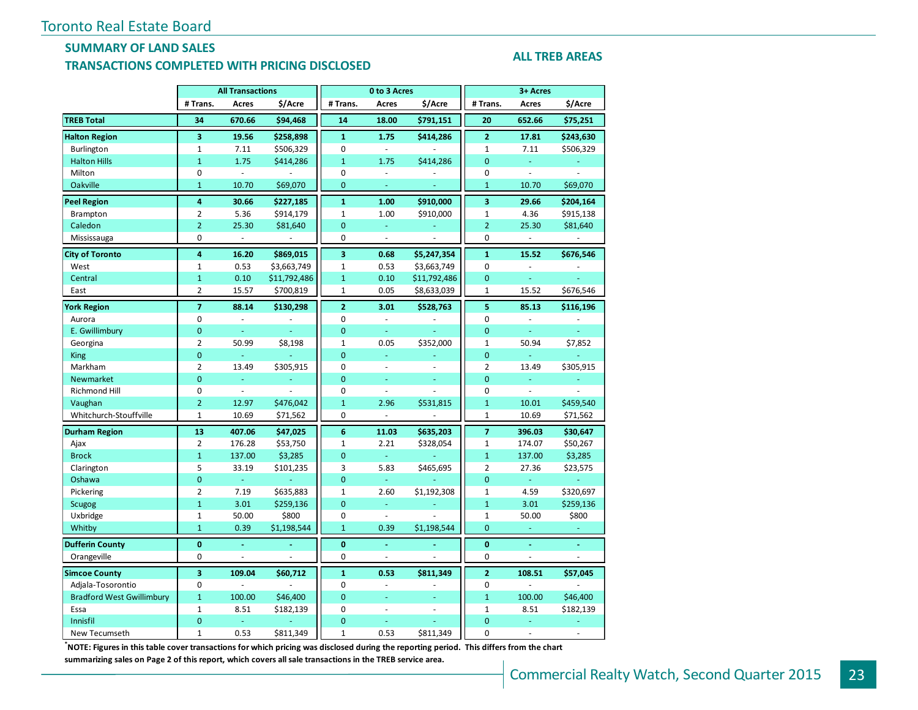#### **SUMMARY OF LAND SALES TRANSACTIONS COMPLETED WITH PRICING DISCLOSED**

#### **ALL TREB AREAS**

|                                  |                | <b>All Transactions</b> |                          |                         | 0 to 3 Acres             |              |                | 3+ Acres                 |                     |
|----------------------------------|----------------|-------------------------|--------------------------|-------------------------|--------------------------|--------------|----------------|--------------------------|---------------------|
|                                  | # Trans.       | Acres                   | \$/Acre                  | # Trans.                | Acres                    | \$/Acre      | # Trans.       | Acres                    | \$/Acre             |
| <b>TREB Total</b>                | 34             | 670.66                  | \$94,468                 | 14                      | 18.00                    | \$791,151    | 20             | 652.66                   | \$75,251            |
| <b>Halton Region</b>             | 3              | 19.56                   | \$258,898                | $\mathbf{1}$            | 1.75                     | \$414,286    | $\overline{2}$ | 17.81                    | \$243,630           |
| Burlington                       | $\mathbf{1}$   | 7.11                    | \$506,329                | $\mathbf 0$             | $\overline{\phantom{a}}$ |              | 1              | 7.11                     | \$506,329           |
| <b>Halton Hills</b>              | $\mathbf{1}$   | 1.75                    | \$414,286                | $\mathbf{1}$            | 1.75                     | \$414,286    | $\overline{0}$ | ÷.                       |                     |
| Milton                           | 0              | ÷,                      |                          | $\mathbf 0$             | ä,                       |              | 0              | L.                       |                     |
| Oakville                         | $\mathbf{1}$   | 10.70                   | \$69,070                 | $\overline{0}$          | Ξ                        | ÷,           | $\mathbf{1}$   | 10.70                    | \$69,070            |
| <b>Peel Region</b>               | 4              | 30.66                   | \$227,185                | $\mathbf{1}$            | 1.00                     | \$910,000    | 3              | 29.66                    | \$204,164           |
| Brampton                         | $\overline{2}$ | 5.36                    | \$914,179                | 1                       | 1.00                     | \$910,000    | $\mathbf 1$    | 4.36                     | \$915,138           |
| Caledon                          | $\overline{2}$ | 25.30                   | \$81,640                 | $\overline{0}$          | Ξ                        |              | $\overline{2}$ | 25.30                    | \$81,640            |
| Mississauga                      | 0              | $\omega$                | $\overline{\phantom{a}}$ | 0                       | $\omega$                 | ä,           | 0              | $\sim$                   | $\bar{\phantom{a}}$ |
| <b>City of Toronto</b>           | 4              | 16.20                   | \$869,015                | $\overline{\mathbf{3}}$ | 0.68                     | \$5,247,354  | $\mathbf{1}$   | 15.52                    | \$676,546           |
| West                             | $\mathbf{1}$   | 0.53                    | \$3,663,749              | 1                       | 0.53                     | \$3,663,749  | 0              | ä,                       |                     |
| Central                          | $\mathbf{1}$   | 0.10                    | \$11,792,486             | $\mathbf{1}$            | 0.10                     | \$11,792,486 | $\overline{0}$ | Ξ                        |                     |
| East                             | $\overline{2}$ | 15.57                   | \$700,819                | $\mathbf{1}$            | 0.05                     | \$8,633,039  | $\mathbf{1}$   | 15.52                    | \$676,546           |
| <b>York Region</b>               | $\overline{7}$ | 88.14                   | \$130,298                | $\overline{2}$          | 3.01                     | \$528,763    | 5              | 85.13                    | \$116,196           |
| Aurora                           | 0              | $\Box$                  | $\overline{\phantom{a}}$ | $\mathbf 0$             | $\omega$                 | ÷,           | 0              | $\Box$                   |                     |
| E. Gwillimbury                   | $\mathbf 0$    | ÷.                      | ÷.                       | $\mathbf 0$             | $\omega$                 | $\omega$     | 0              | G.                       | ä,                  |
| Georgina                         | $\overline{2}$ | 50.99                   | \$8,198                  | $\mathbf{1}$            | 0.05                     | \$352,000    | $\mathbf{1}$   | 50.94                    | \$7,852             |
| <b>King</b>                      | $\mathbf{0}$   | ÷,                      |                          | $\overline{0}$          | ä,                       |              | $\overline{0}$ | ÷,                       | L,                  |
| Markham                          | $\overline{2}$ | 13.49                   | \$305,915                | 0                       | $\bar{a}$                | ä,           | 2              | 13.49                    | \$305,915           |
| <b>Newmarket</b>                 | $\overline{0}$ | Ξ                       | Ξ                        | $\overline{0}$          | ä,                       | ä,           | $\overline{0}$ | ä,                       |                     |
| <b>Richmond Hill</b>             | 0              | $\Box$                  | ÷.                       | $\mathbf 0$             | ä,                       |              | 0              | $\omega$                 | ÷,                  |
| Vaughan                          | $\overline{2}$ | 12.97                   | \$476,042                | $\mathbf{1}$            | 2.96                     | \$531,815    | $\mathbf{1}$   | 10.01                    | \$459,540           |
| Whitchurch-Stouffville           | $\mathbf{1}$   | 10.69                   | \$71,562                 | 0                       | $\sim$                   | ÷,           | $\mathbf{1}$   | 10.69                    | \$71,562            |
| <b>Durham Region</b>             | 13             | 407.06                  | \$47,025                 | 6                       | 11.03                    | \$635,203    | $\overline{7}$ | 396.03                   | \$30,647            |
| Ajax                             | $\overline{2}$ | 176.28                  | \$53,750                 | 1                       | 2.21                     | \$328,054    | $\mathbf 1$    | 174.07                   | \$50,267            |
| <b>Brock</b>                     | $\mathbf{1}$   | 137.00                  | \$3,285                  | $\mathbf{0}$            | $\omega$                 |              | $\mathbf{1}$   | 137.00                   | \$3,285             |
| Clarington                       | 5              | 33.19                   | \$101,235                | 3                       | 5.83                     | \$465,695    | $\overline{2}$ | 27.36                    | \$23,575            |
| Oshawa                           | $\mathbf{0}$   | ÷.                      |                          | $\overline{0}$          | ω,                       |              | $\overline{0}$ | $\omega_{\rm c}$         |                     |
| Pickering                        | $\overline{2}$ | 7.19                    | \$635,883                | $\mathbf{1}$            | 2.60                     | \$1,192,308  | $\mathbf 1$    | 4.59                     | \$320,697           |
| <b>Scugog</b>                    | $\mathbf{1}$   | 3.01                    | \$259,136                | $\overline{0}$          | ä,                       |              | $\overline{1}$ | 3.01                     | \$259,136           |
| Uxbridge                         | $\mathbf{1}$   | 50.00                   | \$800                    | 0                       | $\overline{\phantom{a}}$ | ÷.           | $\mathbf{1}$   | 50.00                    | \$800               |
| Whitby                           | $\mathbf{1}$   | 0.39                    | \$1,198,544              | $\mathbf{1}$            | 0.39                     | \$1,198,544  | $\mathbf{0}$   | ÷.                       |                     |
| <b>Dufferin County</b>           | $\mathbf{0}$   | ä,                      | ä,                       | $\bf{0}$                | ä,                       | $\Delta$     | $\mathbf{0}$   | ä,                       | ä,                  |
| Orangeville                      | 0              | $\sim$                  | ÷.                       | $\mathbf 0$             | $\overline{\phantom{a}}$ | L.           | 0              | $\overline{\phantom{a}}$ | $\overline{a}$      |
| <b>Simcoe County</b>             | 3              | 109.04                  | \$60,712                 | $\mathbf{1}$            | 0.53                     | \$811,349    | $\overline{2}$ | 108.51                   | \$57,045            |
| Adjala-Tosorontio                | $\mathbf 0$    | L.                      |                          | $\Omega$                | $\bar{\phantom{a}}$      |              | 0              | ä,                       |                     |
| <b>Bradford West Gwillimbury</b> | $\mathbf{1}$   | 100.00                  | \$46,400                 | $\overline{0}$          | u,                       |              | $\mathbf{1}$   | 100.00                   | \$46,400            |
| Essa                             | $\mathbf{1}$   | 8.51                    | \$182,139                | 0                       | $\overline{\phantom{a}}$ | ä,           | 1              | 8.51                     | \$182,139           |
| Innisfil                         | $\overline{0}$ | ä,                      |                          | $\overline{0}$          | ä,                       | u,           | $\overline{0}$ | ä,                       | L,                  |
| New Tecumseth                    | $\mathbf{1}$   | 0.53                    | \$811,349                | $\mathbf{1}$            | 0.53                     | \$811,349    | 0              | $\overline{\phantom{a}}$ | ÷,                  |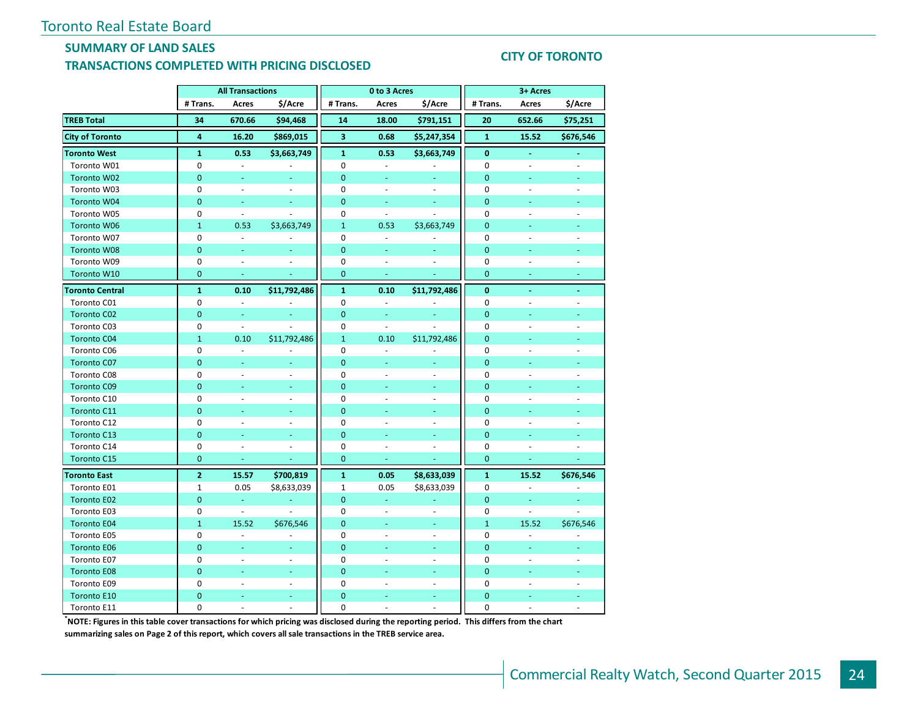#### **SUMMARY OF LAND SALES TRANSACTIONS COMPLETED WITH PRICING DISCLOSED**

#### **CITY OF TORONTO**

|                        | <b>All Transactions</b> |                          |                          | 0 to 3 Acres            |                          |                          | 3+ Acres       |                          |                |
|------------------------|-------------------------|--------------------------|--------------------------|-------------------------|--------------------------|--------------------------|----------------|--------------------------|----------------|
|                        | # Trans.                | Acres                    | \$/Acre                  | # Trans.                | Acres                    | \$/Acre                  | # Trans.       | Acres                    | \$/Acre        |
| <b>TREB Total</b>      | 34                      | 670.66                   | \$94,468                 | 14                      | 18.00                    | \$791,151                | 20             | 652.66                   | \$75,251       |
| <b>City of Toronto</b> | $\overline{4}$          | 16.20                    | \$869,015                | $\overline{\mathbf{3}}$ | 0.68                     | \$5,247,354              | $\mathbf{1}$   | 15.52                    | \$676,546      |
| <b>Toronto West</b>    | $\mathbf{1}$            | 0.53                     | \$3,663,749              | $\mathbf{1}$            | 0.53                     | \$3,663,749              | 0              |                          |                |
| Toronto W01            | 0                       | $\omega$                 |                          | $\mathbf 0$             | ä,                       |                          | $\mathbf 0$    | $\overline{\phantom{a}}$ | ÷.             |
| Toronto W02            | 0                       | $\blacksquare$           | $\blacksquare$           | $\mathbf{0}$            | $\blacksquare$           | $\sim$                   | 0              | $\blacksquare$           | ٠              |
| Toronto W03            | 0                       | $\bar{a}$                | ÷.                       | $\mathbf 0$             | $\omega$                 | $\sim$                   | 0              | $\sim$                   | $\sim$         |
| Toronto W04            | $\mathbf 0$             | ä,                       |                          | $\mathbf 0$             | ä,                       |                          | $\overline{0}$ |                          |                |
| Toronto W05            | 0                       | $\blacksquare$           | $\overline{\phantom{a}}$ | 0                       | $\blacksquare$           | $\overline{\phantom{a}}$ | 0              |                          |                |
| <b>Toronto W06</b>     | $\mathbf{1}$            | 0.53                     | \$3,663,749              | $\mathbf{1}$            | 0.53                     | \$3,663,749              | $\overline{0}$ |                          |                |
| Toronto W07            | 0                       | $\bar{a}$                |                          | $\mathbf 0$             | ÷,                       |                          | 0              |                          |                |
| <b>Toronto W08</b>     | $\overline{0}$          | ÷                        |                          | $\overline{0}$          | Ξ                        |                          | $\overline{0}$ |                          |                |
| Toronto W09            | $\mathbf 0$             | $\blacksquare$           | $\overline{\phantom{a}}$ | $\mathbf 0$             | $\blacksquare$           |                          | $\mathbf 0$    |                          | ÷,             |
| Toronto W10            | 0                       | ä,                       |                          | $\mathbf{0}$            | u                        |                          | $\mathbf{0}$   |                          |                |
| <b>Toronto Central</b> | $\mathbf{1}$            | 0.10                     | \$11,792,486             | $\mathbf{1}$            | 0.10                     | \$11,792,486             | $\bf{0}$       |                          | $\sim$         |
| Toronto C01            | 0                       | $\bar{\phantom{a}}$      |                          | 0                       | $\blacksquare$           |                          | 0              | ä,                       |                |
| <b>Toronto C02</b>     | $\overline{0}$          |                          |                          | $\mathbf{0}$            |                          |                          | $\overline{0}$ |                          |                |
| Toronto C03            | 0                       | $\blacksquare$           |                          | $\mathbf 0$             | $\blacksquare$           |                          | $\mathbf 0$    |                          |                |
| <b>Toronto C04</b>     | $\mathbf{1}$            | 0.10                     | \$11,792,486             | $\mathbf{1}$            | 0.10                     | \$11,792,486             | $\overline{0}$ |                          |                |
| Toronto C06            | $\mathbf 0$             | $\overline{\phantom{a}}$ |                          | $\mathbf 0$             | ÷,                       |                          | $\mathbf 0$    |                          |                |
| <b>Toronto C07</b>     | $\overline{0}$          | ÷                        | ÷                        | $\mathbf{0}$            | ä,                       | ä,                       | $\overline{0}$ |                          |                |
| Toronto C08            | 0                       | $\bar{a}$                | $\sim$                   | $\pmb{0}$               | $\bar{a}$                | $\bar{a}$                | 0              | ä,                       | ÷,             |
| <b>Toronto C09</b>     | $\overline{0}$          | Ξ                        |                          | $\overline{0}$          | ٠                        |                          | $\mathbf 0$    | u                        |                |
| Toronto C10            | 0                       | $\bar{a}$                | $\overline{a}$           | $\mathbf 0$             | ä,                       | ÷.                       | 0              | ä,                       | $\overline{a}$ |
| <b>Toronto C11</b>     | $\mathbf 0$             | Ξ                        | ٠                        | $\mathbf{0}$            | ÷                        | $\sim$                   | $\mathbf 0$    | Ξ                        | ٠              |
| Toronto C12            | 0                       | ÷.                       | $\sim$                   | $\mathbf 0$             | ÷                        | ÷.                       | 0              | ÷.                       |                |
| Toronto C13            | $\mathbf{0}$            |                          |                          | $\mathbf 0$             |                          |                          | $\mathbf{0}$   |                          |                |
| Toronto C14            | 0                       | $\overline{\phantom{a}}$ | $\overline{\phantom{a}}$ | 0                       | $\overline{\phantom{a}}$ | $\overline{\phantom{a}}$ | 0              | ÷,                       | ÷,             |
| <b>Toronto C15</b>     | $\overline{0}$          | ä,                       |                          | $\overline{0}$          |                          |                          | $\overline{0}$ |                          |                |
| <b>Toronto East</b>    | $\overline{2}$          | 15.57                    | \$700,819                | $\mathbf{1}$            | 0.05                     | \$8,633,039              | $\mathbf{1}$   | 15.52                    | \$676,546      |
| Toronto E01            | 1                       | 0.05                     | \$8,633,039              | $\mathbf{1}$            | 0.05                     | \$8,633,039              | 0              | $\omega$                 |                |
| <b>Toronto E02</b>     | 0                       | Ξ                        |                          | $\mathbf{0}$            | Ξ                        |                          | 0              | Ξ                        |                |
| Toronto E03            | 0                       | $\bar{\phantom{a}}$      | $\overline{\phantom{a}}$ | $\mathbf 0$             | ÷,                       | $\omega$                 | $\mathbf 0$    | ä,                       | ÷.             |
| <b>Toronto E04</b>     | $\mathbf{1}$            | 15.52                    | \$676,546                | $\mathbf{0}$            | u                        | ÷                        | $\mathbf{1}$   | 15.52                    | \$676,546      |
| Toronto E05            | 0                       | $\bar{a}$                | ÷.                       | $\mathbf 0$             | ä,                       | $\omega$                 | 0              | $\sim$                   |                |
| <b>Toronto E06</b>     | $\overline{0}$          | ä,                       | L.                       | $\mathbf{0}$            |                          | ÷                        | $\overline{0}$ | ä,                       |                |
| Toronto E07            | 0                       | $\overline{\phantom{a}}$ | $\overline{\phantom{a}}$ | $\mathbf 0$             | ÷,                       | $\overline{\phantom{a}}$ | 0              | $\overline{\phantom{a}}$ | ÷,             |
| <b>Toronto E08</b>     | $\mathbf{0}$            |                          | ä,                       | $\mathbf{0}$            |                          | ÷                        | $\overline{0}$ |                          |                |
| Toronto E09            | $\mathbf 0$             |                          | $\sim$                   | $\mathbf 0$             |                          |                          | 0              |                          |                |
| <b>Toronto E10</b>     | $\overline{0}$          |                          | ÷,                       | $\overline{0}$          |                          | ٠                        | $\overline{0}$ |                          |                |
| Toronto E11            | $\mathbf 0$             |                          |                          | $\Omega$                |                          | ä,                       | $\Omega$       |                          |                |